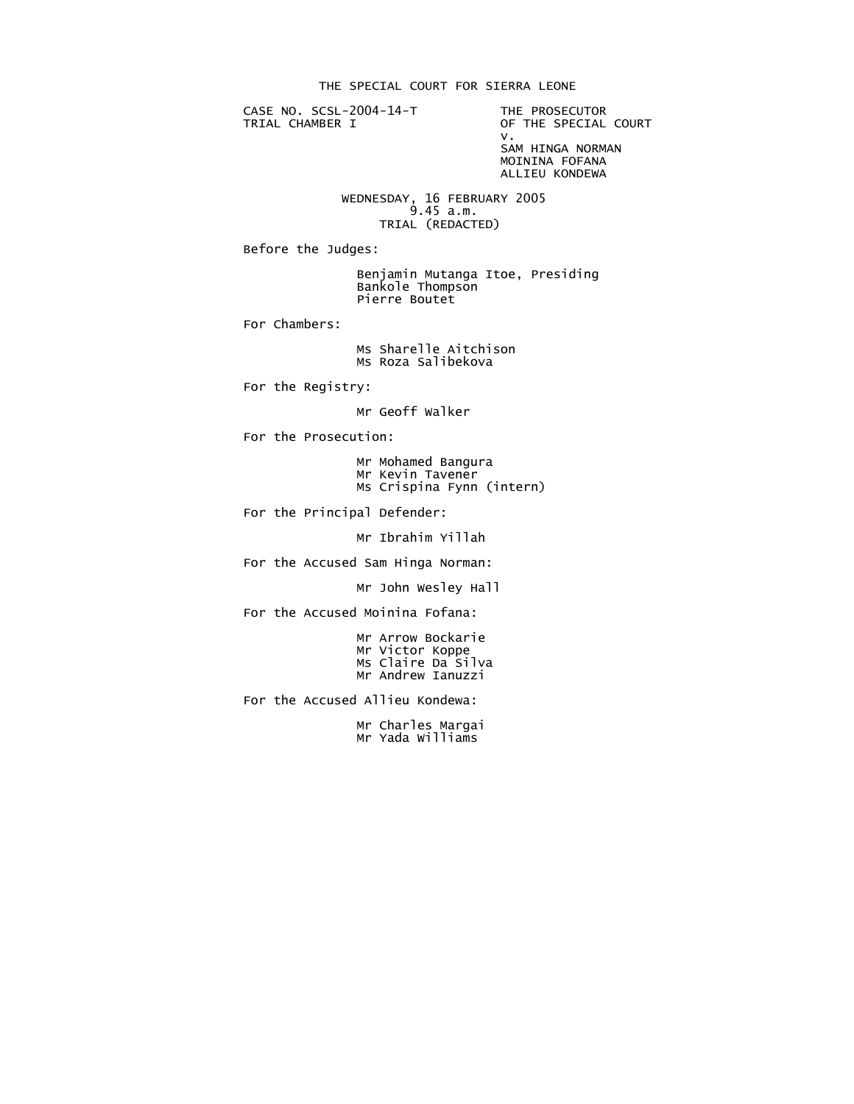THE SPECIAL COURT FOR SIERRA LEONE

CASE NO. SCSL-2004-14-T THE PROSECUTOR<br>TRIAL CHAMBER I OF THE SPECIAL

OF THE SPECIAL COURT<br>V. v. SAM HINGA NORMAN MOININA FOFANA ALLIEU KONDEWA

 WEDNESDAY, 16 FEBRUARY 2005 9.45 a.m. TRIAL (REDACTED)

Before the Judges:

 Benjamin Mutanga Itoe, Presiding Bankole Thompson Pierre Boutet

For Chambers:

 Ms Sharelle Aitchison Ms Roza Salibekova

For the Registry:

Mr Geoff Walker

For the Prosecution:

 Mr Mohamed Bangura Mr Kevin Tavener Ms Crispina Fynn (intern)

For the Principal Defender:

Mr Ibrahim Yillah

For the Accused Sam Hinga Norman:

Mr John Wesley Hall

For the Accused Moinina Fofana:

 Mr Arrow Bockarie Mr Victor Koppe Ms Claire Da Silva Mr Andrew Ianuzzi

For the Accused Allieu Kondewa:

 Mr Charles Margai Mr Yada Williams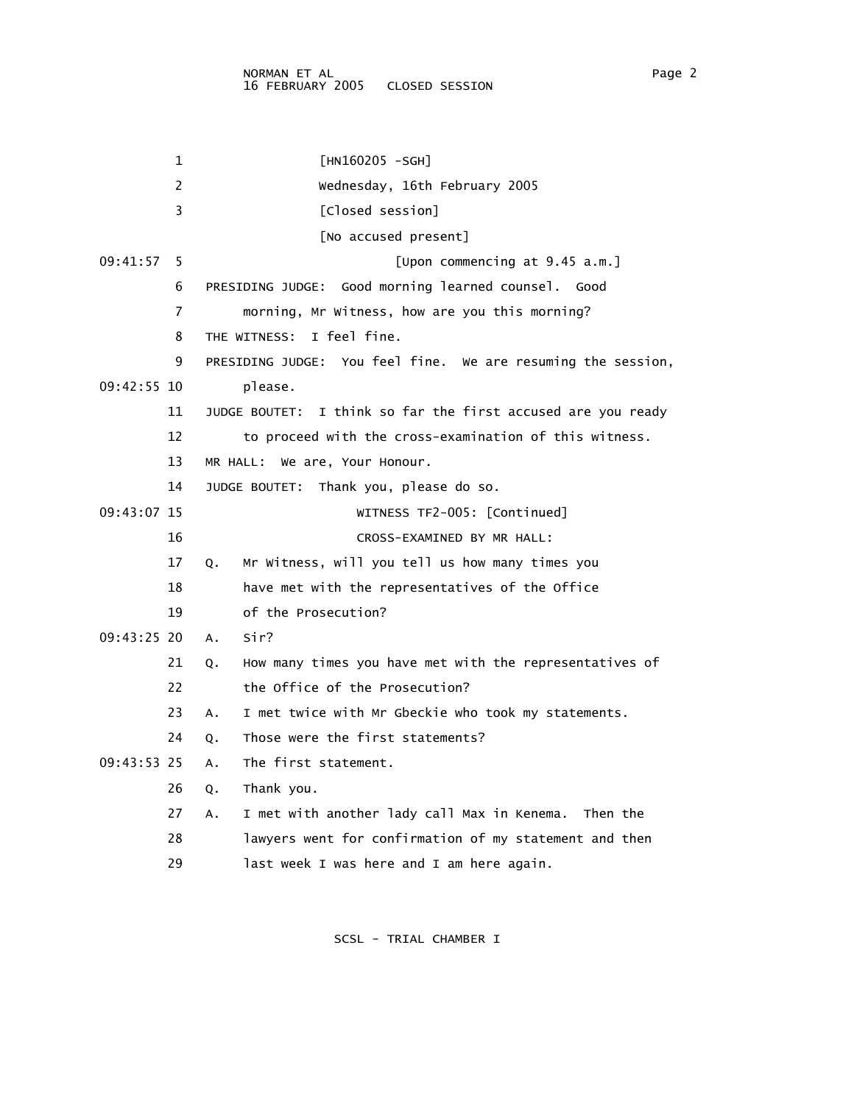1 [HN160205 -SGH] 2 Wednesday, 16th February 2005 3 [Closed session] [No accused present] 09:41:57 5 [Upon commencing at 9.45 a.m.] 6 PRESIDING JUDGE: Good morning learned counsel. Good 7 morning, Mr Witness, how are you this morning? 8 THE WITNESS: I feel fine. 9 PRESIDING JUDGE: You feel fine. We are resuming the session, 09:42:55 10 please. 11 JUDGE BOUTET: I think so far the first accused are you ready 12 to proceed with the cross-examination of this witness. 13 MR HALL: We are, Your Honour. 14 JUDGE BOUTET: Thank you, please do so. 09:43:07 15 WITNESS TF2-005: [Continued] 16 CROSS-EXAMINED BY MR HALL: 17 Q. Mr Witness, will you tell us how many times you 18 have met with the representatives of the Office 19 of the Prosecution? 09:43:25 20 A. Sir? 21 Q. How many times you have met with the representatives of 22 the Office of the Prosecution? 23 A. I met twice with Mr Gbeckie who took my statements. 24 Q. Those were the first statements? 09:43:53 25 A. The first statement. 26 Q. Thank you. 27 A. I met with another lady call Max in Kenema. Then the 28 lawyers went for confirmation of my statement and then 29 last week I was here and I am here again.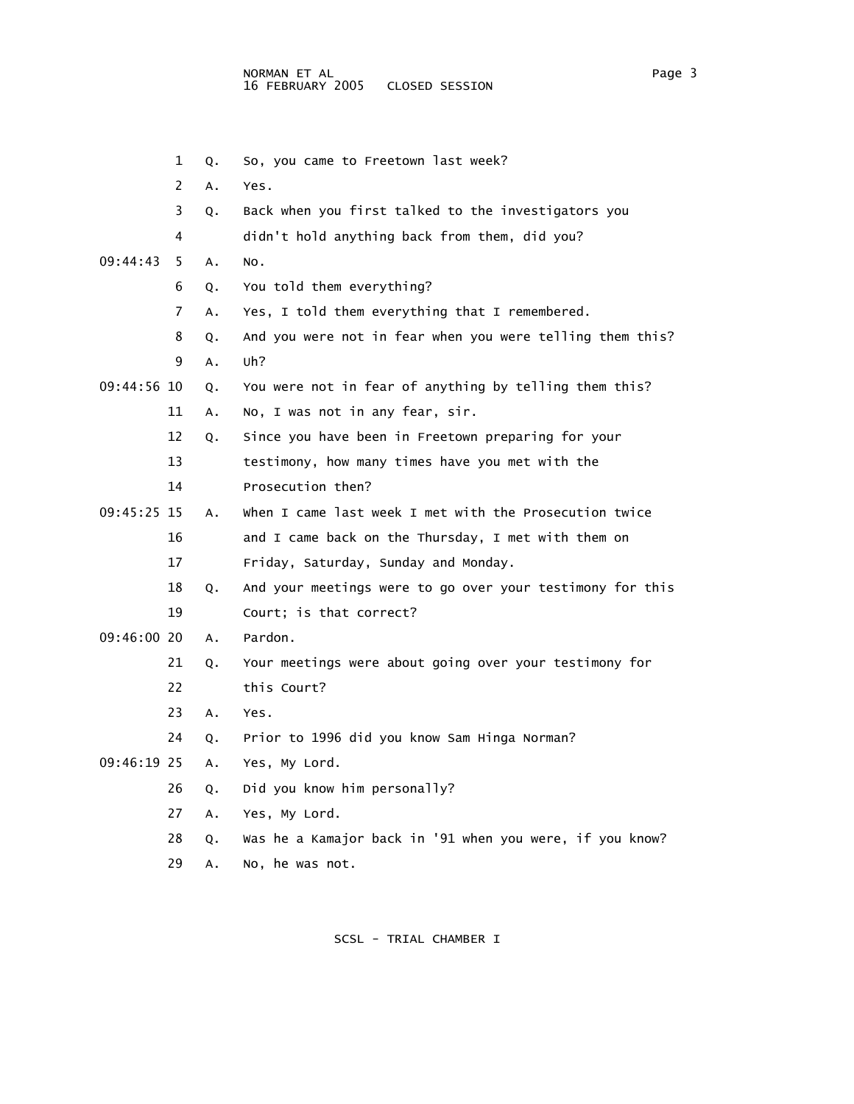- 1 Q. So, you came to Freetown last week? 2 A. Yes. 3 Q. Back when you first talked to the investigators you 4 didn't hold anything back from them, did you? 09:44:43 5 A. No. 6 Q. You told them everything? 7 A. Yes, I told them everything that I remembered. 8 Q. And you were not in fear when you were telling them this? 9 A. Uh? 09:44:56 10 Q. You were not in fear of anything by telling them this? 11 A. No, I was not in any fear, sir. 12 Q. Since you have been in Freetown preparing for your 13 testimony, how many times have you met with the 14 Prosecution then? 09:45:25 15 A. When I came last week I met with the Prosecution twice 16 and I came back on the Thursday, I met with them on 17 Friday, Saturday, Sunday and Monday. 18 Q. And your meetings were to go over your testimony for this 19 Court; is that correct? 09:46:00 20 A. Pardon. 21 Q. Your meetings were about going over your testimony for 22 this Court? 23 A. Yes. 24 Q. Prior to 1996 did you know Sam Hinga Norman? 09:46:19 25 A. Yes, My Lord.
	- 26 Q. Did you know him personally?
	- 27 A. Yes, My Lord.
	- 28 Q. Was he a Kamajor back in '91 when you were, if you know?
	- 29 A. No, he was not.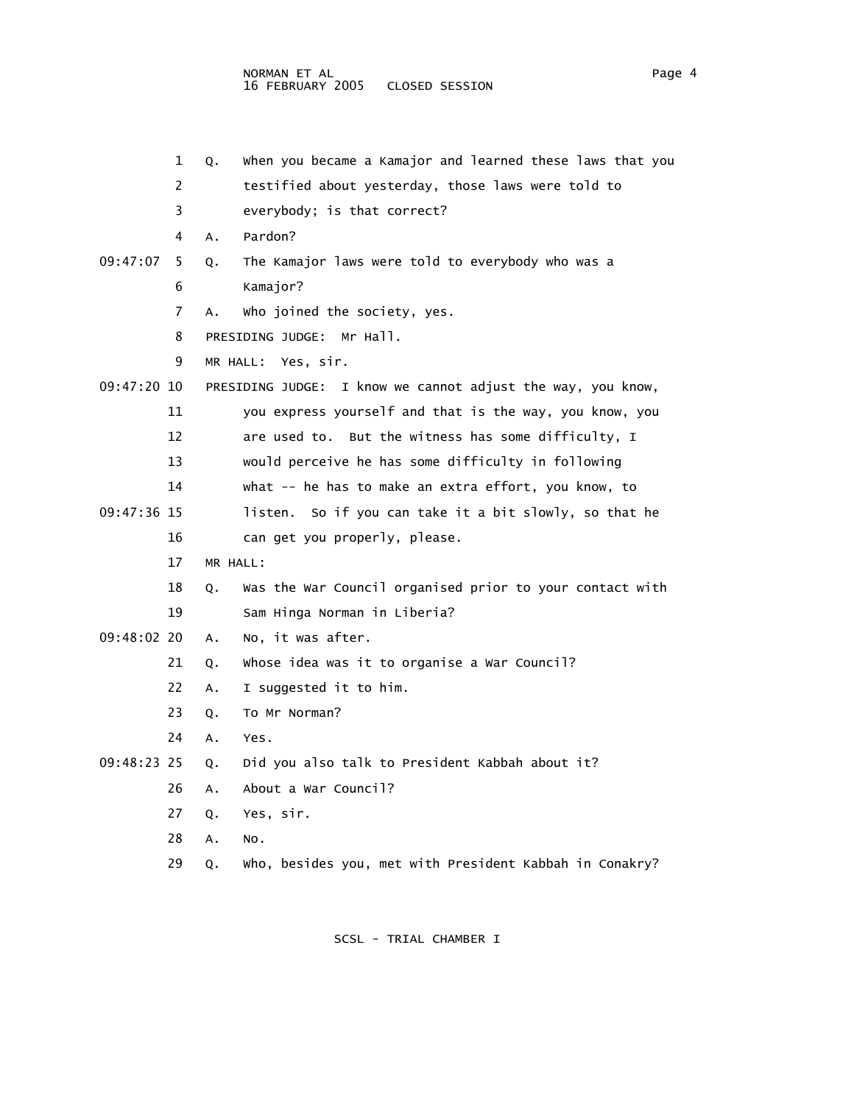|               | 1  | Q.       | When you became a Kamajor and learned these laws that you   |
|---------------|----|----------|-------------------------------------------------------------|
|               | 2  |          | testified about yesterday, those laws were told to          |
|               | 3  |          | everybody; is that correct?                                 |
|               | 4  | A.       | Pardon?                                                     |
| 09:47:07      | 5  | Q.       | The Kamajor laws were told to everybody who was a           |
|               | 6  |          | Kamajor?                                                    |
|               | 7  | А.       | who joined the society, yes.                                |
|               | 8  |          | PRESIDING JUDGE: Mr Hall.                                   |
|               | 9  |          | MR HALL: Yes, sir.                                          |
| $09:47:20$ 10 |    |          | PRESIDING JUDGE: I know we cannot adjust the way, you know, |
|               | 11 |          | you express yourself and that is the way, you know, you     |
|               | 12 |          | are used to. But the witness has some difficulty, I         |
|               | 13 |          | would perceive he has some difficulty in following          |
|               | 14 |          | what -- he has to make an extra effort, you know, to        |
| $09:47:36$ 15 |    |          | So if you can take it a bit slowly, so that he<br>listen.   |
|               | 16 |          | can get you properly, please.                               |
|               | 17 | MR HALL: |                                                             |
|               | 18 | Q.       | Was the War Council organised prior to your contact with    |
|               | 19 |          | Sam Hinga Norman in Liberia?                                |
| 09:48:02 20   |    | Α.       | No, it was after.                                           |
|               | 21 | Q.       | Whose idea was it to organise a War Council?                |
|               | 22 | Α.       | I suggested it to him.                                      |
|               | 23 | Q.       | To Mr Norman?                                               |
|               | 24 | Α.       | Yes.                                                        |
| 09:48:23 25   |    | Q.       | Did you also talk to President Kabbah about it?             |
|               | 26 | Α.       | About a War Council?                                        |
|               | 27 | Q.       | Yes, sir.                                                   |
|               | 28 | А.       | NO.                                                         |
|               | 29 | Q.       | who, besides you, met with President Kabbah in Conakry?     |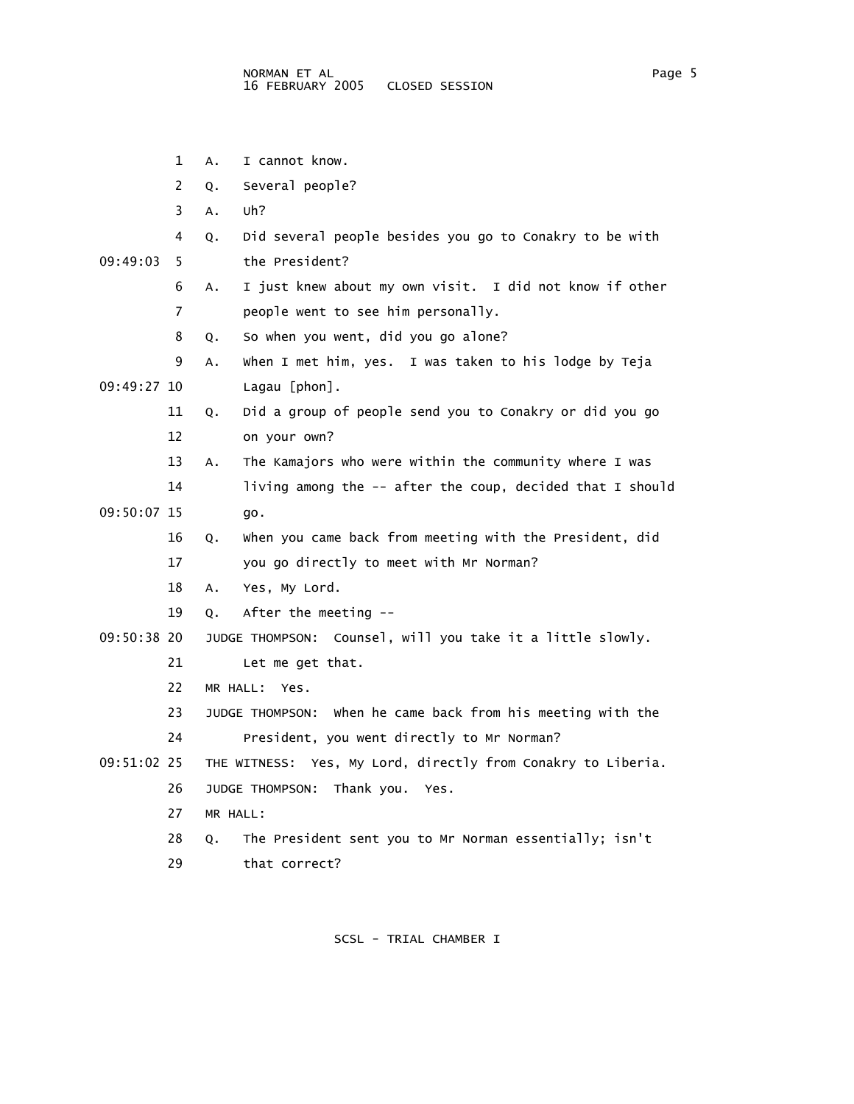- 1 A. I cannot know.
- 2 Q. Several people?
- 3 A. Uh?
- 4 Q. Did several people besides you go to Conakry to be with

09:49:03 5 the President?

- 6 A. I just knew about my own visit. I did not know if other 7 people went to see him personally.
- 8 Q. So when you went, did you go alone?
- 9 A. When I met him, yes. I was taken to his lodge by Teja 09:49:27 10 Lagau [phon].
	- 11 Q. Did a group of people send you to Conakry or did you go 12 on your own?
	- 13 A. The Kamajors who were within the community where I was
- 14 living among the -- after the coup, decided that I should 09:50:07 15 go.
	- 16 Q. When you came back from meeting with the President, did 17 you go directly to meet with Mr Norman?
	- 18 A. Yes, My Lord.
	- 19 Q. After the meeting --
- 09:50:38 20 JUDGE THOMPSON: Counsel, will you take it a little slowly.
	- 21 Let me get that.
	- 22 MR HALL: Yes.
	- 23 JUDGE THOMPSON: When he came back from his meeting with the 24 President, you went directly to Mr Norman?
	-
- 09:51:02 25 THE WITNESS: Yes, My Lord, directly from Conakry to Liberia. 26 JUDGE THOMPSON: Thank you. Yes.
	- 27 MR HALL:
	- 28 Q. The President sent you to Mr Norman essentially; isn't
	- 29 that correct?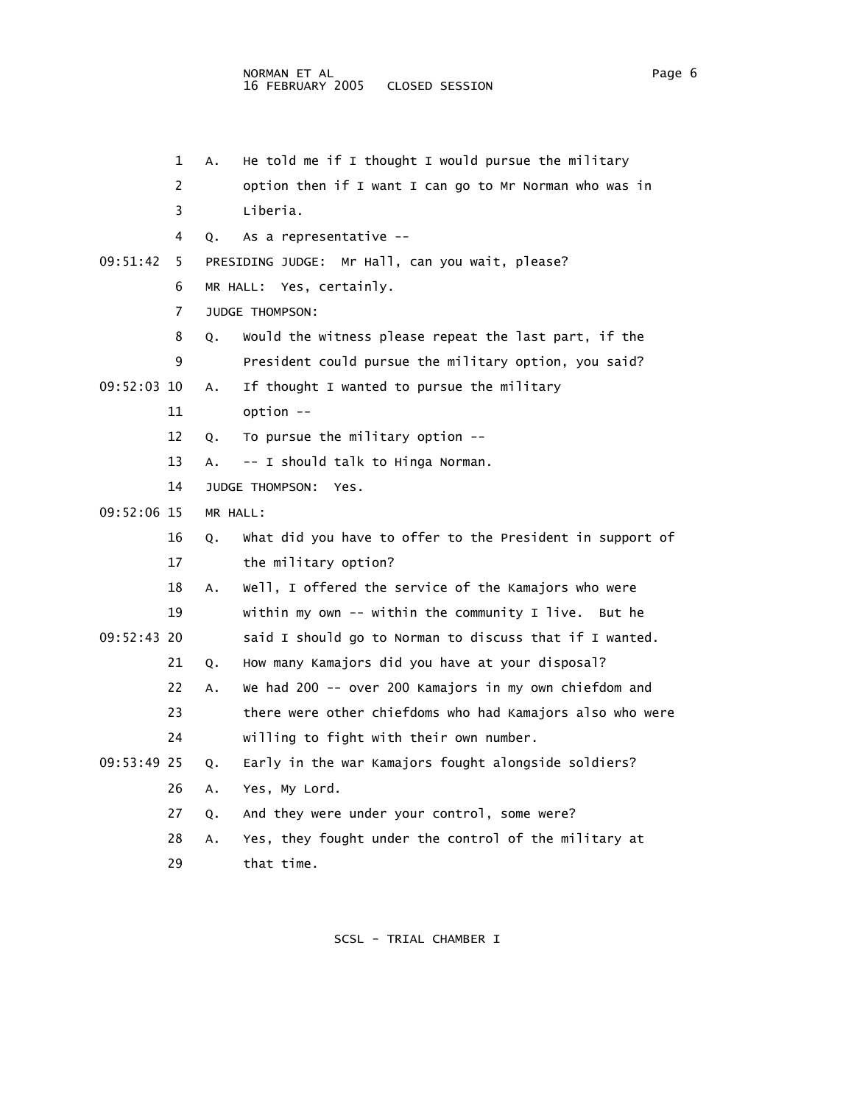1 A. He told me if I thought I would pursue the military 2 option then if I want I can go to Mr Norman who was in 3 Liberia. 4 Q. As a representative -- 09:51:42 5 PRESIDING JUDGE: Mr Hall, can you wait, please? 6 MR HALL: Yes, certainly. 7 JUDGE THOMPSON: 8 Q. Would the witness please repeat the last part, if the 9 President could pursue the military option, you said? 09:52:03 10 A. If thought I wanted to pursue the military 11 option -- 12 Q. To pursue the military option -- 13 A. -- I should talk to Hinga Norman. 14 JUDGE THOMPSON: Yes. 09:52:06 15 MR HALL: 16 Q. What did you have to offer to the President in support of 17 the military option? 18 A. Well, I offered the service of the Kamajors who were 19 within my own -- within the community I live. But he 09:52:43 20 said I should go to Norman to discuss that if I wanted. 21 Q. How many Kamajors did you have at your disposal? 22 A. We had 200 -- over 200 Kamajors in my own chiefdom and 23 there were other chiefdoms who had Kamajors also who were 24 willing to fight with their own number. 09:53:49 25 Q. Early in the war Kamajors fought alongside soldiers? 26 A. Yes, My Lord. 27 Q. And they were under your control, some were? 28 A. Yes, they fought under the control of the military at 29 that time.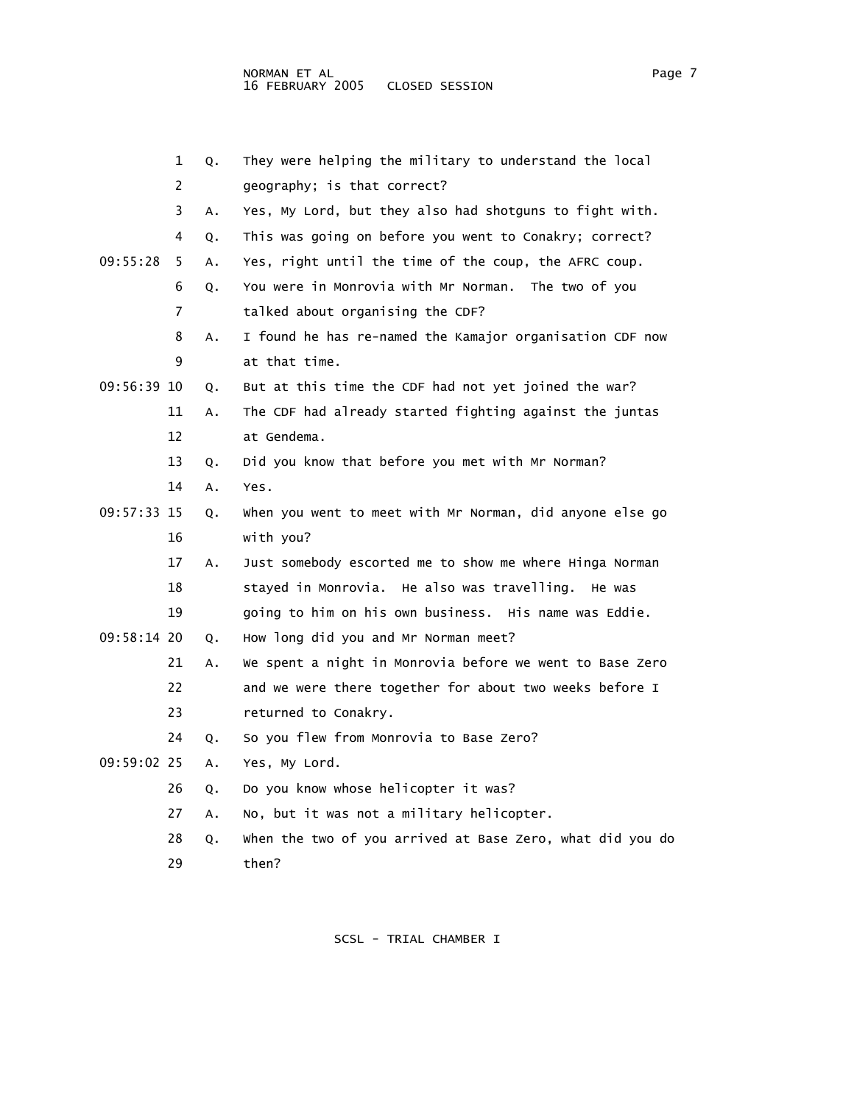|             | 1  | Q. | They were helping the military to understand the local    |
|-------------|----|----|-----------------------------------------------------------|
|             | 2  |    | geography; is that correct?                               |
|             | 3  | Α. | Yes, My Lord, but they also had shotguns to fight with.   |
|             | 4  | Q. | This was going on before you went to Conakry; correct?    |
| 09:55:28    | 5  | A. | Yes, right until the time of the coup, the AFRC coup.     |
|             | 6  | Q. | You were in Monrovia with Mr Norman. The two of you       |
|             | 7  |    | talked about organising the CDF?                          |
|             | 8  | Α. | I found he has re-named the Kamajor organisation CDF now  |
|             | 9  |    | at that time.                                             |
| 09:56:39 10 |    | Q. | But at this time the CDF had not yet joined the war?      |
|             | 11 | Α. | The CDF had already started fighting against the juntas   |
|             | 12 |    | at Gendema.                                               |
|             | 13 | Q. | Did you know that before you met with Mr Norman?          |
|             | 14 | Α. | Yes.                                                      |
| 09:57:33 15 |    | Q. | when you went to meet with Mr Norman, did anyone else go  |
|             | 16 |    | with you?                                                 |
|             | 17 | Α. | Just somebody escorted me to show me where Hinga Norman   |
|             | 18 |    | stayed in Monrovia. He also was travelling. He was        |
|             | 19 |    | going to him on his own business. His name was Eddie.     |
| 09:58:14 20 |    | Q. | How long did you and Mr Norman meet?                      |
|             | 21 | Α. | We spent a night in Monrovia before we went to Base Zero  |
|             | 22 |    | and we were there together for about two weeks before I   |
|             | 23 |    | returned to Conakry.                                      |
|             | 24 | Q. | So you flew from Monrovia to Base Zero?                   |
| 09:59:02 25 |    | Α. | Yes, My Lord.                                             |
|             | 26 | Q. | Do you know whose helicopter it was?                      |
|             | 27 | А. | No, but it was not a military helicopter.                 |
|             | 28 | Q. | when the two of you arrived at Base Zero, what did you do |
|             | 29 |    | then?                                                     |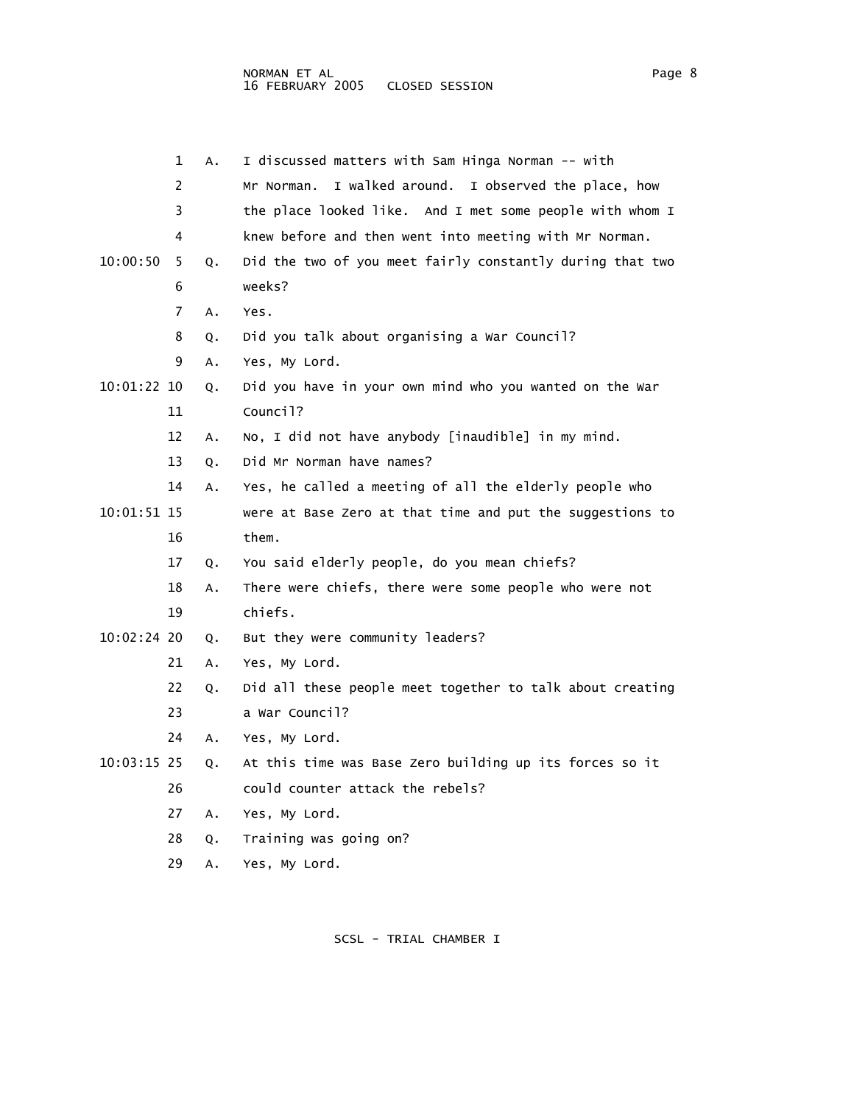|             | 1              | Α. | I discussed matters with Sam Hinga Norman -- with         |
|-------------|----------------|----|-----------------------------------------------------------|
|             | $\overline{c}$ |    | I walked around. I observed the place, how<br>Mr Norman.  |
|             | 3              |    | the place looked like. And I met some people with whom I  |
|             | 4              |    | knew before and then went into meeting with Mr Norman.    |
| 10:00:50    | 5              | Q. | Did the two of you meet fairly constantly during that two |
|             | 6              |    | weeks?                                                    |
|             | 7              | A. | Yes.                                                      |
|             | 8              | Q. | Did you talk about organising a War Council?              |
|             | 9              | Α. | Yes, My Lord.                                             |
| 10:01:22 10 |                | Q. | Did you have in your own mind who you wanted on the War   |
|             | 11             |    | Council?                                                  |
|             | 12             | Α. | No, I did not have anybody [inaudible] in my mind.        |
|             | 13             | Q. | Did Mr Norman have names?                                 |
|             | 14             | Α. | Yes, he called a meeting of all the elderly people who    |
| 10:01:51 15 |                |    | were at Base Zero at that time and put the suggestions to |
|             | 16             |    | them.                                                     |
|             | 17             | Q. | You said elderly people, do you mean chiefs?              |
|             | 18             | Α. | There were chiefs, there were some people who were not    |
|             | 19             |    | chiefs.                                                   |
| 10:02:24 20 |                | Q. | But they were community leaders?                          |
|             | 21             | Α. | Yes, My Lord.                                             |
|             | 22             | Q. | Did all these people meet together to talk about creating |
|             | 23             |    | a War Council?                                            |
|             | 24             | А. | Yes, My Lord.                                             |
| 10:03:15 25 |                | Q. | At this time was Base Zero building up its forces so it   |
|             | 26             |    | could counter attack the rebels?                          |
|             | 27             | Α. | Yes, My Lord.                                             |
|             | 28             | Q. | Training was going on?                                    |
|             | 29             | Α. | Yes, My Lord.                                             |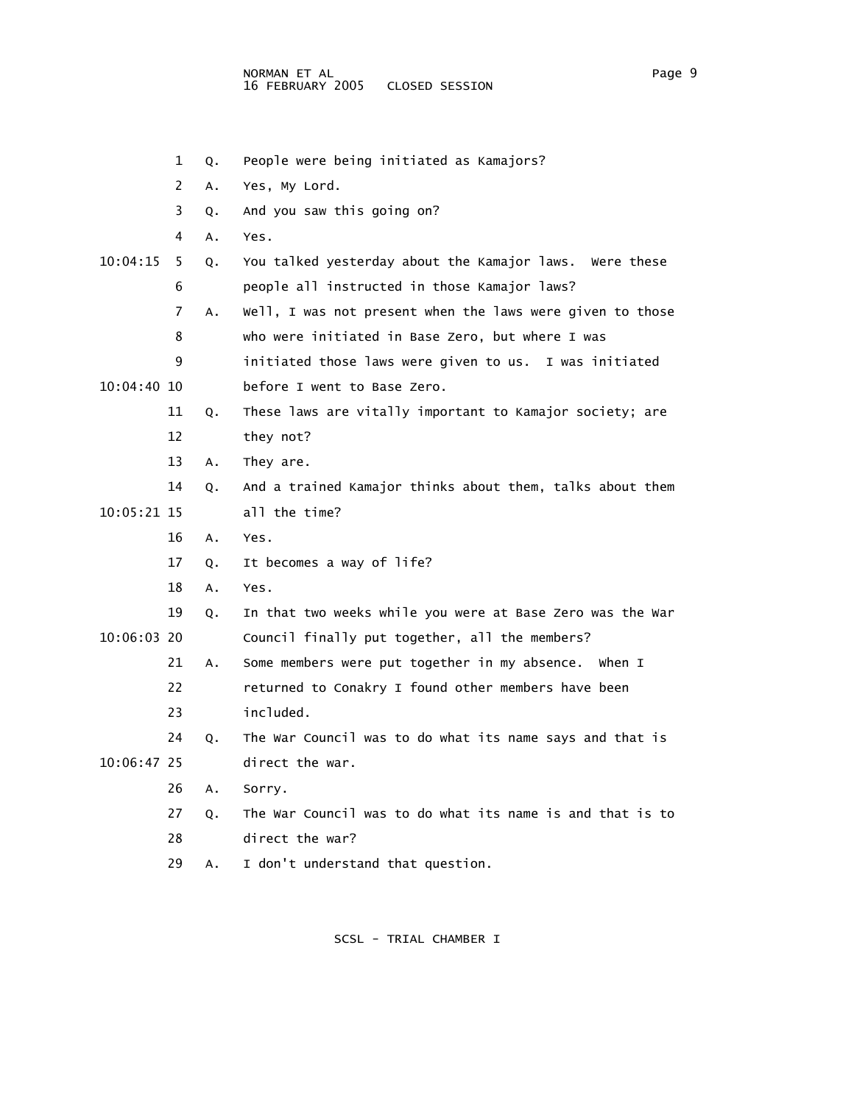- 1 Q. People were being initiated as Kamajors?
- 2 A. Yes, My Lord.
- 3 Q. And you saw this going on?
- 4 A. Yes.
- 10:04:15 5 Q. You talked yesterday about the Kamajor laws. Were these 6 people all instructed in those Kamajor laws?
	- 7 A. Well, I was not present when the laws were given to those 8 who were initiated in Base Zero, but where I was
	- 9 initiated those laws were given to us. I was initiated
- 10:04:40 10 before I went to Base Zero.
	- 11 Q. These laws are vitally important to Kamajor society; are
	- 12 they not?
	- 13 A. They are.
- 14 Q. And a trained Kamajor thinks about them, talks about them 10:05:21 15 all the time?
	- 16 A. Yes.
	- 17 Q. It becomes a way of life?
	- 18 A. Yes.
- 19 Q. In that two weeks while you were at Base Zero was the War 10:06:03 20 Council finally put together, all the members?
	- 21 A. Some members were put together in my absence. When I
		- 22 returned to Conakry I found other members have been 23 included.
- 24 Q. The War Council was to do what its name says and that is 10:06:47 25 direct the war.
	- 26 A. Sorry.
	- 27 Q. The War Council was to do what its name is and that is to
	- 28 direct the war?
	- 29 A. I don't understand that question.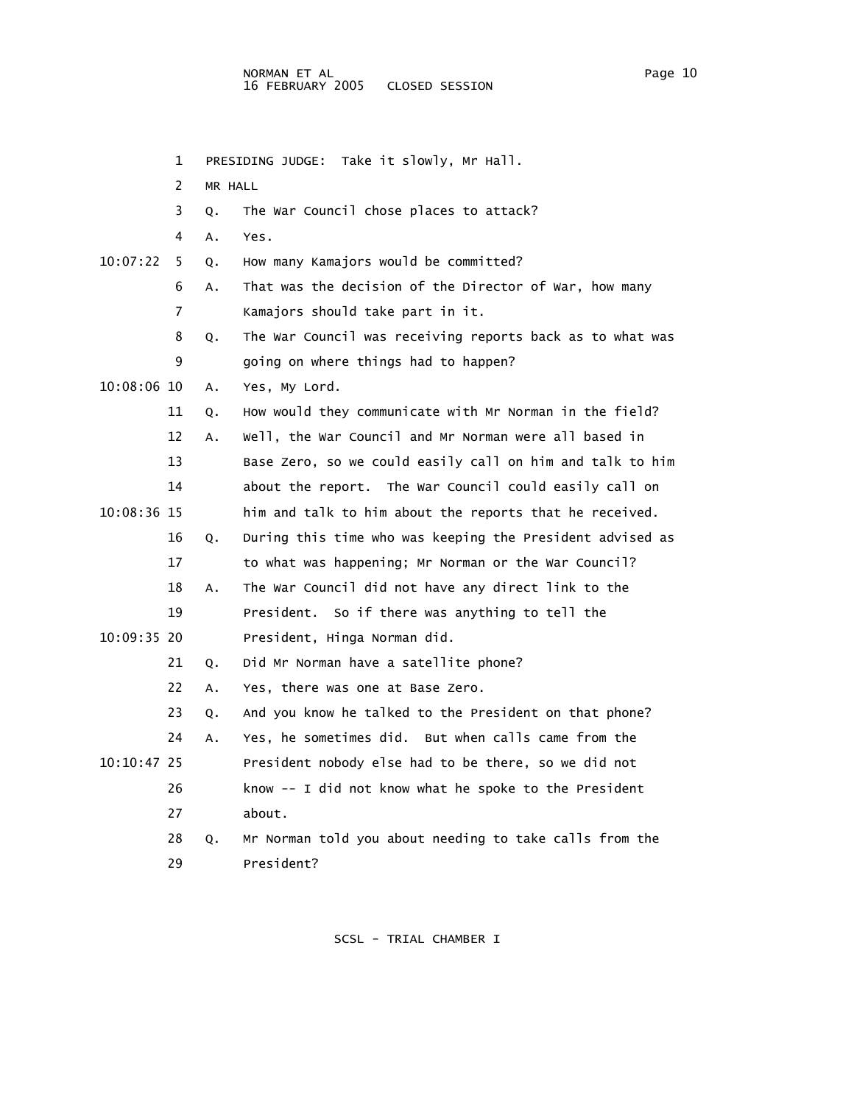1 PRESIDING JUDGE: Take it slowly, Mr Hall. 2 MR HALL 3 Q. The War Council chose places to attack? 4 A. Yes. 10:07:22 5 Q. How many Kamajors would be committed? 6 A. That was the decision of the Director of War, how many 7 Kamajors should take part in it. 8 Q. The War Council was receiving reports back as to what was 9 going on where things had to happen? 10:08:06 10 A. Yes, My Lord. 11 Q. How would they communicate with Mr Norman in the field? 12 A. Well, the War Council and Mr Norman were all based in 13 Base Zero, so we could easily call on him and talk to him 14 about the report. The War Council could easily call on 10:08:36 15 him and talk to him about the reports that he received. 16 Q. During this time who was keeping the President advised as 17 to what was happening; Mr Norman or the War Council? 18 A. The War Council did not have any direct link to the 19 President. So if there was anything to tell the 10:09:35 20 President, Hinga Norman did. 21 Q. Did Mr Norman have a satellite phone? 22 A. Yes, there was one at Base Zero. 23 Q. And you know he talked to the President on that phone? 24 A. Yes, he sometimes did. But when calls came from the 10:10:47 25 President nobody else had to be there, so we did not 26 know -- I did not know what he spoke to the President 27 about. 28 Q. Mr Norman told you about needing to take calls from the 29 President?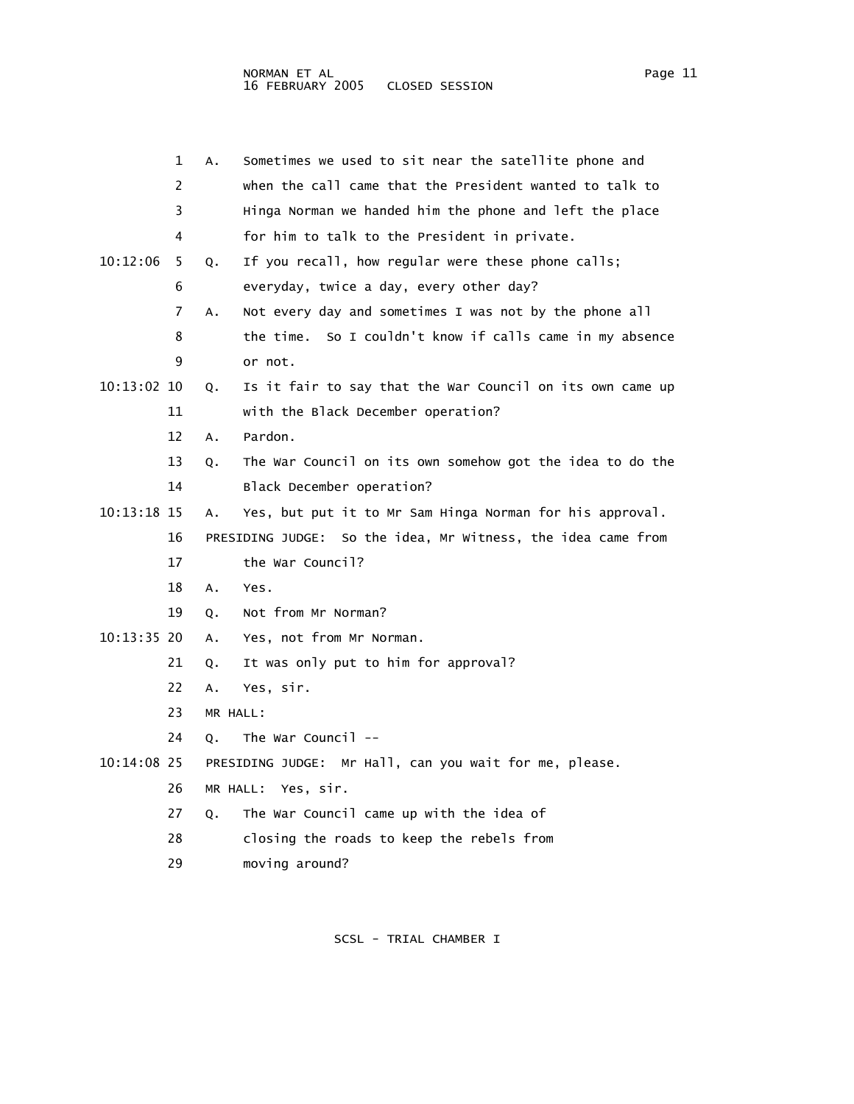|             | 1  | Α.       | Sometimes we used to sit near the satellite phone and        |
|-------------|----|----------|--------------------------------------------------------------|
|             | 2  |          | when the call came that the President wanted to talk to      |
|             | 3  |          | Hinga Norman we handed him the phone and left the place      |
|             | 4  |          | for him to talk to the President in private.                 |
| 10:12:06    | 5  | Q.       | If you recall, how regular were these phone calls;           |
|             | 6  |          | everyday, twice a day, every other day?                      |
|             | 7  | Α.       | Not every day and sometimes I was not by the phone all       |
|             | 8  |          | the time. So I couldn't know if calls came in my absence     |
|             | 9  |          | or not.                                                      |
| 10:13:02 10 |    | Q.       | Is it fair to say that the War Council on its own came up    |
|             | 11 |          | with the Black December operation?                           |
|             | 12 | A.       | Pardon.                                                      |
|             | 13 | Q.       | The War Council on its own somehow got the idea to do the    |
|             | 14 |          | Black December operation?                                    |
| 10:13:18 15 |    | Α.       | Yes, but put it to Mr Sam Hinga Norman for his approval.     |
|             | 16 |          | PRESIDING JUDGE: So the idea, Mr Witness, the idea came from |
|             | 17 |          | the War Council?                                             |
|             | 18 | A.       | Yes.                                                         |
|             | 19 | Q.       | Not from Mr Norman?                                          |
| 10:13:35 20 |    | Α.       | Yes, not from Mr Norman.                                     |
|             | 21 | Q.       | It was only put to him for approval?                         |
|             | 22 | A.       | Yes, sir.                                                    |
|             | 23 | MR HALL: |                                                              |
|             | 24 | Q.       | The War Council $-$                                          |
| 10:14:08 25 |    |          | PRESIDING JUDGE: Mr Hall, can you wait for me, please.       |
|             | 26 |          | MR HALL: Yes, sir.                                           |
|             | 27 | Q.       | The War Council came up with the idea of                     |
|             | 28 |          | closing the roads to keep the rebels from                    |
|             | 29 |          | moving around?                                               |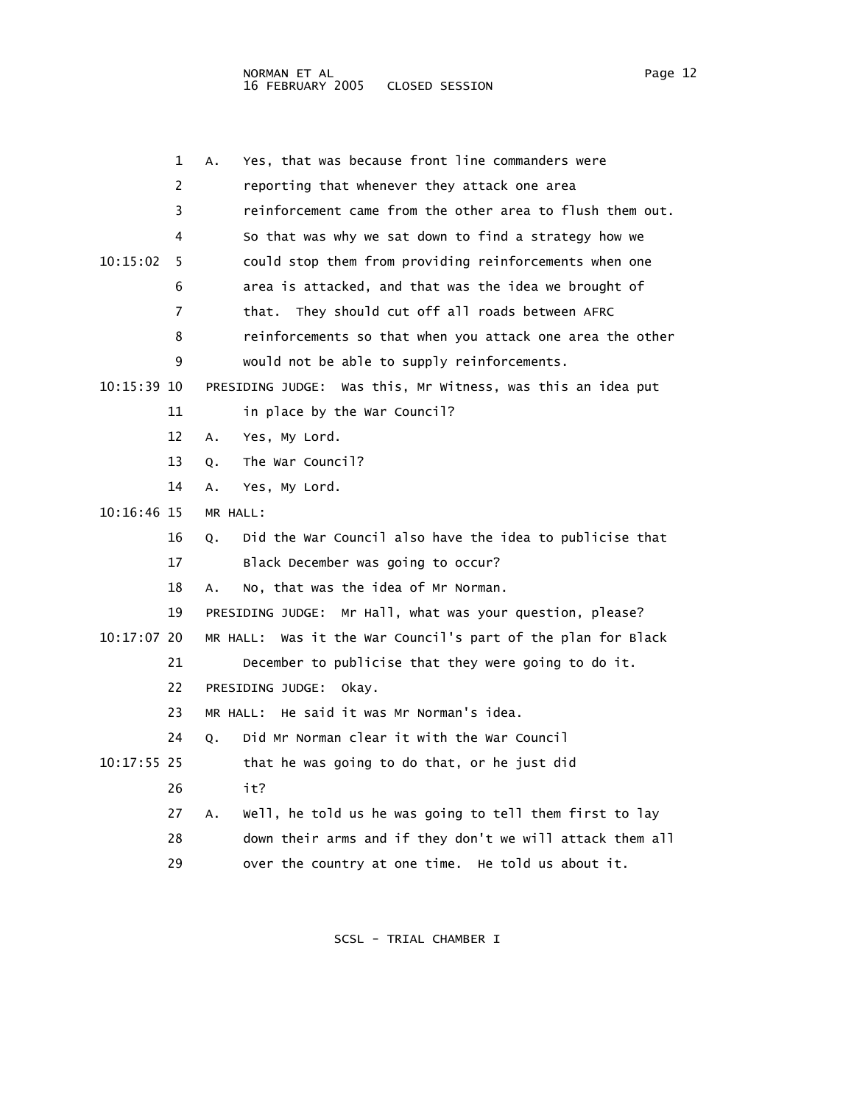|               | 1  | Yes, that was because front line commanders were<br>А.          |
|---------------|----|-----------------------------------------------------------------|
|               | 2  | reporting that whenever they attack one area                    |
|               | 3  | reinforcement came from the other area to flush them out.       |
|               | 4  | So that was why we sat down to find a strategy how we           |
| 10:15:02      | 5  | could stop them from providing reinforcements when one          |
|               | 6  | area is attacked, and that was the idea we brought of           |
|               | 7  | that. They should cut off all roads between AFRC                |
|               | 8  | reinforcements so that when you attack one area the other       |
|               | 9  | would not be able to supply reinforcements.                     |
| 10:15:39 10   |    | PRESIDING JUDGE: Was this, Mr Witness, was this an idea put     |
|               | 11 | in place by the War Council?                                    |
|               | 12 | Yes, My Lord.<br>Α.                                             |
|               | 13 | The War Council?<br>О.                                          |
|               | 14 | Yes, My Lord.<br>А.                                             |
| 10:16:46 15   |    | MR HALL:                                                        |
|               | 16 | Did the War Council also have the idea to publicise that<br>Q.  |
|               | 17 | Black December was going to occur?                              |
|               | 18 | No, that was the idea of Mr Norman.<br>А.                       |
|               | 19 | PRESIDING JUDGE: Mr Hall, what was your question, please?       |
| $10:17:07$ 20 |    | Was it the War Council's part of the plan for Black<br>MR HALL: |
|               | 21 | December to publicise that they were going to do it.            |
|               | 22 | PRESIDING JUDGE:<br>okav.                                       |
|               | 23 | He said it was Mr Norman's idea.<br>MR HALL:                    |
|               | 24 | Did Mr Norman clear it with the War Council<br>Q.               |
| $10:17:55$ 25 |    | that he was going to do that, or he just did                    |
|               | 26 | it?                                                             |
|               | 27 | well, he told us he was going to tell them first to lay<br>А.   |
|               | 28 | down their arms and if they don't we will attack them all       |
|               | 29 | over the country at one time. He told us about it.              |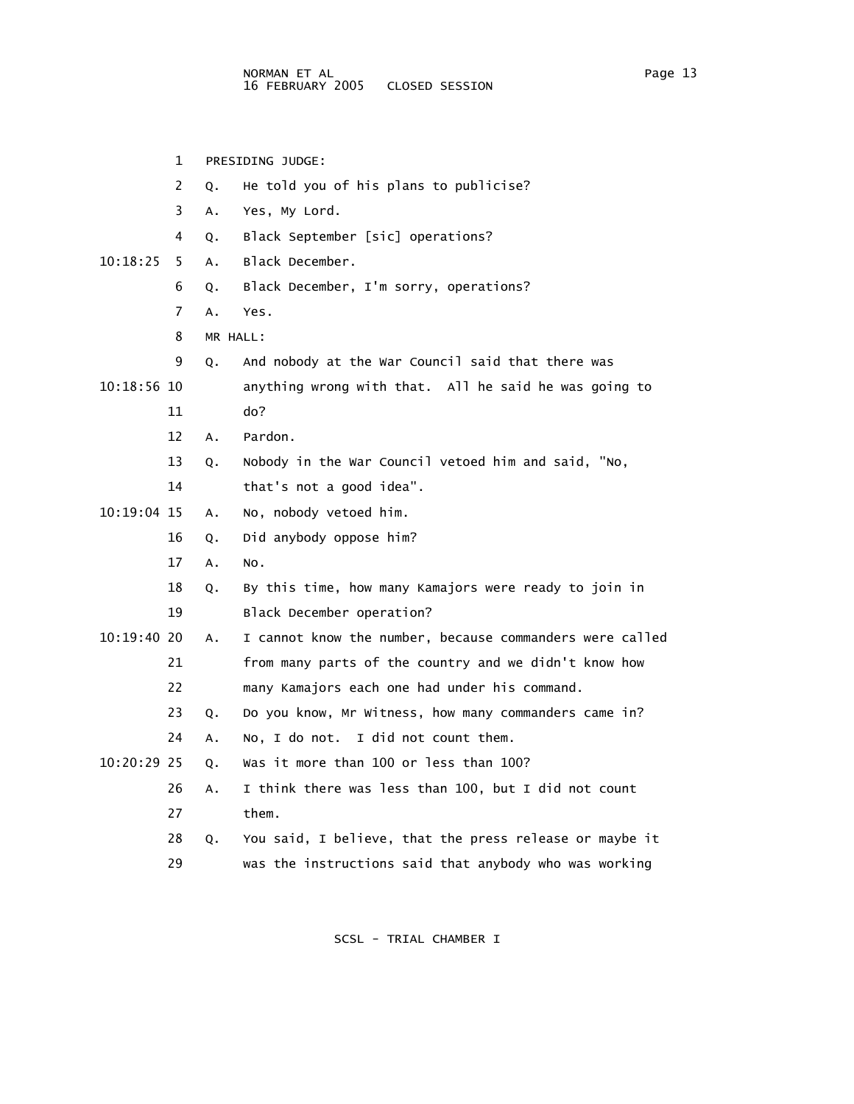1 PRESIDING JUDGE: 2 Q. He told you of his plans to publicise? 3 A. Yes, My Lord. 4 Q. Black September [sic] operations? 10:18:25 5 A. Black December. 6 Q. Black December, I'm sorry, operations? 7 A. Yes. 8 MR HALL: 9 Q. And nobody at the War Council said that there was 10:18:56 10 anything wrong with that. All he said he was going to 11 do? 12 A. Pardon. 13 Q. Nobody in the War Council vetoed him and said, "No, 14 that's not a good idea". 10:19:04 15 A. No, nobody vetoed him. 16 Q. Did anybody oppose him? 17 A. No. 18 Q. By this time, how many Kamajors were ready to join in 19 Black December operation? 10:19:40 20 A. I cannot know the number, because commanders were called 21 from many parts of the country and we didn't know how 22 many Kamajors each one had under his command. 23 Q. Do you know, Mr Witness, how many commanders came in? 24 A. No, I do not. I did not count them. 10:20:29 25 Q. Was it more than 100 or less than 100? 26 A. I think there was less than 100, but I did not count 27 them. 28 Q. You said, I believe, that the press release or maybe it 29 was the instructions said that anybody who was working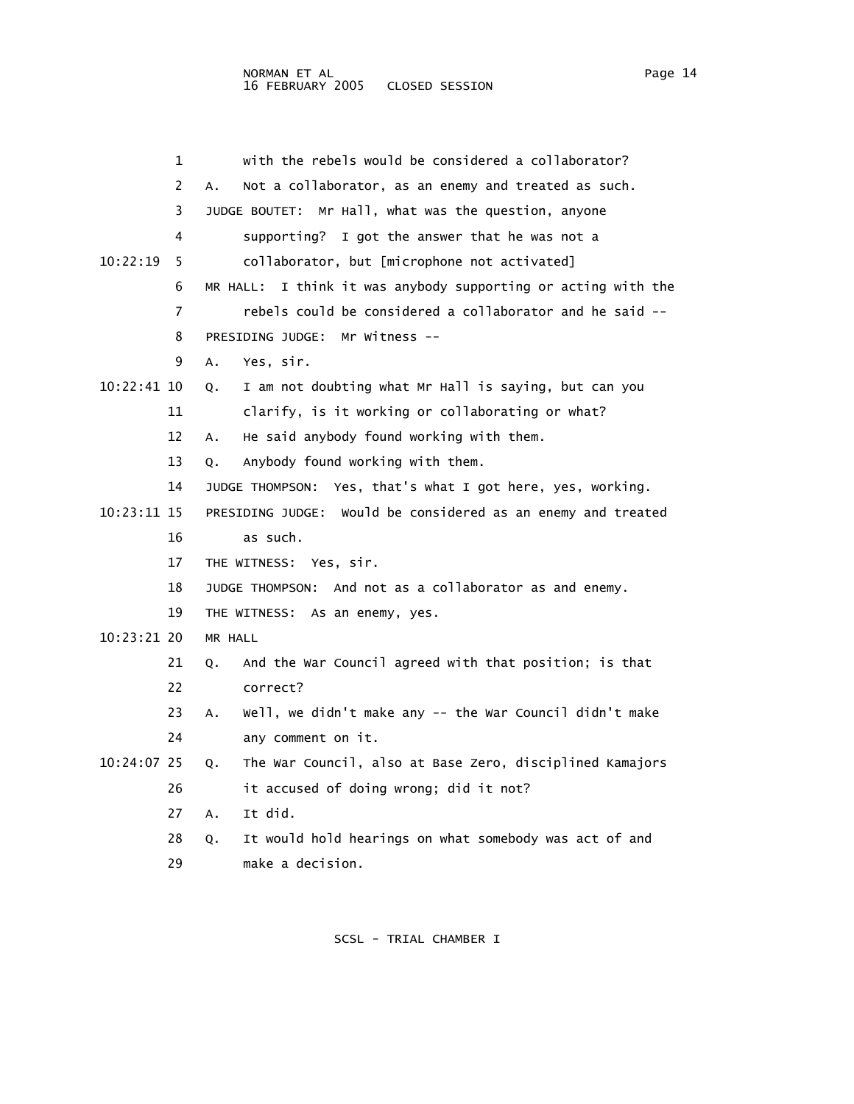|             | 1  | with the rebels would be considered a collaborator?              |
|-------------|----|------------------------------------------------------------------|
|             | 2  | Not a collaborator, as an enemy and treated as such.<br>Α.       |
|             | 3  | JUDGE BOUTET: Mr Hall, what was the question, anyone             |
|             | 4  | I got the answer that he was not a<br>supporting?                |
| 10:22:19    | 5  | collaborator, but [microphone not activated]                     |
|             | 6  | I think it was anybody supporting or acting with the<br>MR HALL: |
|             | 7  | rebels could be considered a collaborator and he said --         |
|             | 8  | PRESIDING JUDGE: Mr Witness --                                   |
|             | 9  | Yes, sir.<br>Α.                                                  |
| 10:22:41 10 |    | I am not doubting what Mr Hall is saying, but can you<br>0.      |
|             | 11 | clarify, is it working or collaborating or what?                 |
|             | 12 | He said anybody found working with them.<br>А.                   |
|             | 13 | Anybody found working with them.<br>О.                           |
|             | 14 | Yes, that's what I got here, yes, working.<br>JUDGE THOMPSON:    |
| 10:23:11 15 |    | PRESIDING JUDGE: Would be considered as an enemy and treated     |
|             | 16 | as such.                                                         |
|             | 17 | THE WITNESS: Yes, sir.                                           |
|             | 18 | JUDGE THOMPSON: And not as a collaborator as and enemy.          |
|             | 19 | THE WITNESS: As an enemy, yes.                                   |
| 10:23:21 20 |    | MR HALL                                                          |
|             | 21 | And the War Council agreed with that position; is that<br>Q.     |
|             | 22 | correct?                                                         |
|             | 23 | Well, we didn't make any -- the War Council didn't make<br>Α.    |
|             | 24 | any comment on it.                                               |
| 10:24:07 25 |    | The War Council, also at Base Zero, disciplined Kamajors<br>Q.   |
|             | 26 | it accused of doing wrong; did it not?                           |
|             | 27 | It did.<br>Α.                                                    |
|             | 28 | It would hold hearings on what somebody was act of and<br>Q.     |
|             | 29 | make a decision.                                                 |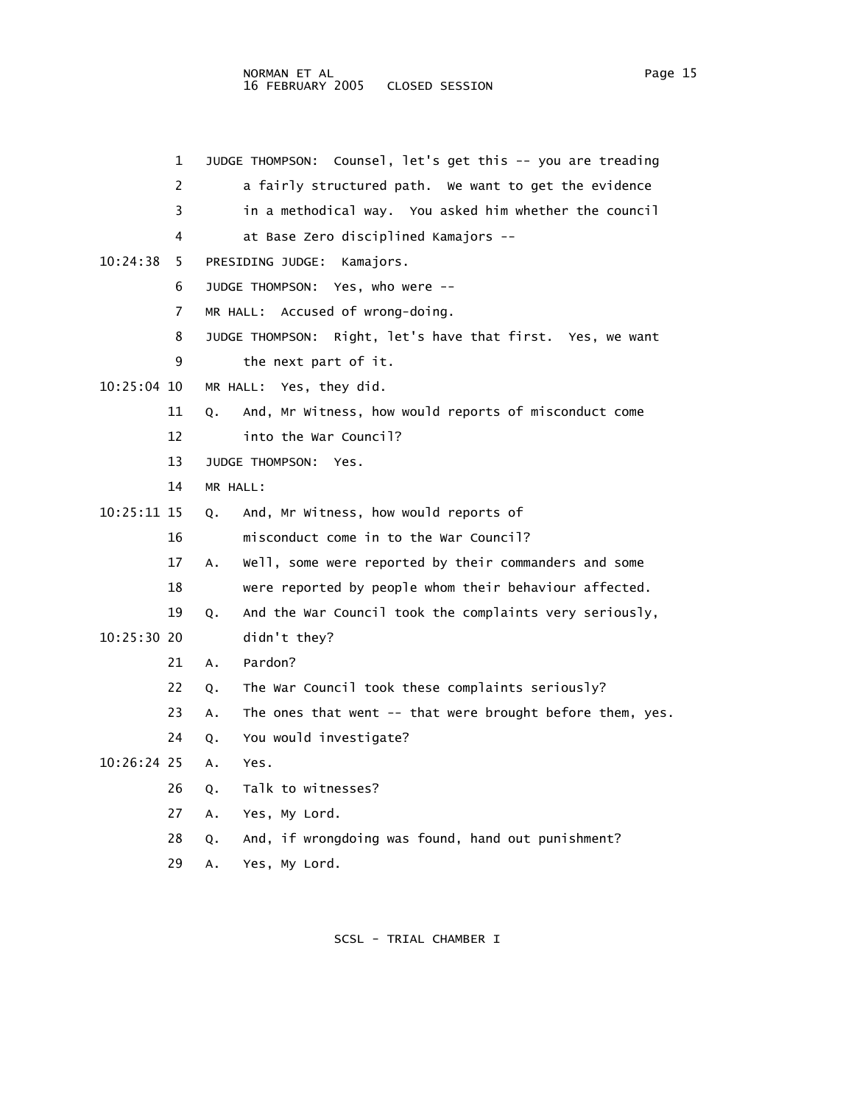|             | 1  | JUDGE THOMPSON: Counsel, let's get this -- you are treading     |
|-------------|----|-----------------------------------------------------------------|
|             | 2  | a fairly structured path. We want to get the evidence           |
|             | 3  | in a methodical way. You asked him whether the council          |
|             | 4  | at Base Zero disciplined Kamajors --                            |
| 10:24:38    | 5  | PRESIDING JUDGE:<br>Kamajors.                                   |
|             | 6  | JUDGE THOMPSON: Yes, who were --                                |
|             | 7  | MR HALL: Accused of wrong-doing.                                |
|             | 8  | JUDGE THOMPSON: Right, let's have that first. Yes, we want      |
|             | 9  | the next part of it.                                            |
| 10:25:04 10 |    | MR HALL: Yes, they did.                                         |
|             | 11 | And, Mr Witness, how would reports of misconduct come<br>Q.     |
|             | 12 | into the War Council?                                           |
|             | 13 | JUDGE THOMPSON:<br>Yes.                                         |
|             | 14 | MR HALL:                                                        |
| 10:25:11 15 |    | And, Mr Witness, how would reports of<br>Q.                     |
|             | 16 | misconduct come in to the War Council?                          |
|             | 17 | Well, some were reported by their commanders and some<br>Α.     |
|             | 18 | were reported by people whom their behaviour affected.          |
|             | 19 | And the War Council took the complaints very seriously,<br>Q.   |
| 10:25:30 20 |    | didn't they?                                                    |
|             | 21 | Pardon?<br>A.                                                   |
|             | 22 | The War Council took these complaints seriously?<br>Q.          |
|             | 23 | The ones that went -- that were brought before them, yes.<br>Α. |
|             | 24 | You would investigate?<br>Q.                                    |
| 10:26:24 25 |    | A.<br>Yes.                                                      |
|             | 26 | Talk to witnesses?<br>Q.                                        |
|             | 27 | Yes, My Lord.<br>Α.                                             |
|             | 28 | And, if wrongdoing was found, hand out punishment?<br>Q.        |

29 A. Yes, My Lord.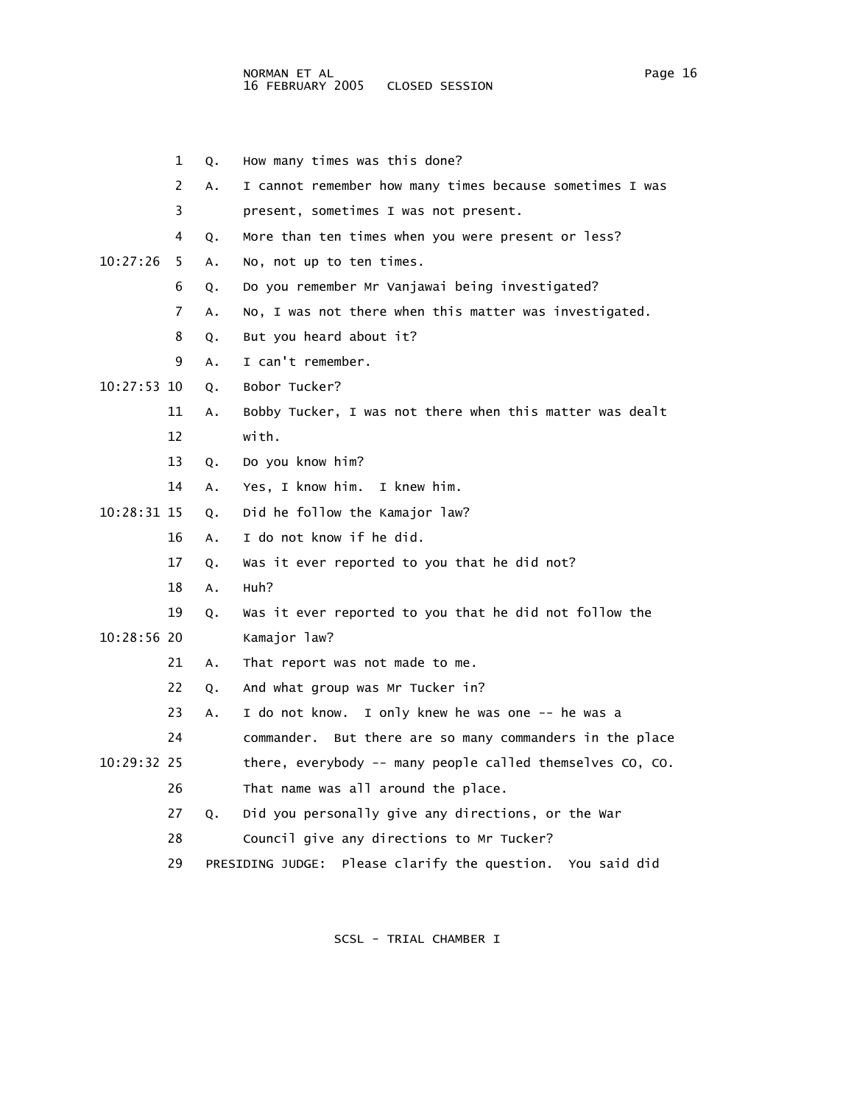4 Q. More than ten times when you were present or less? 6 Q. Do you remember Mr Vanjawai being investigated? 8 Q. But you heard about it? 9 A. I can't remember. 12 with. 13 Q. Do you know him? 14 A. Yes, I know him. I knew him. 10:28:31 15 Q. Did he follow the Kamajor law? 16 A. I do not know if he did. 17 Q. Was it ever reported to you that he did not? 18 A. Huh? 19 Q. Was it ever reported to you that he did not follow the 21 A. That report was not made to me. 22 Q. And what group was Mr Tucker in? 23 A. I do not know. I only knew he was one -- he was a 24 commander. But there are so many commanders in the place 26 That name was all around the place. 27 Q. Did you personally give any directions, or the War 28 Council give any directions to Mr Tucker?

- 1 Q. How many times was this done?
- 2 A. I cannot remember how many times because sometimes I was
- 3 present, sometimes I was not present.
- 
- 10:27:26 5 A. No, not up to ten times.
	- 7 A. No, I was not there when this matter was investigated.
- 10:27:53 10 Q. Bobor Tucker?
	- 11 A. Bobby Tucker, I was not there when this matter was dealt
- -
- 10:28:56 20 Kamajor law?
	-
	-
- 10:29:32 25 there, everybody -- many people called themselves CO, CO.
	-
	- 29 PRESIDING JUDGE: Please clarify the question. You said did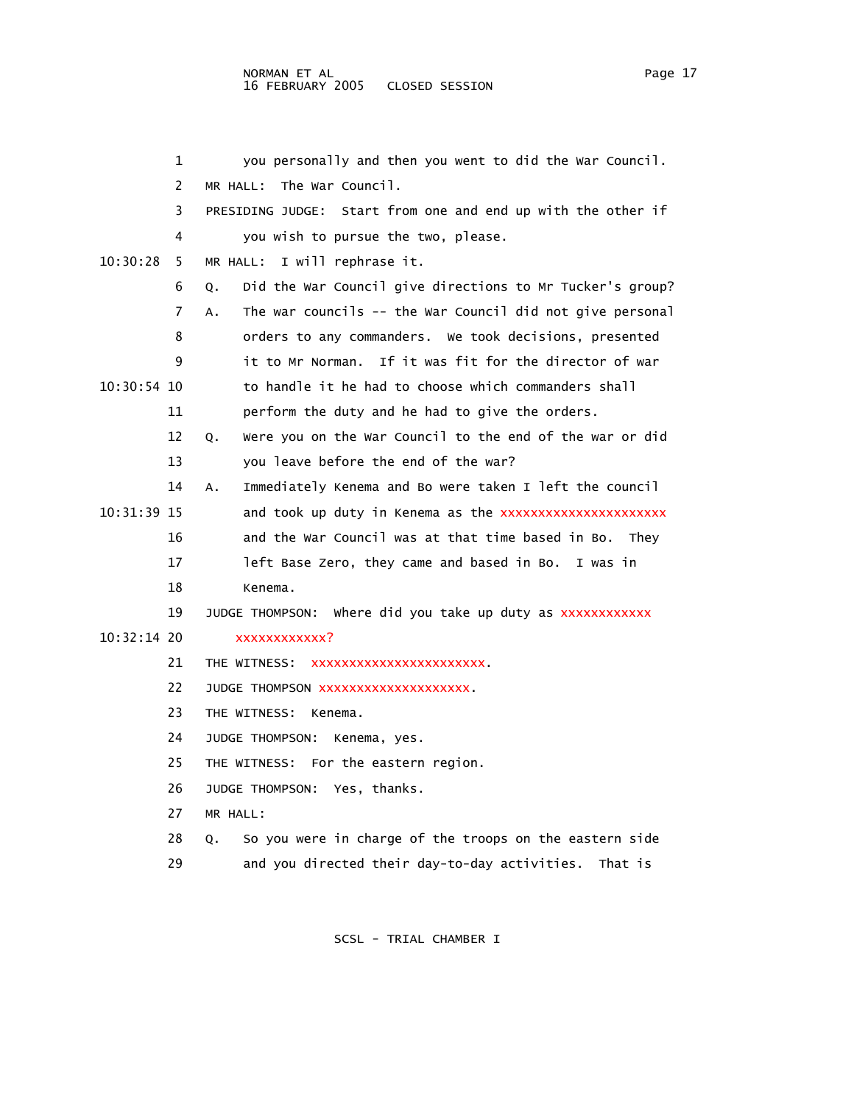|             | 1  | you personally and then you went to did the War Council.        |
|-------------|----|-----------------------------------------------------------------|
|             | 2  | The War Council.<br>MR HALL:                                    |
|             | 3  | PRESIDING JUDGE: Start from one and end up with the other if    |
|             | 4  | you wish to pursue the two, please.                             |
| 10:30:28    | 5. | MR HALL: I will rephrase it.                                    |
|             | 6  | Did the War Council give directions to Mr Tucker's group?<br>Q. |
|             | 7  | The war councils -- the War Council did not give personal<br>А. |
|             | 8  | orders to any commanders. We took decisions, presented          |
|             | 9  | it to Mr Norman. If it was fit for the director of war          |
| 10:30:54 10 |    | to handle it he had to choose which commanders shall            |
|             | 11 | perform the duty and he had to give the orders.                 |
|             | 12 | Were you on the War Council to the end of the war or did<br>Q.  |
|             | 13 | you leave before the end of the war?                            |
|             | 14 | Immediately Kenema and Bo were taken I left the council<br>А.   |
| 10:31:39 15 |    | and took up duty in Kenema as the xxxxxxxxxxxxxxxxxxxxxx        |
|             | 16 | and the War Council was at that time based in Bo. They          |
|             | 17 | left Base Zero, they came and based in Bo. I was in             |
|             | 18 | Kenema.                                                         |
|             | 19 | JUDGE THOMPSON: Where did you take up duty as xxxxxxxxxxxx      |
| 10:32:14 20 |    | xxxxxxxxxxxx?                                                   |
|             | 21 | THE WITNESS: XXXXXXXXXXXXXXXXXXXXXX.                            |
|             | 22 | JUDGE THOMPSON XXXXXXXXXXXXXXXXXXX.                             |
|             | 23 | THE WITNESS: Kenema.                                            |
|             | 24 | JUDGE THOMPSON:<br>Kenema, yes.                                 |
|             | 25 | THE WITNESS: For the eastern region.                            |
|             | 26 | JUDGE THOMPSON: Yes, thanks.                                    |
|             | 27 | MR HALL:                                                        |
|             | 28 | So you were in charge of the troops on the eastern side<br>Q.   |
|             | 29 | and you directed their day-to-day activities.<br>That is        |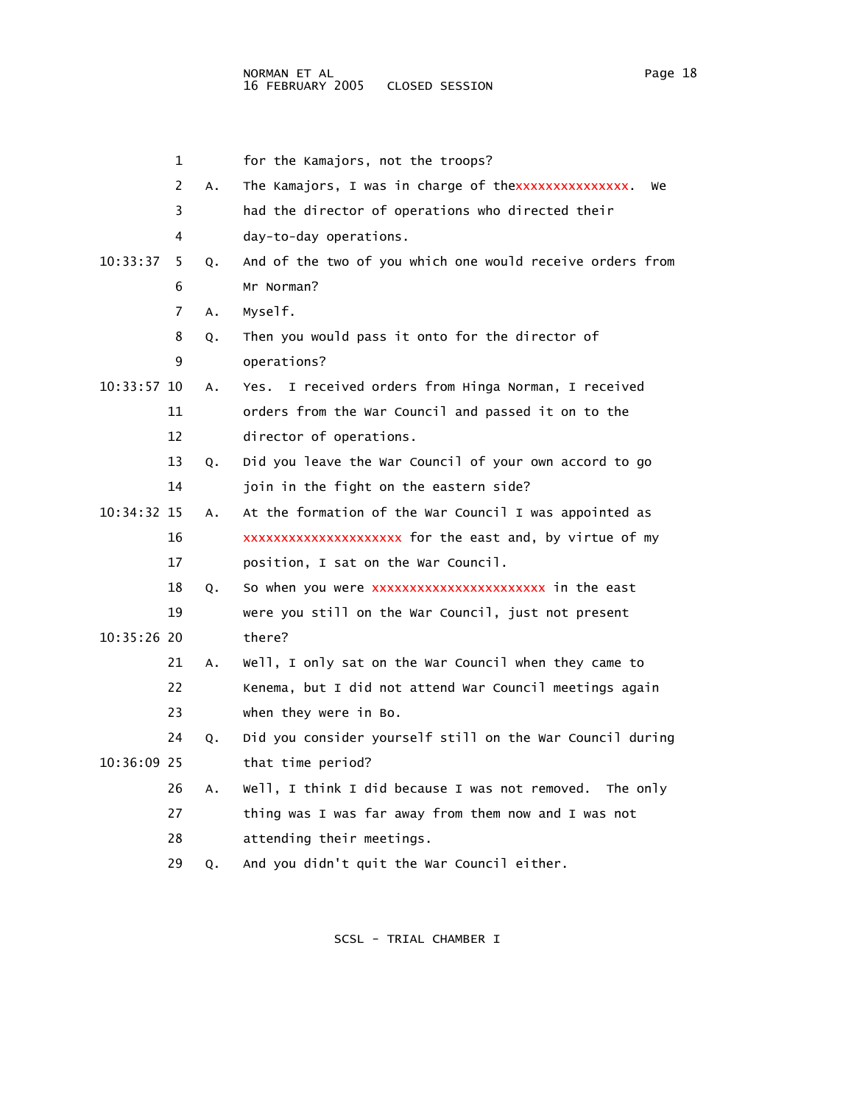|             | 1  |    | for the Kamajors, not the troops?                         |
|-------------|----|----|-----------------------------------------------------------|
|             | 2  | Α. | The Kamajors, I was in charge of thexxxxxxxxxxxxxx.<br>we |
|             | 3  |    | had the director of operations who directed their         |
|             | 4  |    | day-to-day operations.                                    |
| 10:33:37    | 5  | Q. | And of the two of you which one would receive orders from |
|             | 6  |    | Mr Norman?                                                |
|             | 7  | A. | Myself.                                                   |
|             | 8  | Q. | Then you would pass it onto for the director of           |
|             | 9  |    | operations?                                               |
| 10:33:57 10 |    | Α. | I received orders from Hinga Norman, I received<br>Yes.   |
|             | 11 |    | orders from the War Council and passed it on to the       |
|             | 12 |    | director of operations.                                   |
|             | 13 | Q. | Did you leave the War Council of your own accord to go    |
|             | 14 |    | join in the fight on the eastern side?                    |
| 10:34:32 15 |    | Α. | At the formation of the War Council I was appointed as    |
|             | 16 |    | xxxxxxxxxxxxxxxxxxxx for the east and, by virtue of my    |
|             | 17 |    | position, I sat on the War Council.                       |
|             | 18 | Q. | So when you were xxxxxxxxxxxxxxxxxxxxxxx in the east      |
|             | 19 |    | were you still on the War Council, just not present       |
| 10:35:26 20 |    |    | there?                                                    |
|             | 21 | Α. | Well, I only sat on the War Council when they came to     |
|             | 22 |    | Kenema, but I did not attend War Council meetings again   |
|             | 23 |    | when they were in Bo.                                     |
|             | 24 | Q. | Did you consider yourself still on the War Council during |
| 10:36:09 25 |    |    | that time period?                                         |
|             | 26 | Α. | Well, I think I did because I was not removed. The only   |
|             | 27 |    | thing was I was far away from them now and I was not      |
|             | 28 |    | attending their meetings.                                 |
|             | 29 | Q. | And you didn't quit the War Council either.               |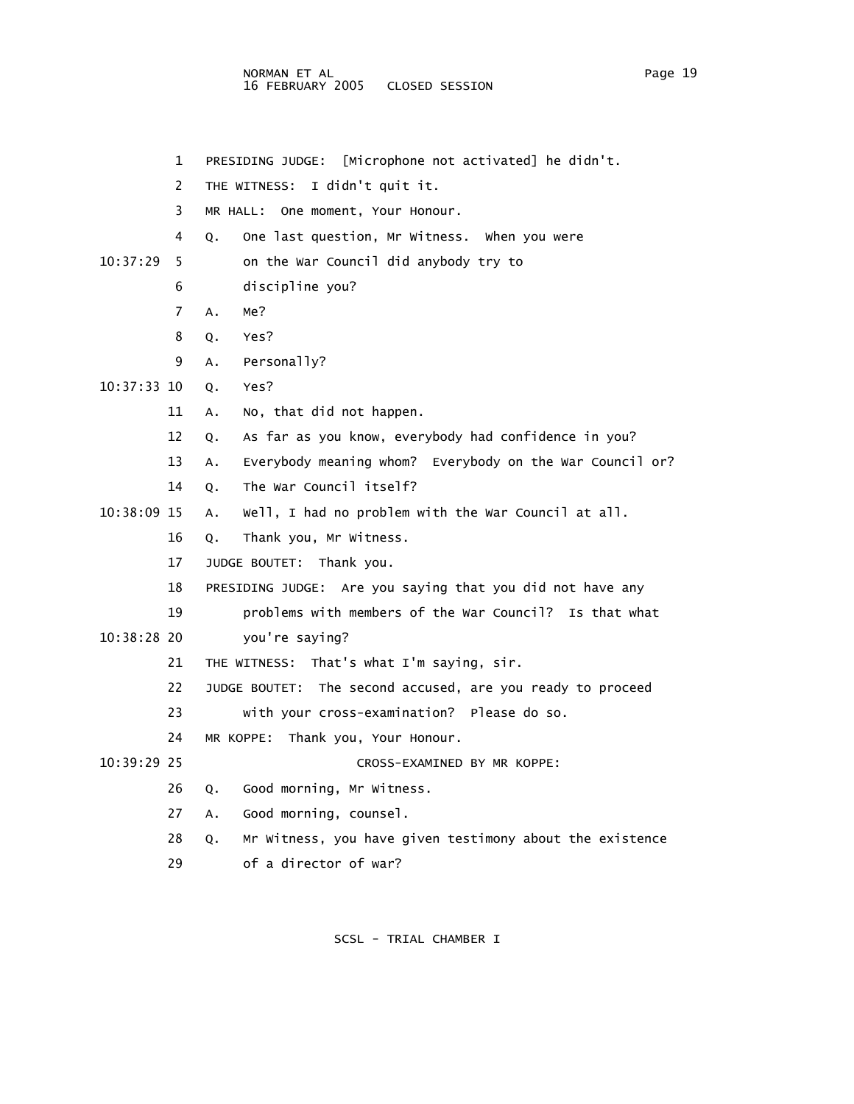- 1 PRESIDING JUDGE: [Microphone not activated] he didn't.
- 2 THE WITNESS: I didn't quit it.
- 3 MR HALL: One moment, Your Honour.
- 4 Q. One last question, Mr Witness. When you were
- 10:37:29 5 on the War Council did anybody try to
	- 6 discipline you?
	- 7 A. Me?
	- 8 Q. Yes?
	- 9 A. Personally?
- 10:37:33 10 Q. Yes?
	- 11 A. No, that did not happen.
	- 12 Q. As far as you know, everybody had confidence in you?
	- 13 A. Everybody meaning whom? Everybody on the War Council or?
	- 14 Q. The War Council itself?
- 10:38:09 15 A. Well, I had no problem with the War Council at all.
	- 16 Q. Thank you, Mr Witness.
	- 17 JUDGE BOUTET: Thank you.
	- 18 PRESIDING JUDGE: Are you saying that you did not have any
	- 19 problems with members of the War Council? Is that what
- 10:38:28 20 you're saying?
	- 21 THE WITNESS: That's what I'm saying, sir.
	- 22 JUDGE BOUTET: The second accused, are you ready to proceed
	- 23 with your cross-examination? Please do so.
	- 24 MR KOPPE: Thank you, Your Honour.
- 10:39:29 25 CROSS-EXAMINED BY MR KOPPE:
	- 26 Q. Good morning, Mr Witness.
	- 27 A. Good morning, counsel.
	- 28 Q. Mr Witness, you have given testimony about the existence
	- 29 of a director of war?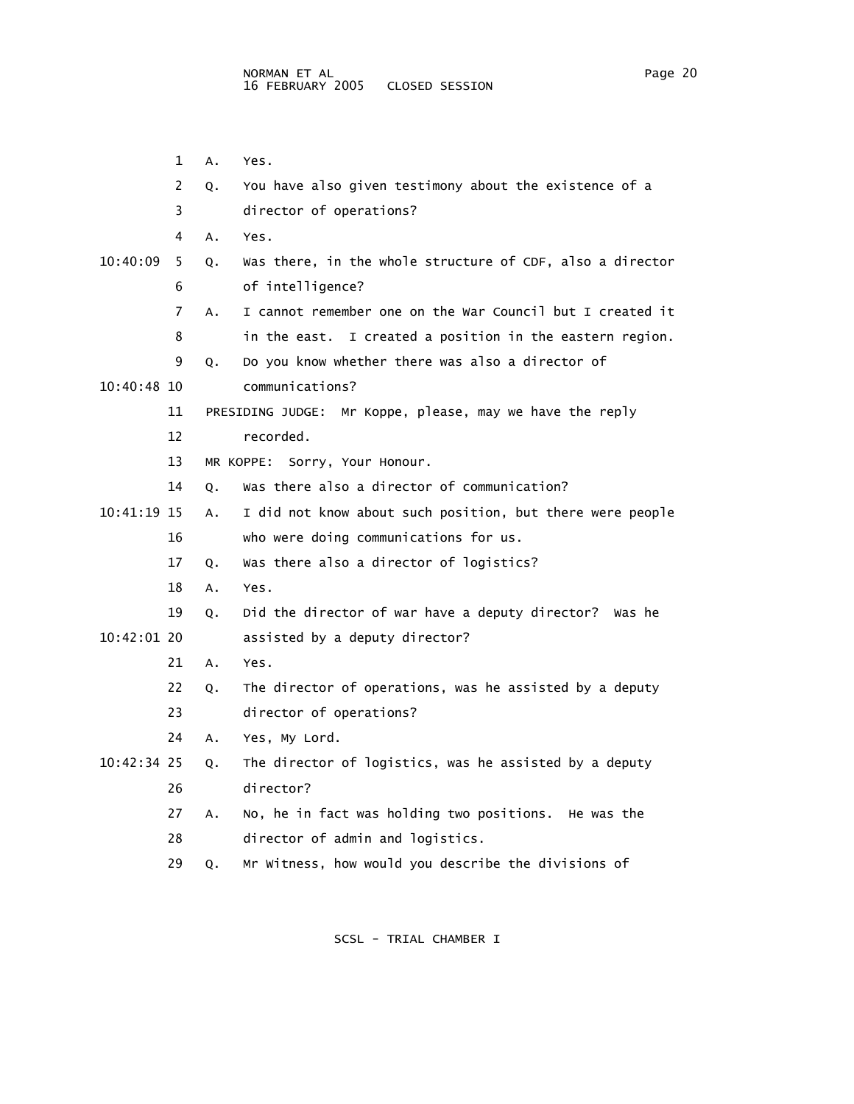1 A. Yes. 2 Q. You have also given testimony about the existence of a 3 director of operations? 4 A. Yes. 10:40:09 5 Q. Was there, in the whole structure of CDF, also a director 6 of intelligence? 7 A. I cannot remember one on the War Council but I created it 8 in the east. I created a position in the eastern region. 9 Q. Do you know whether there was also a director of 10:40:48 10 communications? 11 PRESIDING JUDGE: Mr Koppe, please, may we have the reply 12 recorded. 13 MR KOPPE: Sorry, Your Honour. 14 Q. Was there also a director of communication? 10:41:19 15 A. I did not know about such position, but there were people 16 who were doing communications for us. 17 Q. Was there also a director of logistics? 18 A. Yes. 19 Q. Did the director of war have a deputy director? Was he 10:42:01 20 assisted by a deputy director? 21 A. Yes. 22 Q. The director of operations, was he assisted by a deputy 23 director of operations? 24 A. Yes, My Lord. 10:42:34 25 Q. The director of logistics, was he assisted by a deputy 26 director? 27 A. No, he in fact was holding two positions. He was the 28 director of admin and logistics.

29 Q. Mr Witness, how would you describe the divisions of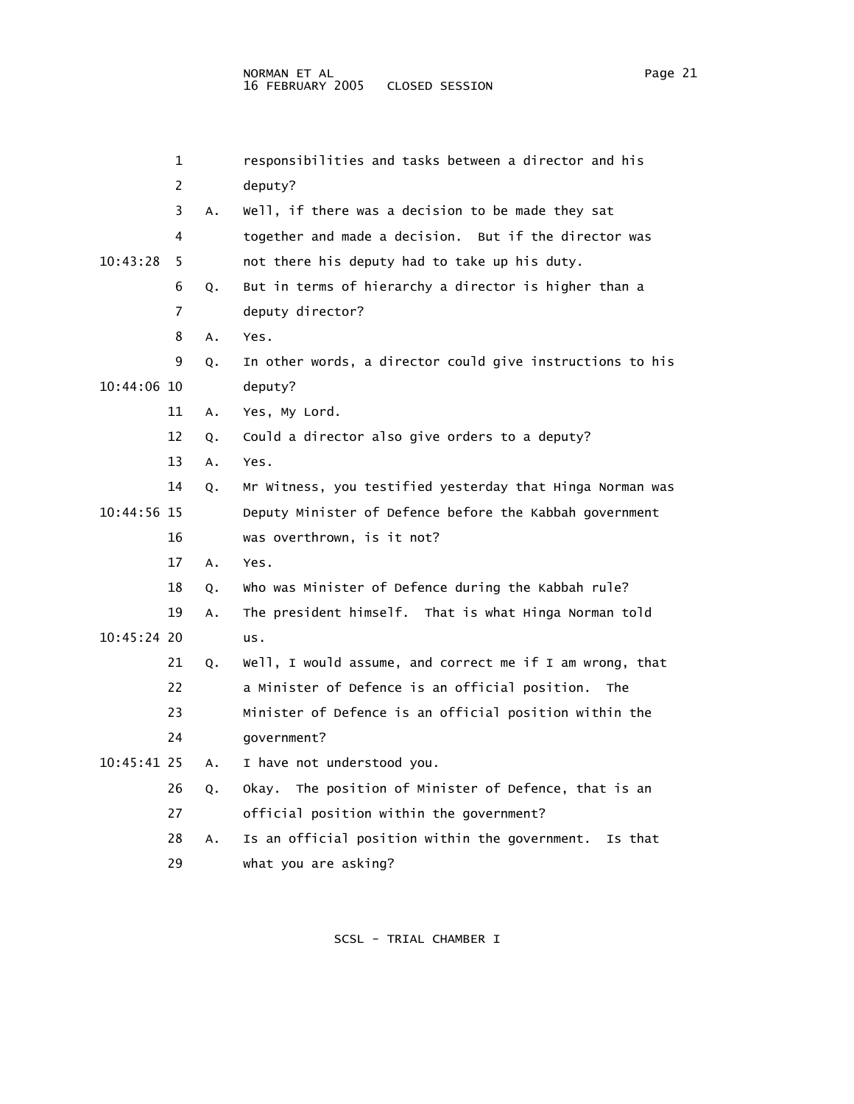|               | 1              |                | responsibilities and tasks between a director and his     |
|---------------|----------------|----------------|-----------------------------------------------------------|
|               | $\overline{c}$ |                | deputy?                                                   |
|               | 3              | А.             | Well, if there was a decision to be made they sat         |
|               | 4              |                | together and made a decision. But if the director was     |
| 10:43:28      | 5              |                | not there his deputy had to take up his duty.             |
|               | 6              | Q.             | But in terms of hierarchy a director is higher than a     |
|               | 7              |                | deputy director?                                          |
|               | 8              | Α.             | Yes.                                                      |
|               | 9              | Q.             | In other words, a director could give instructions to his |
| 10:44:06 10   |                |                | deputy?                                                   |
|               | 11             | А.             | Yes, My Lord.                                             |
|               | 12             | Q.             | Could a director also give orders to a deputy?            |
|               | 13             | А.             | Yes.                                                      |
|               | 14             | Q.             | Mr Witness, you testified yesterday that Hinga Norman was |
| $10:44:56$ 15 |                |                | Deputy Minister of Defence before the Kabbah government   |
|               | 16             |                | was overthrown, is it not?                                |
|               | 17             | Α.             | Yes.                                                      |
|               | 18             | Q.             | Who was Minister of Defence during the Kabbah rule?       |
|               | 19             | А.             | The president himself. That is what Hinga Norman told     |
| $10:45:24$ 20 |                |                | us.                                                       |
|               | 21             | Q <sub>z</sub> | Well, I would assume, and correct me if I am wrong, that  |
|               | 22             |                | a Minister of Defence is an official position. The        |
|               | 23             |                | Minister of Defence is an official position within the    |

24 government?

10:45:41 25 A. I have not understood you.

 26 Q. Okay. The position of Minister of Defence, that is an 27 official position within the government?

 28 A. Is an official position within the government. Is that 29 what you are asking?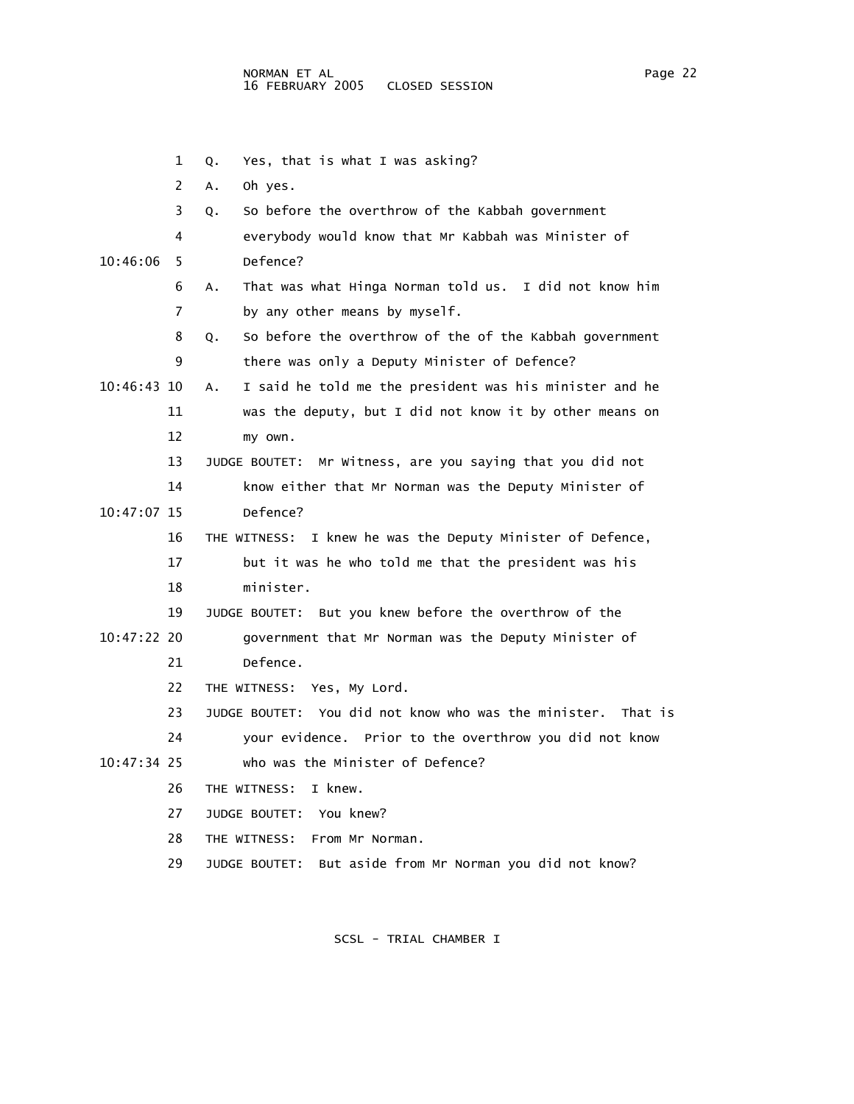- 1 Q. Yes, that is what I was asking? 2 A. Oh yes. 3 Q. So before the overthrow of the Kabbah government 4 everybody would know that Mr Kabbah was Minister of 10:46:06 5 Defence? 6 A. That was what Hinga Norman told us. I did not know him 7 by any other means by myself. 8 Q. So before the overthrow of the of the Kabbah government 9 there was only a Deputy Minister of Defence? 10:46:43 10 A. I said he told me the president was his minister and he 11 was the deputy, but I did not know it by other means on 12 my own. 13 JUDGE BOUTET: Mr Witness, are you saying that you did not 14 know either that Mr Norman was the Deputy Minister of 10:47:07 15 Defence? 16 THE WITNESS: I knew he was the Deputy Minister of Defence, 17 but it was he who told me that the president was his 18 minister. 19 JUDGE BOUTET: But you knew before the overthrow of the 10:47:22 20 government that Mr Norman was the Deputy Minister of 21 Defence. 22 THE WITNESS: Yes, My Lord. 23 JUDGE BOUTET: You did not know who was the minister. That is 24 your evidence. Prior to the overthrow you did not know 10:47:34 25 who was the Minister of Defence? 26 THE WITNESS: I knew. 27 JUDGE BOUTET: You knew? 28 THE WITNESS: From Mr Norman.
	- 29 JUDGE BOUTET: But aside from Mr Norman you did not know?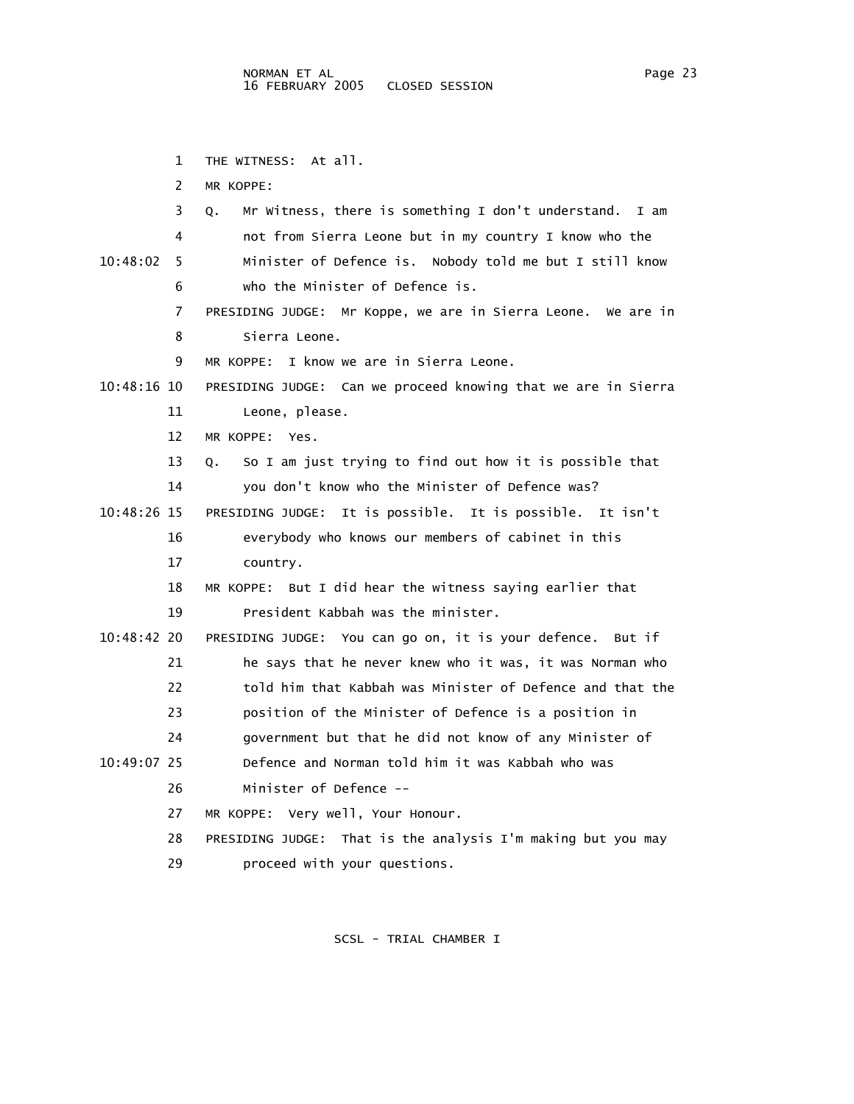1 THE WITNESS: At all.

2 MR KOPPE:

|             | 3  | Mr Witness, there is something I don't understand.<br>Q.<br>I am |
|-------------|----|------------------------------------------------------------------|
|             | 4  | not from Sierra Leone but in my country I know who the           |
| 10:48:02    | 5  | Minister of Defence is. Nobody told me but I still know          |
|             | 6  | who the Minister of Defence is.                                  |
|             | 7  | PRESIDING JUDGE: Mr Koppe, we are in Sierra Leone. We are in     |
|             | 8  | Sierra Leone.                                                    |
|             | 9  | I know we are in Sierra Leone.<br>MR KOPPE:                      |
| 10:48:16 10 |    | PRESIDING JUDGE: Can we proceed knowing that we are in Sierra    |
|             | 11 | Leone, please.                                                   |
|             | 12 | MR KOPPE: Yes.                                                   |
|             | 13 | So I am just trying to find out how it is possible that<br>Q.    |
|             | 14 | you don't know who the Minister of Defence was?                  |
| 10:48:26 15 |    | It is possible. It is possible. It isn't<br>PRESIDING JUDGE:     |
|             | 16 | everybody who knows our members of cabinet in this               |
|             | 17 | country.                                                         |
|             | 18 | MR KOPPE: But I did hear the witness saying earlier that         |
|             | 19 | President Kabbah was the minister.                               |
| 10:48:42 20 |    | PRESIDING JUDGE: You can go on, it is your defence.<br>But if    |
|             | 21 | he says that he never knew who it was, it was Norman who         |
|             | 22 | told him that Kabbah was Minister of Defence and that the        |
|             | 23 | position of the Minister of Defence is a position in             |
|             | 24 | government but that he did not know of any Minister of           |
| 10:49:07 25 |    | Defence and Norman told him it was Kabbah who was                |
|             | 26 | Minister of Defence --                                           |
|             | 27 | MR KOPPE: Very well, Your Honour.                                |
|             | 28 | PRESIDING JUDGE: That is the analysis I'm making but you may     |
|             | 29 | proceed with your questions.                                     |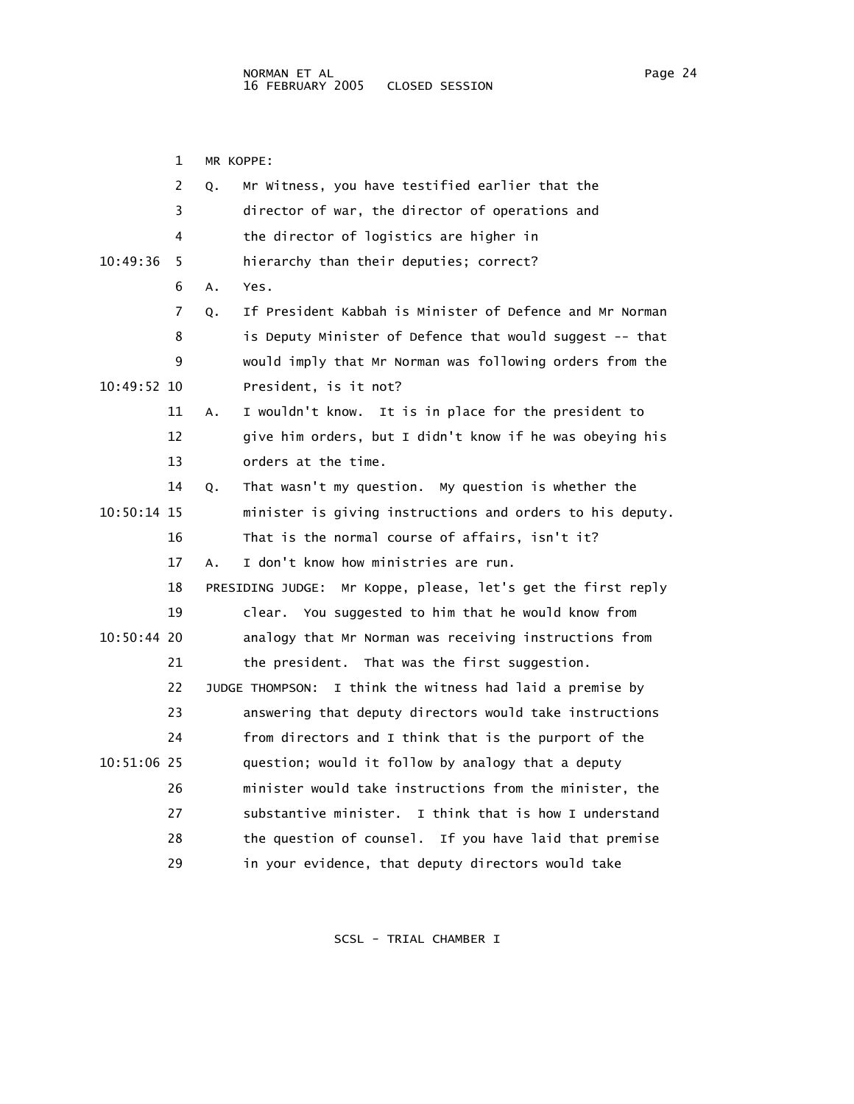1 MR KOPPE: 2 Q. Mr Witness, you have testified earlier that the 3 director of war, the director of operations and 4 the director of logistics are higher in 10:49:36 5 hierarchy than their deputies; correct? 6 A. Yes. 7 Q. If President Kabbah is Minister of Defence and Mr Norman 8 is Deputy Minister of Defence that would suggest -- that 9 would imply that Mr Norman was following orders from the 10:49:52 10 President, is it not? 11 A. I wouldn't know. It is in place for the president to 12 give him orders, but I didn't know if he was obeying his 13 orders at the time. 14 Q. That wasn't my question. My question is whether the 10:50:14 15 minister is giving instructions and orders to his deputy. 16 That is the normal course of affairs, isn't it? 17 A. I don't know how ministries are run. 18 PRESIDING JUDGE: Mr Koppe, please, let's get the first reply 19 clear. You suggested to him that he would know from 10:50:44 20 analogy that Mr Norman was receiving instructions from 21 the president. That was the first suggestion. 22 JUDGE THOMPSON: I think the witness had laid a premise by 23 answering that deputy directors would take instructions 24 from directors and I think that is the purport of the 10:51:06 25 question; would it follow by analogy that a deputy 26 minister would take instructions from the minister, the 27 substantive minister. I think that is how I understand 28 the question of counsel. If you have laid that premise 29 in your evidence, that deputy directors would take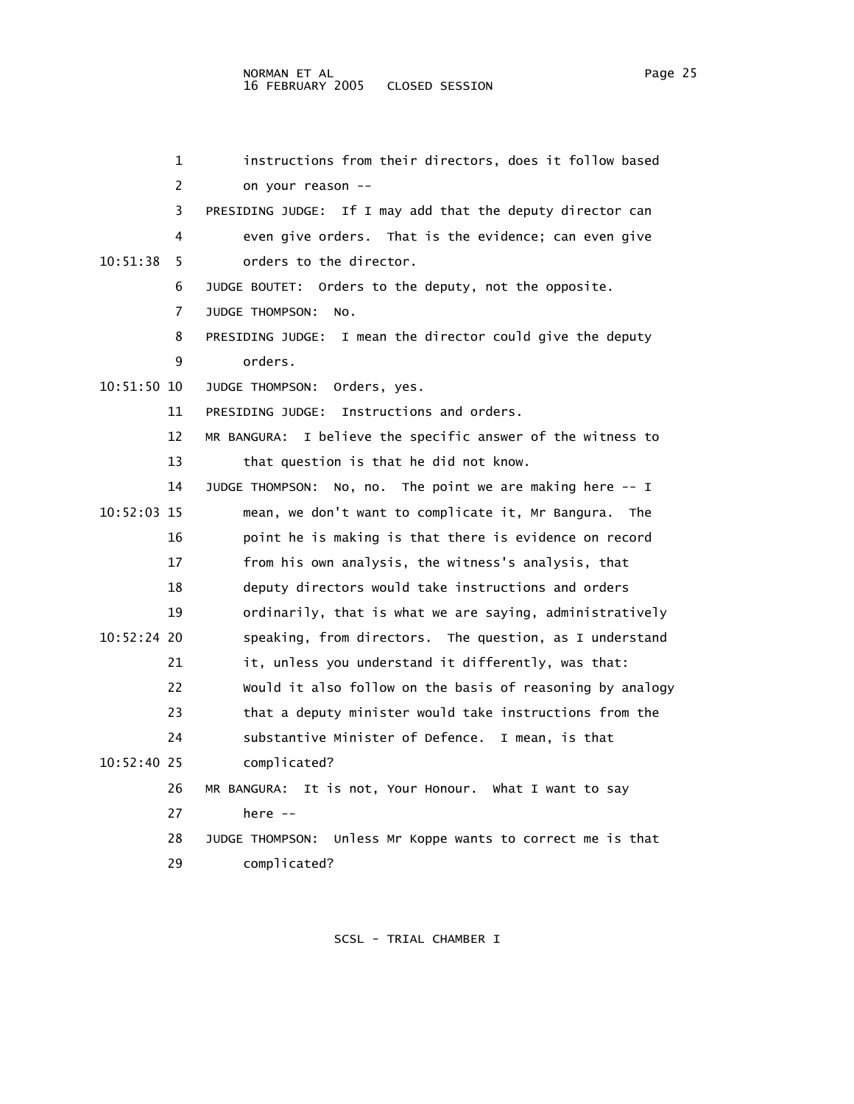| 1             | instructions from their directors, does it follow based         |
|---------------|-----------------------------------------------------------------|
| 2             | on your reason --                                               |
| 3             | PRESIDING JUDGE: If I may add that the deputy director can      |
| 4             | even give orders. That is the evidence; can even give           |
| 10:51:38<br>5 | orders to the director.                                         |
| 6             | JUDGE BOUTET: Orders to the deputy, not the opposite.           |
| 7             | JUDGE THOMPSON:<br>NO.                                          |
| 8             | I mean the director could give the deputy<br>PRESIDING JUDGE:   |
| 9             | orders.                                                         |
| 10:51:50 10   | JUDGE THOMPSON:<br>Orders, yes.                                 |
| 11            | Instructions and orders.<br>PRESIDING JUDGE:                    |
| 12            | MR BANGURA: I believe the specific answer of the witness to     |
| 13            | that question is that he did not know.                          |
| 14            | No, no. The point we are making here $-1$<br>JUDGE THOMPSON:    |
| 10:52:03 15   | mean, we don't want to complicate it, Mr Bangura.<br><b>The</b> |
| 16            | point he is making is that there is evidence on record          |
| 17            | from his own analysis, the witness's analysis, that             |
| 18            | deputy directors would take instructions and orders             |
| 19            | ordinarily, that is what we are saying, administratively        |
| 10:52:24 20   | speaking, from directors. The question, as I understand         |
| 21            | it, unless you understand it differently, was that:             |
| 22            | Would it also follow on the basis of reasoning by analogy       |
| 23            | that a deputy minister would take instructions from the         |
| 24            | substantive Minister of Defence. I mean, is that                |
| 10:52:40 25   | complicated?                                                    |
| 26            | MR BANGURA: It is not, Your Honour. What I want to say          |
| 27            | here $--$                                                       |
| 28            | Unless Mr Koppe wants to correct me is that<br>JUDGE THOMPSON:  |
| 29            | complicated?                                                    |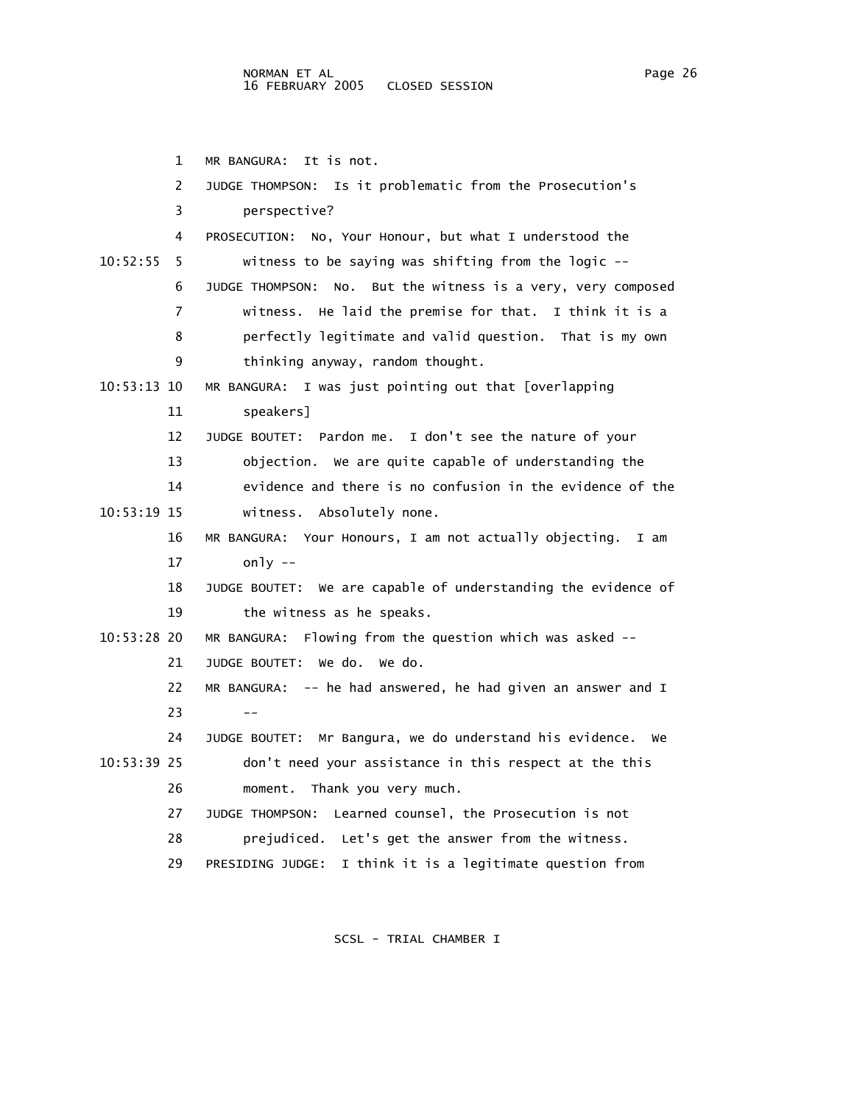1 MR BANGURA: It is not. 2 JUDGE THOMPSON: Is it problematic from the Prosecution's 3 perspective? 4 PROSECUTION: No, Your Honour, but what I understood the 10:52:55 5 witness to be saying was shifting from the logic -- 6 JUDGE THOMPSON: No. But the witness is a very, very composed 7 witness. He laid the premise for that. I think it is a 8 perfectly legitimate and valid question. That is my own 9 thinking anyway, random thought. 10:53:13 10 MR BANGURA: I was just pointing out that [overlapping 11 speakers] 12 JUDGE BOUTET: Pardon me. I don't see the nature of your 13 objection. We are quite capable of understanding the 14 evidence and there is no confusion in the evidence of the 10:53:19 15 witness. Absolutely none. 16 MR BANGURA: Your Honours, I am not actually objecting. I am 17 only -- 18 JUDGE BOUTET: We are capable of understanding the evidence of 19 the witness as he speaks. 10:53:28 20 MR BANGURA: Flowing from the question which was asked -- 21 JUDGE BOUTET: We do. We do. 22 MR BANGURA: -- he had answered, he had given an answer and I  $23 - -$  24 JUDGE BOUTET: Mr Bangura, we do understand his evidence. We 10:53:39 25 don't need your assistance in this respect at the this 26 moment. Thank you very much. 27 JUDGE THOMPSON: Learned counsel, the Prosecution is not 28 prejudiced. Let's get the answer from the witness. 29 PRESIDING JUDGE: I think it is a legitimate question from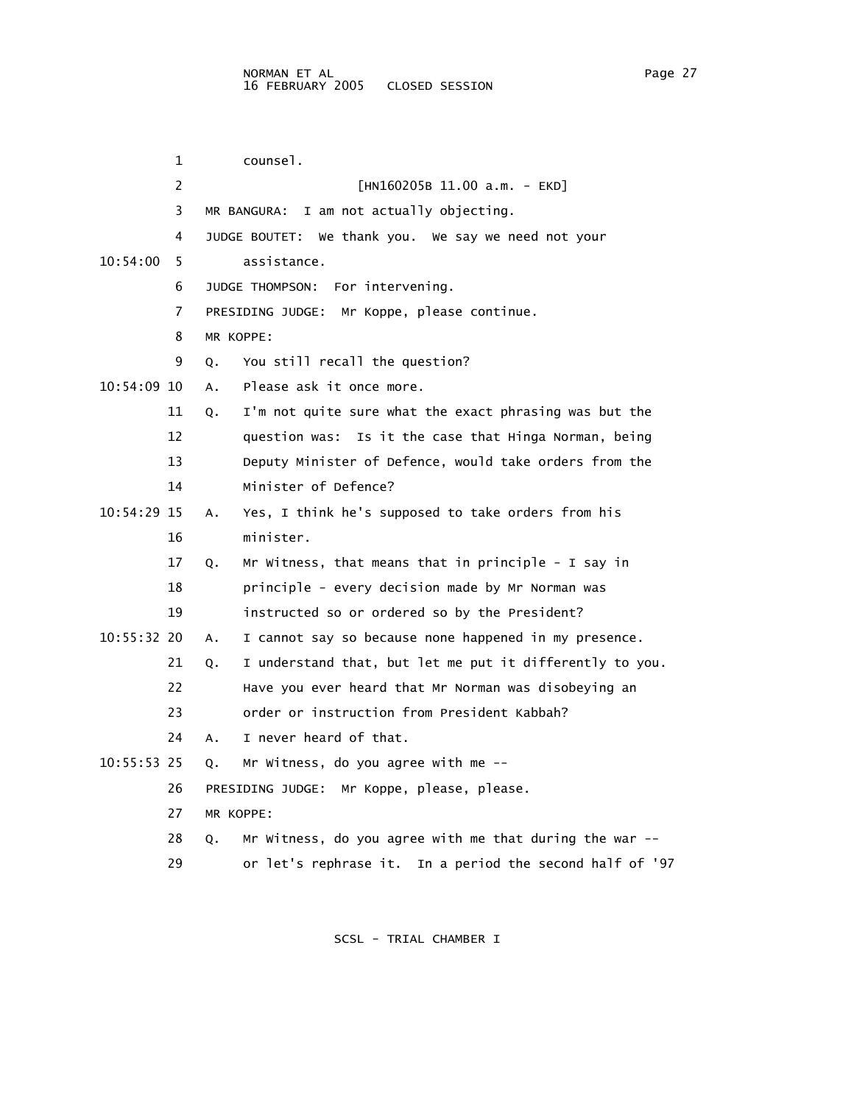|             | 1  | counsel.                                                       |
|-------------|----|----------------------------------------------------------------|
|             | 2  | $[HM160205B 11.00 a.m. - EKD]$                                 |
|             | 3  | MR BANGURA: I am not actually objecting.                       |
|             | 4  | We thank you. We say we need not your<br>JUDGE BOUTET:         |
| 10:54:00    | 5  | assistance.                                                    |
|             | 6  | JUDGE THOMPSON: For intervening.                               |
|             | 7  | PRESIDING JUDGE: Mr Koppe, please continue.                    |
|             | 8  | MR KOPPE:                                                      |
|             | 9  | You still recall the question?<br>Q.                           |
| 10:54:09 10 |    | Please ask it once more.<br>Α.                                 |
|             | 11 | I'm not quite sure what the exact phrasing was but the<br>Q.   |
|             | 12 | question was: Is it the case that Hinga Norman, being          |
|             | 13 | Deputy Minister of Defence, would take orders from the         |
|             | 14 | Minister of Defence?                                           |
| 10:54:29 15 |    | Yes, I think he's supposed to take orders from his<br>Α.       |
|             | 16 | minister.                                                      |
|             | 17 | Mr Witness, that means that in principle - I say in<br>Q.      |
|             | 18 | principle - every decision made by Mr Norman was               |
|             | 19 | instructed so or ordered so by the President?                  |
| 10:55:32 20 |    | I cannot say so because none happened in my presence.<br>Α.    |
|             | 21 | I understand that, but let me put it differently to you.<br>Q. |
|             | 22 | Have you ever heard that Mr Norman was disobeying an           |
|             | 23 | order or instruction from President Kabbah?                    |
|             | 24 | I never heard of that.<br>А.                                   |
| 10:55:53 25 |    | Mr Witness, do you agree with me --<br>Q.                      |
|             | 26 | PRESIDING JUDGE: Mr Koppe, please, please.                     |
|             | 27 | MR KOPPE:                                                      |
|             | 28 | Mr Witness, do you agree with me that during the war --<br>Ο.  |
|             | 29 | or let's rephrase it. In a period the second half of '97       |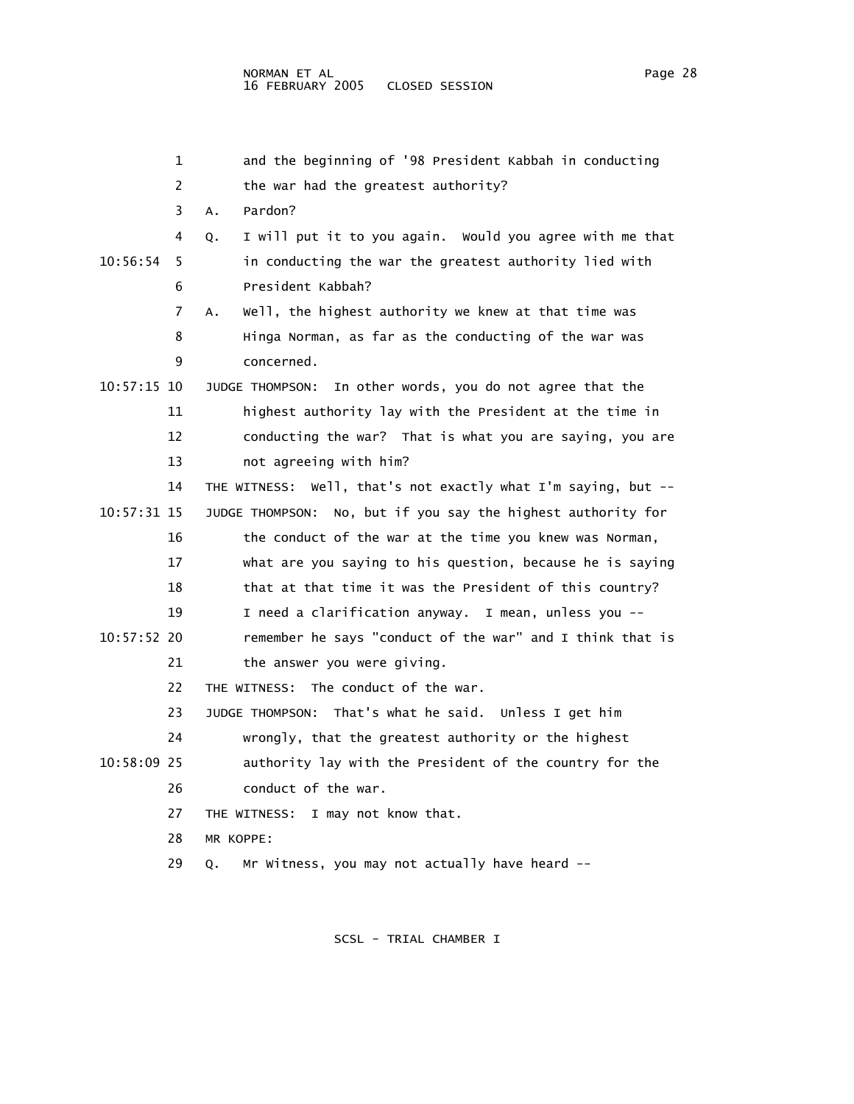| 1             | and the beginning of '98 President Kabbah in conducting        |
|---------------|----------------------------------------------------------------|
| 2             | the war had the greatest authority?                            |
| 3             | Pardon?<br>Α.                                                  |
| 4             | I will put it to you again. Would you agree with me that<br>Q. |
| 10:56:54<br>5 | in conducting the war the greatest authority lied with         |
| 6             | President Kabbah?                                              |
| 7             | Well, the highest authority we knew at that time was<br>А.     |
| 8             | Hinga Norman, as far as the conducting of the war was          |
| 9             | concerned.                                                     |
| 10:57:15 10   | JUDGE THOMPSON: In other words, you do not agree that the      |
| 11            | highest authority lay with the President at the time in        |
| 12            | conducting the war? That is what you are saying, you are       |
| 13            | not agreeing with him?                                         |
| 14            | THE WITNESS: Well, that's not exactly what I'm saying, but --  |
| 10:57:31 15   | JUDGE THOMPSON: No, but if you say the highest authority for   |
| 16            | the conduct of the war at the time you knew was Norman,        |
| 17            | what are you saying to his question, because he is saying      |
| 18            | that at that time it was the President of this country?        |
| 19            | I need a clarification anyway. I mean, unless you --           |
| 10:57:52 20   | remember he says "conduct of the war" and I think that is      |
| 21            | the answer you were giving.                                    |
| 22            | The conduct of the war.<br>THE WITNESS:                        |
| 23            | JUDGE THOMPSON: That's what he said. Unless I get him          |
| 24            | wrongly, that the greatest authority or the highest            |
| 10:58:09 25   | authority lay with the President of the country for the        |
| 26            | conduct of the war.                                            |
| 27            | THE WITNESS: I may not know that.                              |
| 28            | MR KOPPE:                                                      |
| 29            | Mr Witness, you may not actually have heard --<br>Q.           |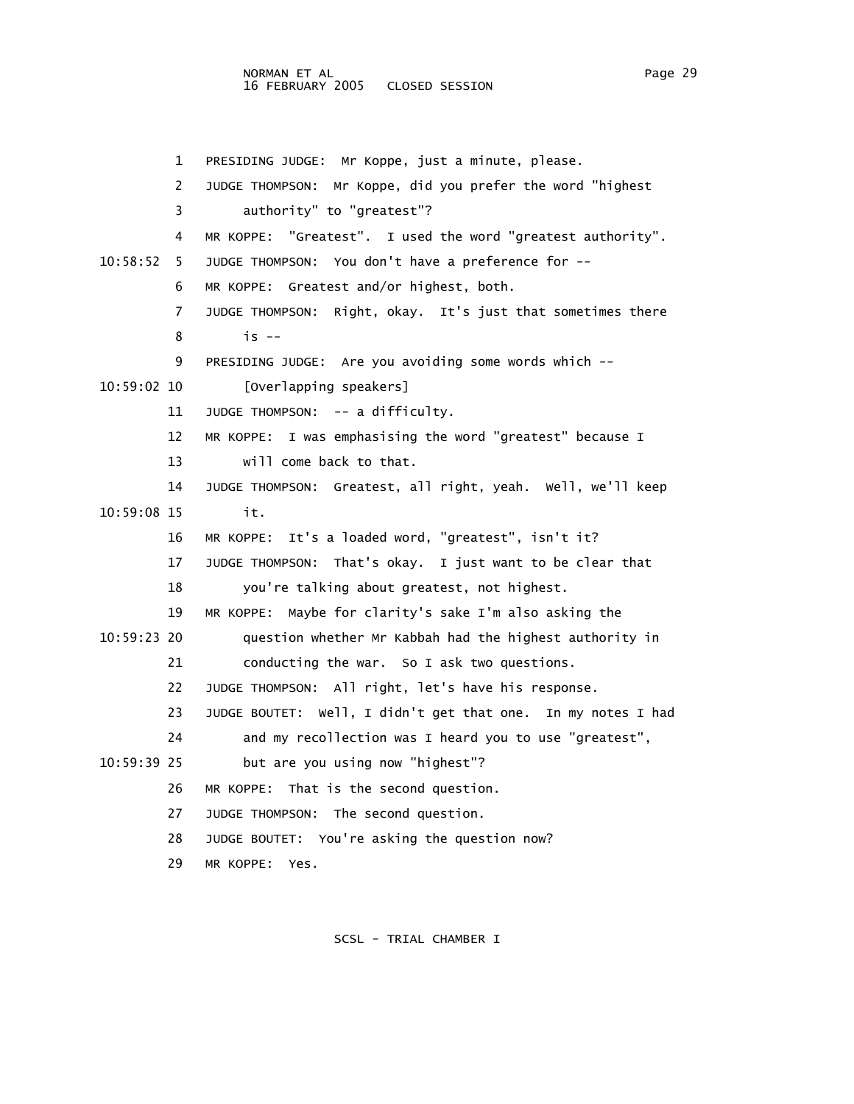NORMAN ET AL Page 29 16 FEBRUARY 2005 CLOSED SESSION

 1 PRESIDING JUDGE: Mr Koppe, just a minute, please. 2 JUDGE THOMPSON: Mr Koppe, did you prefer the word "highest 3 authority" to "greatest"? 4 MR KOPPE: "Greatest". I used the word "greatest authority". 10:58:52 5 JUDGE THOMPSON: You don't have a preference for -- 6 MR KOPPE: Greatest and/or highest, both. 7 JUDGE THOMPSON: Right, okay. It's just that sometimes there 8 is -- 9 PRESIDING JUDGE: Are you avoiding some words which -- 10:59:02 10 [Overlapping speakers] 11 JUDGE THOMPSON: -- a difficulty. 12 MR KOPPE: I was emphasising the word "greatest" because I 13 will come back to that. 14 JUDGE THOMPSON: Greatest, all right, yeah. Well, we'll keep 10:59:08 15 it. 16 MR KOPPE: It's a loaded word, "greatest", isn't it? 17 JUDGE THOMPSON: That's okay. I just want to be clear that 18 you're talking about greatest, not highest. 19 MR KOPPE: Maybe for clarity's sake I'm also asking the 10:59:23 20 question whether Mr Kabbah had the highest authority in 21 conducting the war. So I ask two questions. 22 JUDGE THOMPSON: All right, let's have his response. 23 JUDGE BOUTET: Well, I didn't get that one. In my notes I had 24 and my recollection was I heard you to use "greatest", 10:59:39 25 but are you using now "highest"? 26 MR KOPPE: That is the second question. 27 JUDGE THOMPSON: The second question. 28 JUDGE BOUTET: You're asking the question now? 29 MR KOPPE: Yes.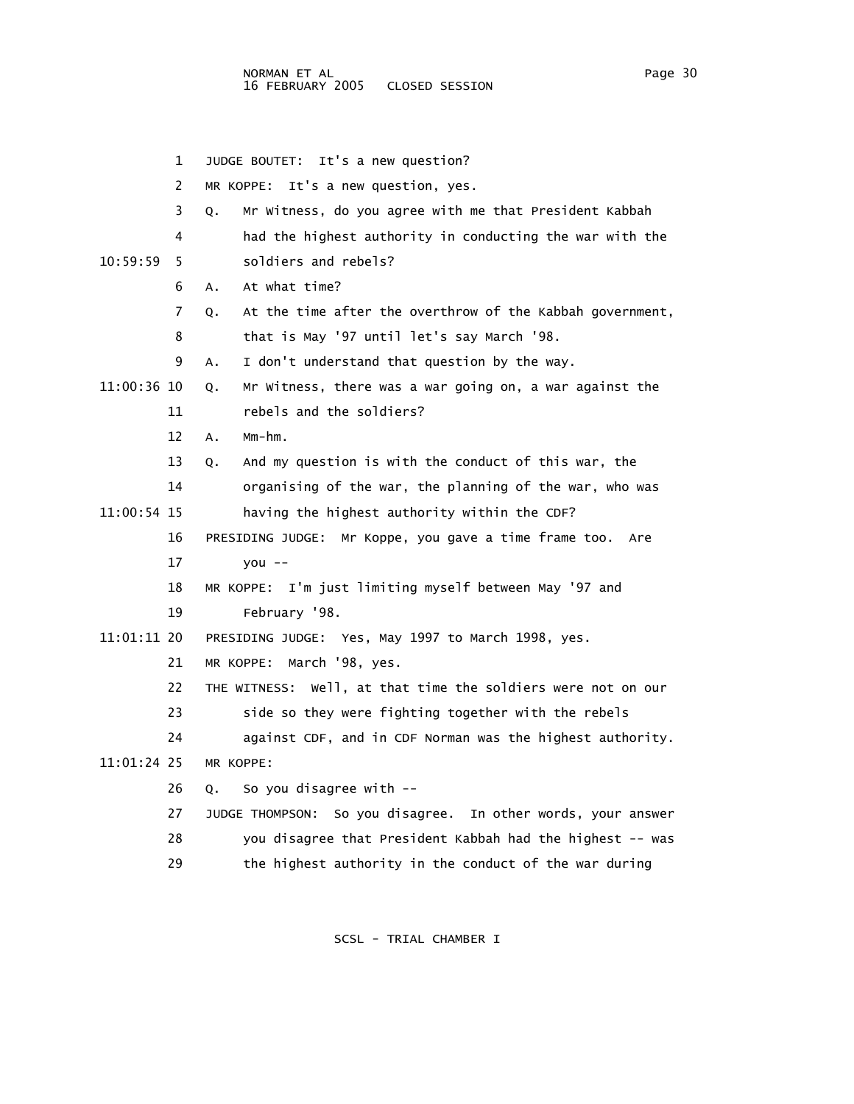- 1 JUDGE BOUTET: It's a new question? 2 MR KOPPE: It's a new question, yes. 3 Q. Mr Witness, do you agree with me that President Kabbah 4 had the highest authority in conducting the war with the 10:59:59 5 soldiers and rebels? 6 A. At what time? 7 Q. At the time after the overthrow of the Kabbah government, 8 that is May '97 until let's say March '98. 9 A. I don't understand that question by the way. 11:00:36 10 Q. Mr Witness, there was a war going on, a war against the 11 rebels and the soldiers? 12 A. Mm-hm. 13 Q. And my question is with the conduct of this war, the 14 organising of the war, the planning of the war, who was 11:00:54 15 having the highest authority within the CDF? 16 PRESIDING JUDGE: Mr Koppe, you gave a time frame too. Are 17 you -- 18 MR KOPPE: I'm just limiting myself between May '97 and 19 February '98. 11:01:11 20 PRESIDING JUDGE: Yes, May 1997 to March 1998, yes. 21 MR KOPPE: March '98, yes. 22 THE WITNESS: Well, at that time the soldiers were not on our 23 side so they were fighting together with the rebels 24 against CDF, and in CDF Norman was the highest authority. 11:01:24 25 MR KOPPE: 26 Q. So you disagree with -- 27 JUDGE THOMPSON: So you disagree. In other words, your answer 28 you disagree that President Kabbah had the highest -- was
	- 29 the highest authority in the conduct of the war during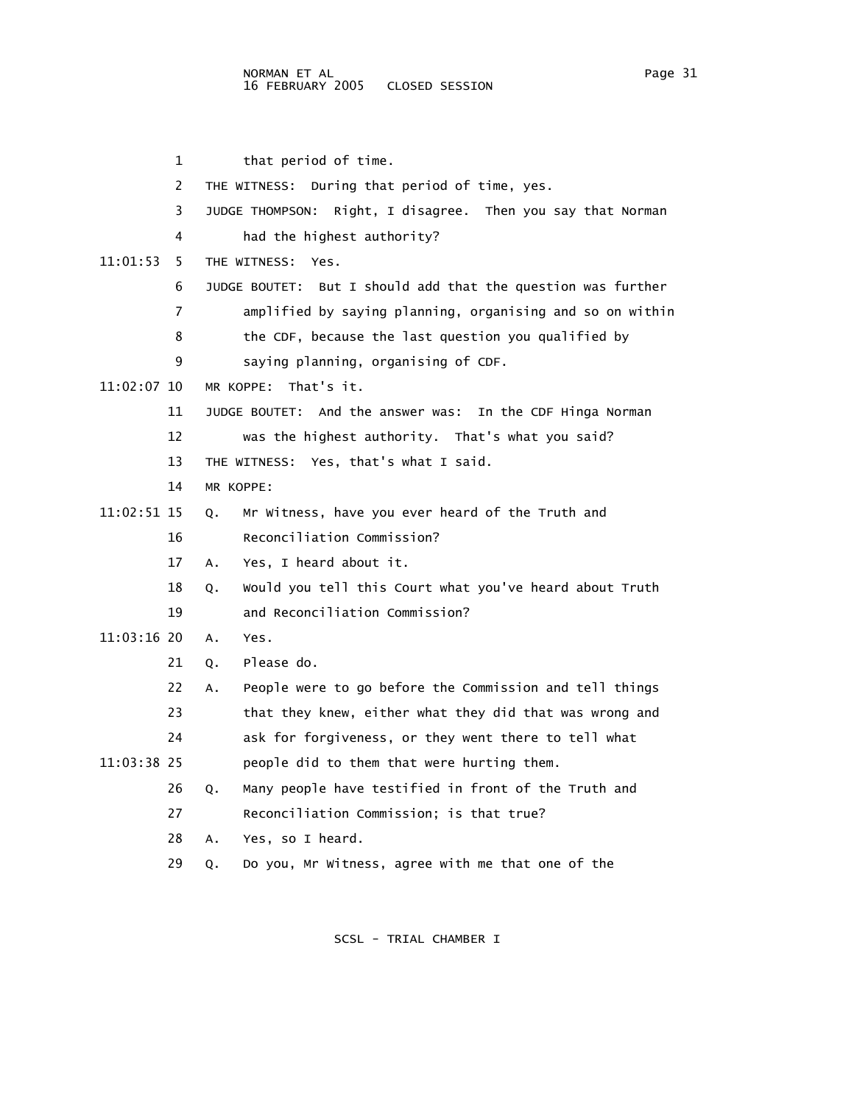|             | 1  | that period of time.                                           |
|-------------|----|----------------------------------------------------------------|
|             | 2  | THE WITNESS: During that period of time, yes.                  |
|             | 3  | Right, I disagree. Then you say that Norman<br>JUDGE THOMPSON: |
|             | 4  | had the highest authority?                                     |
| 11:01:53    | 5. | THE WITNESS:<br>Yes.                                           |
|             | 6  | JUDGE BOUTET: But I should add that the question was further   |
|             | 7  | amplified by saying planning, organising and so on within      |
|             | 8  | the CDF, because the last question you qualified by            |
|             | 9  | saying planning, organising of CDF.                            |
| 11:02:07 10 |    | That's it.<br>MR KOPPE:                                        |
|             | 11 | JUDGE BOUTET: And the answer was: In the CDF Hinga Norman      |
|             | 12 | was the highest authority. That's what you said?               |
|             | 13 | THE WITNESS: Yes, that's what I said.                          |
|             | 14 | MR KOPPF:                                                      |
| 11:02:51 15 |    | Mr Witness, have you ever heard of the Truth and<br>Q.         |
|             | 16 | Reconciliation Commission?                                     |
|             | 17 | Yes, I heard about it.<br>А.                                   |
|             | 18 | Would you tell this Court what you've heard about Truth<br>Q.  |
|             | 19 | and Reconciliation Commission?                                 |
| 11:03:16 20 |    | Yes.<br>А.                                                     |
|             | 21 | Please do.<br>Q.                                               |
|             | 22 | People were to go before the Commission and tell things<br>А.  |
|             | 23 | that they knew, either what they did that was wrong and        |
|             | 24 | ask for forgiveness, or they went there to tell what           |
| 11:03:38 25 |    | people did to them that were hurting them.                     |
|             | 26 | Many people have testified in front of the Truth and<br>Q.     |
|             | 27 | Reconciliation Commission; is that true?                       |
|             | 28 | Yes, so I heard.<br>Α.                                         |
|             | 29 | Do you, Mr Witness, agree with me that one of the<br>Q.        |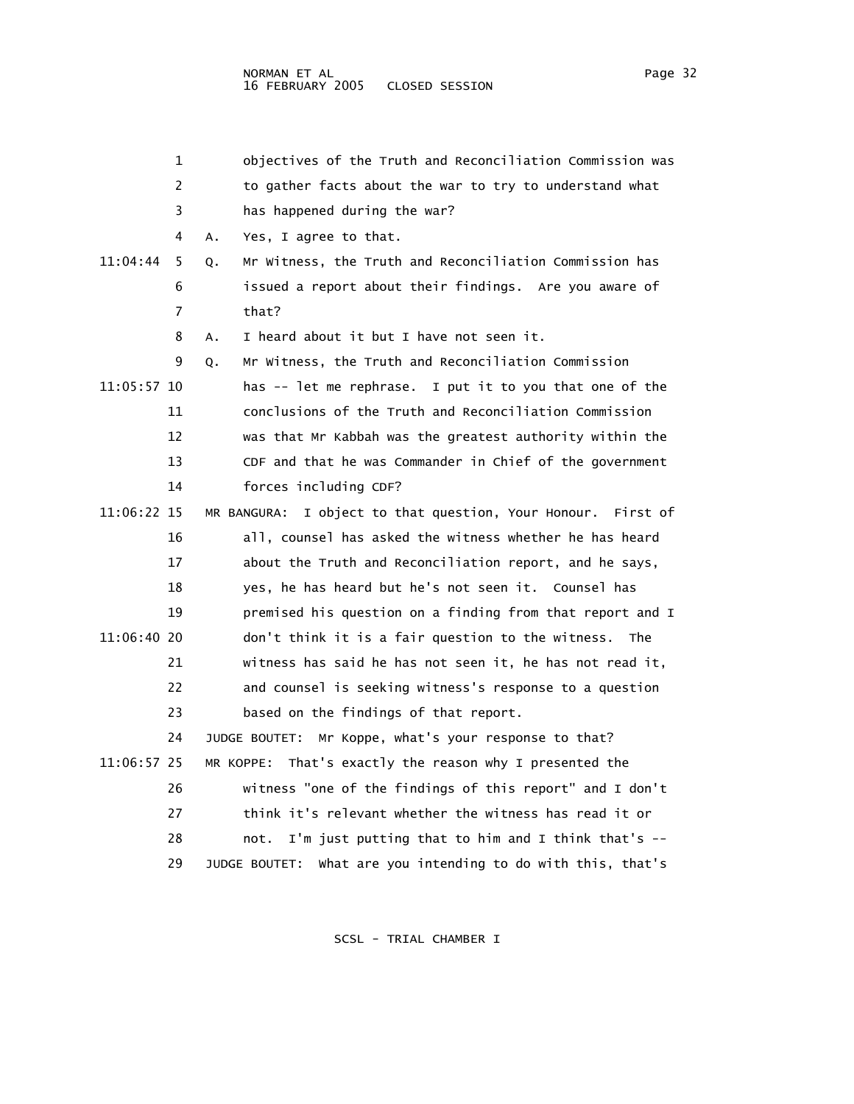|             | 1  | objectives of the Truth and Reconciliation Commission was          |
|-------------|----|--------------------------------------------------------------------|
|             | 2  | to gather facts about the war to try to understand what            |
|             | 3  | has happened during the war?                                       |
|             | 4  | Yes, I agree to that.<br>Α.                                        |
| 11:04:44    | 5  | Mr Witness, the Truth and Reconciliation Commission has<br>Q.      |
|             | 6  | issued a report about their findings. Are you aware of             |
|             | 7  | that?                                                              |
|             | 8  | I heard about it but I have not seen it.<br>Α.                     |
|             | 9  | Mr Witness, the Truth and Reconciliation Commission<br>Q.          |
| 11:05:57 10 |    | has -- let me rephrase. I put it to you that one of the            |
|             | 11 | conclusions of the Truth and Reconciliation Commission             |
|             | 12 | was that Mr Kabbah was the greatest authority within the           |
|             | 13 | CDF and that he was Commander in Chief of the government           |
|             | 14 | forces including CDF?                                              |
| 11:06:22 15 |    | MR BANGURA:<br>I object to that question, Your Honour.<br>First of |
|             | 16 | all, counsel has asked the witness whether he has heard            |
|             | 17 | about the Truth and Reconciliation report, and he says,            |
|             | 18 | yes, he has heard but he's not seen it. Counsel has                |
|             | 19 | premised his question on a finding from that report and I          |
| 11:06:40 20 |    | don't think it is a fair question to the witness.<br>The           |
|             | 21 | witness has said he has not seen it, he has not read it,           |
|             | 22 | and counsel is seeking witness's response to a question            |
|             | 23 | based on the findings of that report.                              |
|             | 24 | Mr Koppe, what's your response to that?<br>JUDGE BOUTET:           |
| 11:06:57 25 |    | That's exactly the reason why I presented the<br>MR KOPPE:         |
|             | 26 | witness "one of the findings of this report" and I don't           |
|             | 27 | think it's relevant whether the witness has read it or             |
|             | 28 | I'm just putting that to him and I think that's --<br>not.         |
|             | 29 | What are you intending to do with this, that's<br>JUDGE BOUTET:    |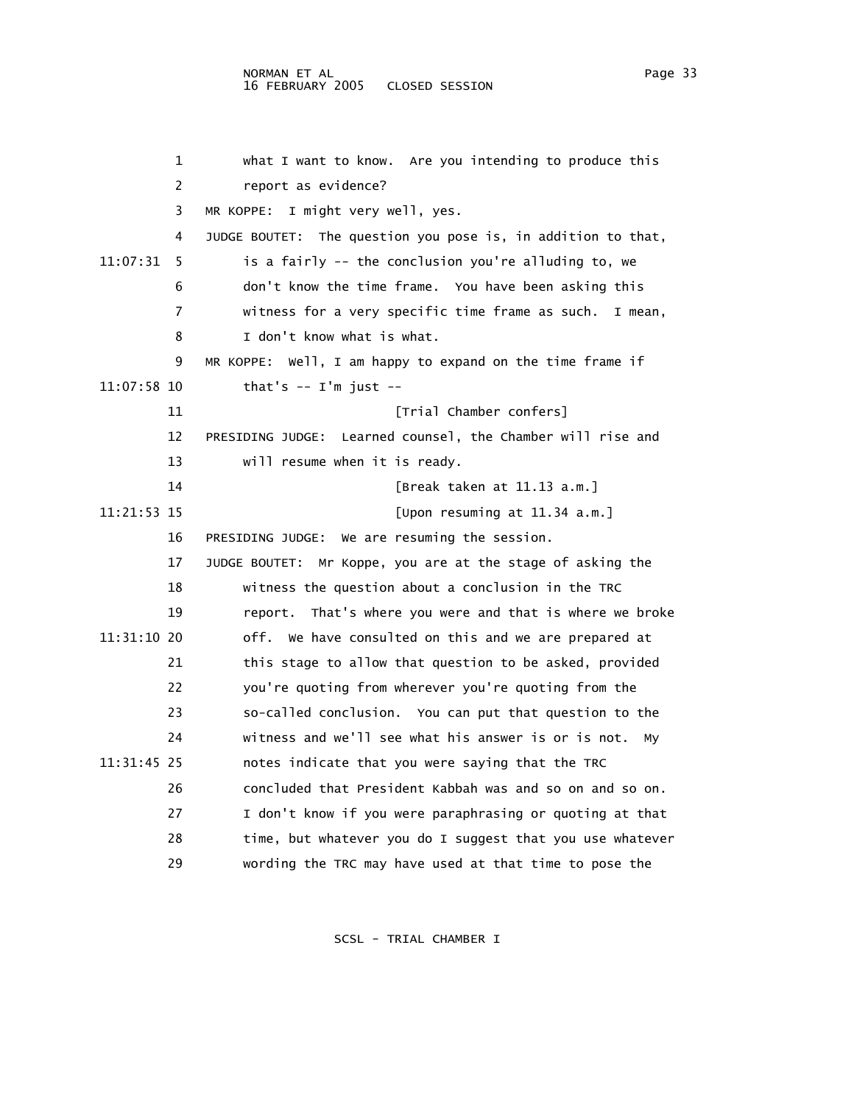| 1             | what I want to know. Are you intending to produce this        |
|---------------|---------------------------------------------------------------|
| 2             | report as evidence?                                           |
|               | 3<br>MR KOPPE:<br>I might very well, yes.                     |
| 4             | JUDGE BOUTET: The question you pose is, in addition to that,  |
| 11:07:31<br>5 | is a fairly -- the conclusion you're alluding to, we          |
| 6             | don't know the time frame. You have been asking this          |
| 7             | witness for a very specific time frame as such. I mean,       |
| 8             | I don't know what is what.                                    |
| 9             | Well, I am happy to expand on the time frame if<br>MR KOPPE:  |
| 11:07:58 10   | that's $--$ I'm just $--$                                     |
| 11            | [Trial Chamber confers]                                       |
| 12            | PRESIDING JUDGE: Learned counsel, the Chamber will rise and   |
| 13            | will resume when it is ready.                                 |
| 14            | [Break taken at 11.13 a.m.]                                   |
| 11:21:53 15   | [Upon resuming at $11.34$ a.m.]                               |
| 16            | We are resuming the session.<br>PRESIDING JUDGE:              |
| 17            | Mr Koppe, you are at the stage of asking the<br>JUDGE BOUTET: |
| 18            | witness the question about a conclusion in the TRC            |
| 19            | That's where you were and that is where we broke<br>report.   |
| 11:31:10 20   | off. We have consulted on this and we are prepared at         |
| 21            | this stage to allow that question to be asked, provided       |
| 22            | you're quoting from wherever you're quoting from the          |
| 23            | so-called conclusion. You can put that question to the        |
| 24            | witness and we'll see what his answer is or is not.<br>My     |
| 11:31:45 25   | notes indicate that you were saying that the TRC              |
| 26            | concluded that President Kabbah was and so on and so on.      |
| 27            | I don't know if you were paraphrasing or quoting at that      |
| 28            | time, but whatever you do I suggest that you use whatever     |
| 29            | wording the TRC may have used at that time to pose the        |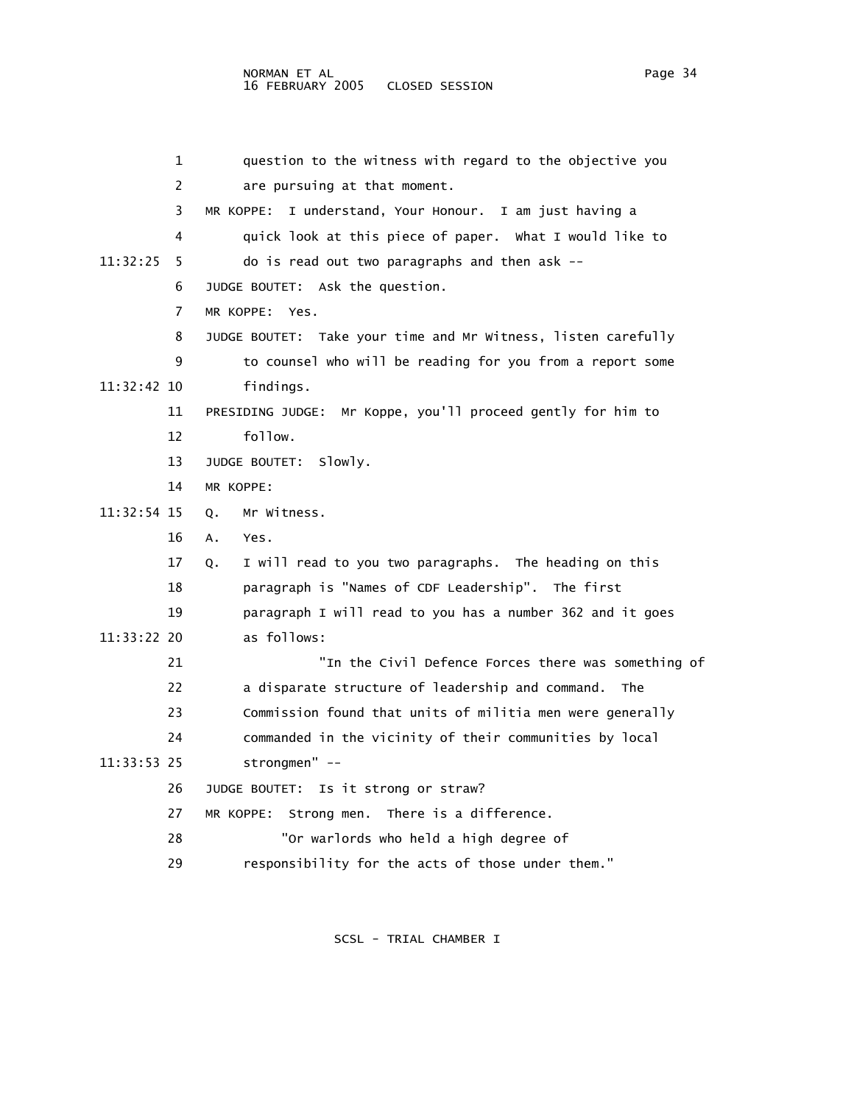| 1              | question to the witness with regard to the objective you       |
|----------------|----------------------------------------------------------------|
| $\overline{2}$ | are pursuing at that moment.                                   |
| 3              | I understand, Your Honour. I am just having a<br>MR KOPPE:     |
| 4              | quick look at this piece of paper. What I would like to        |
| 11:32:25<br>5  | do is read out two paragraphs and then ask --                  |
| 6              | JUDGE BOUTET: Ask the question.                                |
| 7              | MR KOPPE:<br>Yes.                                              |
| 8              | JUDGE BOUTET: Take your time and Mr Witness, listen carefully  |
| 9              | to counsel who will be reading for you from a report some      |
| 11:32:42 10    | findings.                                                      |
| 11             | Mr Koppe, you'll proceed gently for him to<br>PRESIDING JUDGE: |
| 12             | follow.                                                        |
| 13             | JUDGE BOUTET: Slowly.                                          |
| 14             | MR KOPPE:                                                      |
| 11:32:54 15    | Mr Witness.<br>Q.                                              |
| 16             | Yes.<br>А.                                                     |
| 17             | I will read to you two paragraphs. The heading on this<br>Q.   |
| 18             | paragraph is "Names of CDF Leadership". The first              |
| 19             | paragraph I will read to you has a number 362 and it goes      |
| 11:33:22 20    | as follows:                                                    |
| 21             | "In the Civil Defence Forces there was something of            |
| 22             | a disparate structure of leadership and command.<br>The        |
| 23             | Commission found that units of militia men were generally      |
| 24             | commanded in the vicinity of their communities by local        |
| 11:33:53 25    | strongmen" --                                                  |
| 26             | JUDGE BOUTET: Is it strong or straw?                           |
| 27             | Strong men. There is a difference.<br>MR KOPPE:                |
| 28             | "Or warlords who held a high degree of                         |
| 29             | responsibility for the acts of those under them."              |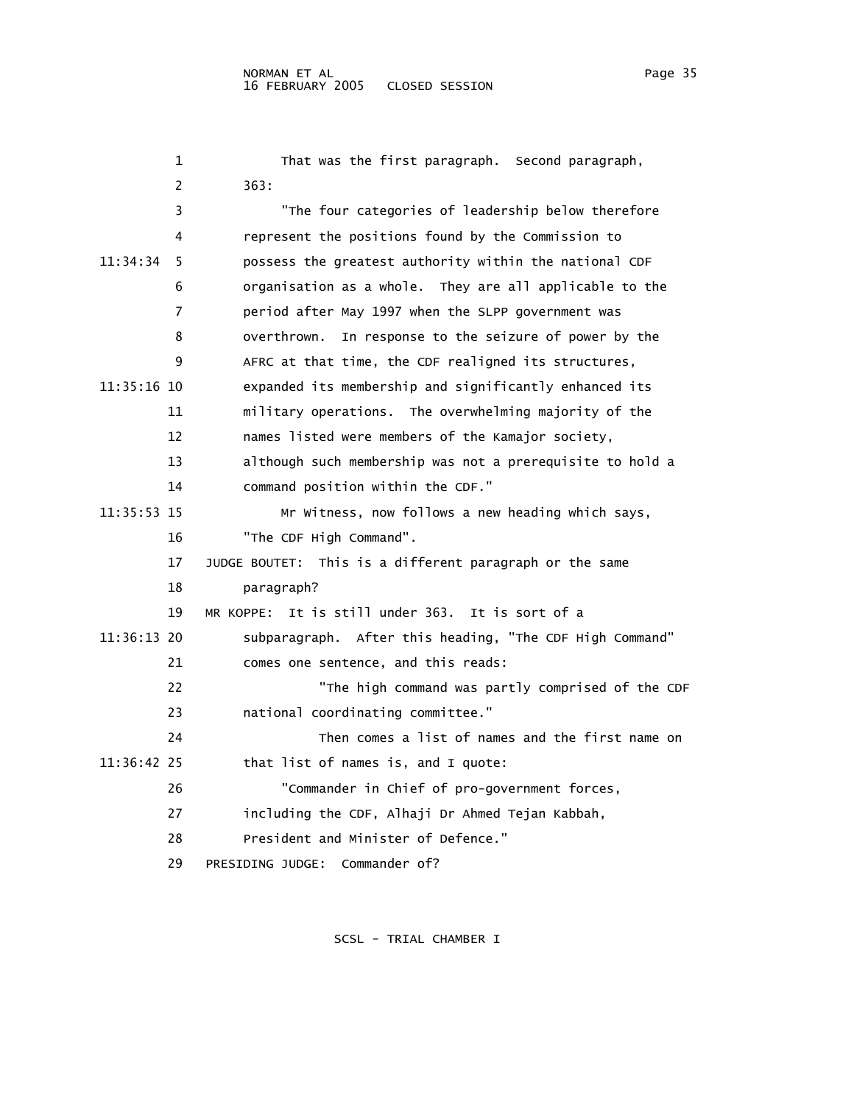1 That was the first paragraph. Second paragraph, 2 363: 3 "The four categories of leadership below therefore 4 represent the positions found by the Commission to 11:34:34 5 possess the greatest authority within the national CDF 6 organisation as a whole. They are all applicable to the 7 period after May 1997 when the SLPP government was 8 overthrown. In response to the seizure of power by the 9 AFRC at that time, the CDF realigned its structures, 11:35:16 10 expanded its membership and significantly enhanced its 11 military operations. The overwhelming majority of the 12 names listed were members of the Kamajor society, 13 although such membership was not a prerequisite to hold a 14 command position within the CDF." 11:35:53 15 Mr Witness, now follows a new heading which says, 16 "The CDF High Command". 17 JUDGE BOUTET: This is a different paragraph or the same 18 paragraph? 19 MR KOPPE: It is still under 363. It is sort of a 11:36:13 20 subparagraph. After this heading, "The CDF High Command" 21 comes one sentence, and this reads: 22 "The high command was partly comprised of the CDF 23 national coordinating committee." 24 Then comes a list of names and the first name on 11:36:42 25 that list of names is, and I quote: 26 "Commander in Chief of pro-government forces, 27 including the CDF, Alhaji Dr Ahmed Tejan Kabbah, 28 President and Minister of Defence." 29 PRESIDING JUDGE: Commander of?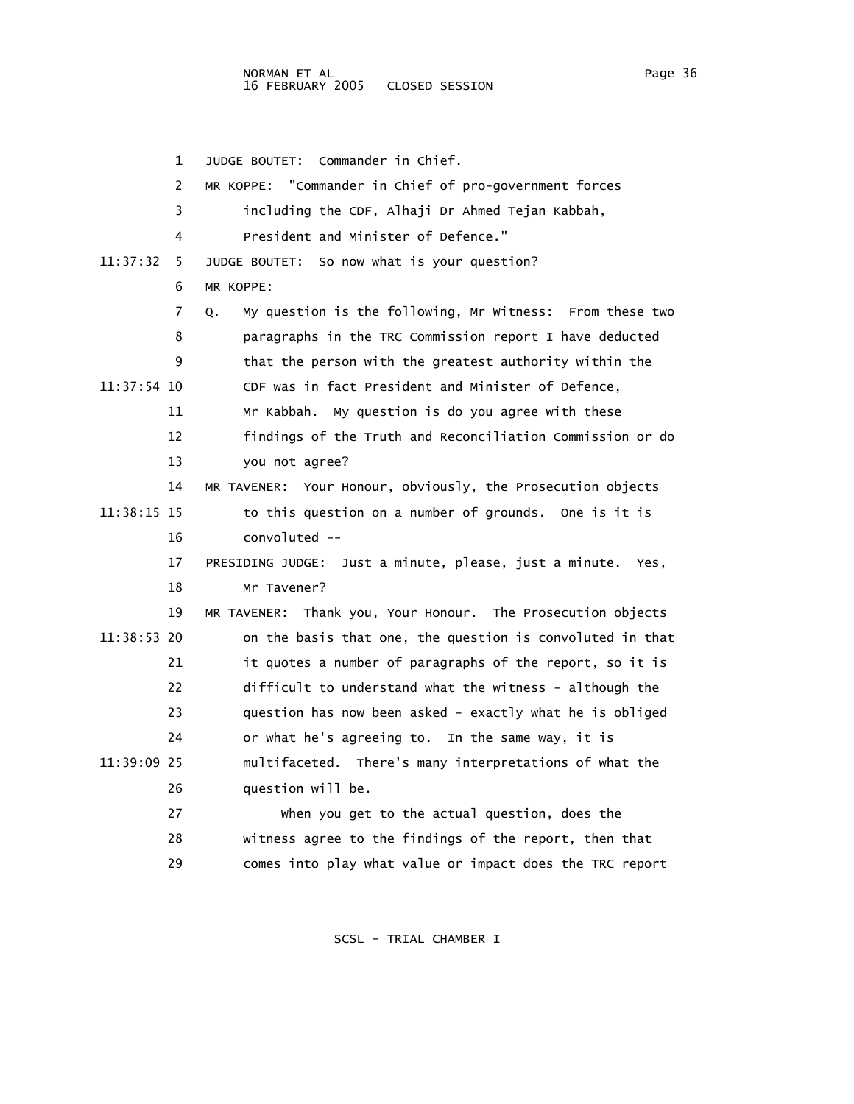1 JUDGE BOUTET: Commander in Chief. 2 MR KOPPE: "Commander in Chief of pro-government forces 3 including the CDF, Alhaji Dr Ahmed Tejan Kabbah, 4 President and Minister of Defence." 11:37:32 5 JUDGE BOUTET: So now what is your question? 6 MR KOPPE: 7 Q. My question is the following, Mr Witness: From these two 8 paragraphs in the TRC Commission report I have deducted 9 that the person with the greatest authority within the 11:37:54 10 CDF was in fact President and Minister of Defence, 11 Mr Kabbah. My question is do you agree with these 12 findings of the Truth and Reconciliation Commission or do 13 you not agree? 14 MR TAVENER: Your Honour, obviously, the Prosecution objects 11:38:15 15 to this question on a number of grounds. One is it is 16 convoluted -- 17 PRESIDING JUDGE: Just a minute, please, just a minute. Yes, 18 Mr Tavener? 19 MR TAVENER: Thank you, Your Honour. The Prosecution objects 11:38:53 20 on the basis that one, the question is convoluted in that 21 it quotes a number of paragraphs of the report, so it is 22 difficult to understand what the witness - although the 23 question has now been asked - exactly what he is obliged 24 or what he's agreeing to. In the same way, it is 11:39:09 25 multifaceted. There's many interpretations of what the 26 question will be. 27 When you get to the actual question, does the 28 witness agree to the findings of the report, then that

SCSL - TRIAL CHAMBER I

29 comes into play what value or impact does the TRC report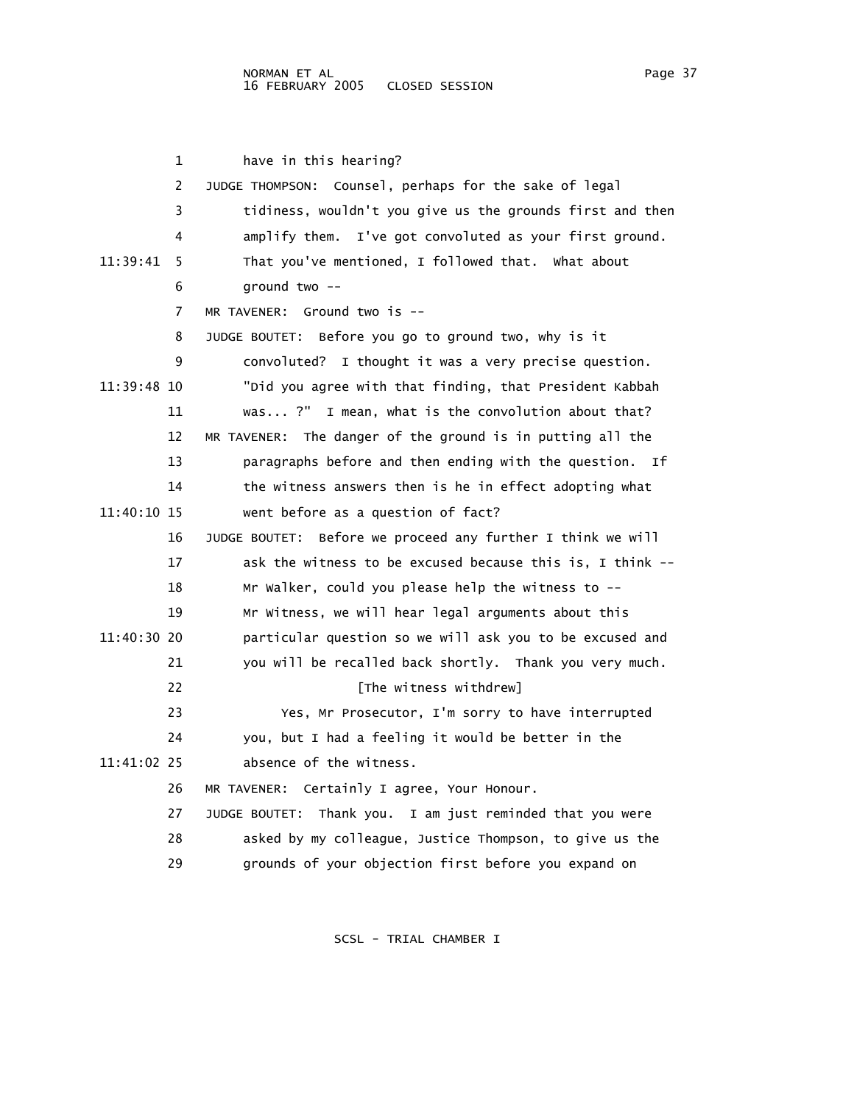1 have in this hearing? 2 JUDGE THOMPSON: Counsel, perhaps for the sake of legal 3 tidiness, wouldn't you give us the grounds first and then 4 amplify them. I've got convoluted as your first ground. 11:39:41 5 That you've mentioned, I followed that. What about 6 ground two -- 7 MR TAVENER: Ground two is -- 8 JUDGE BOUTET: Before you go to ground two, why is it 9 convoluted? I thought it was a very precise question. 11:39:48 10 "Did you agree with that finding, that President Kabbah 11 was... ?" I mean, what is the convolution about that? 12 MR TAVENER: The danger of the ground is in putting all the 13 paragraphs before and then ending with the question. If 14 the witness answers then is he in effect adopting what 11:40:10 15 went before as a question of fact? 16 JUDGE BOUTET: Before we proceed any further I think we will 17 ask the witness to be excused because this is, I think -- 18 Mr Walker, could you please help the witness to -- 19 Mr Witness, we will hear legal arguments about this 11:40:30 20 particular question so we will ask you to be excused and 21 you will be recalled back shortly. Thank you very much. 22 **Example 22** [The witness withdrew] 23 Yes, Mr Prosecutor, I'm sorry to have interrupted 24 you, but I had a feeling it would be better in the 11:41:02 25 absence of the witness. 26 MR TAVENER: Certainly I agree, Your Honour. 27 JUDGE BOUTET: Thank you. I am just reminded that you were 28 asked by my colleague, Justice Thompson, to give us the 29 grounds of your objection first before you expand on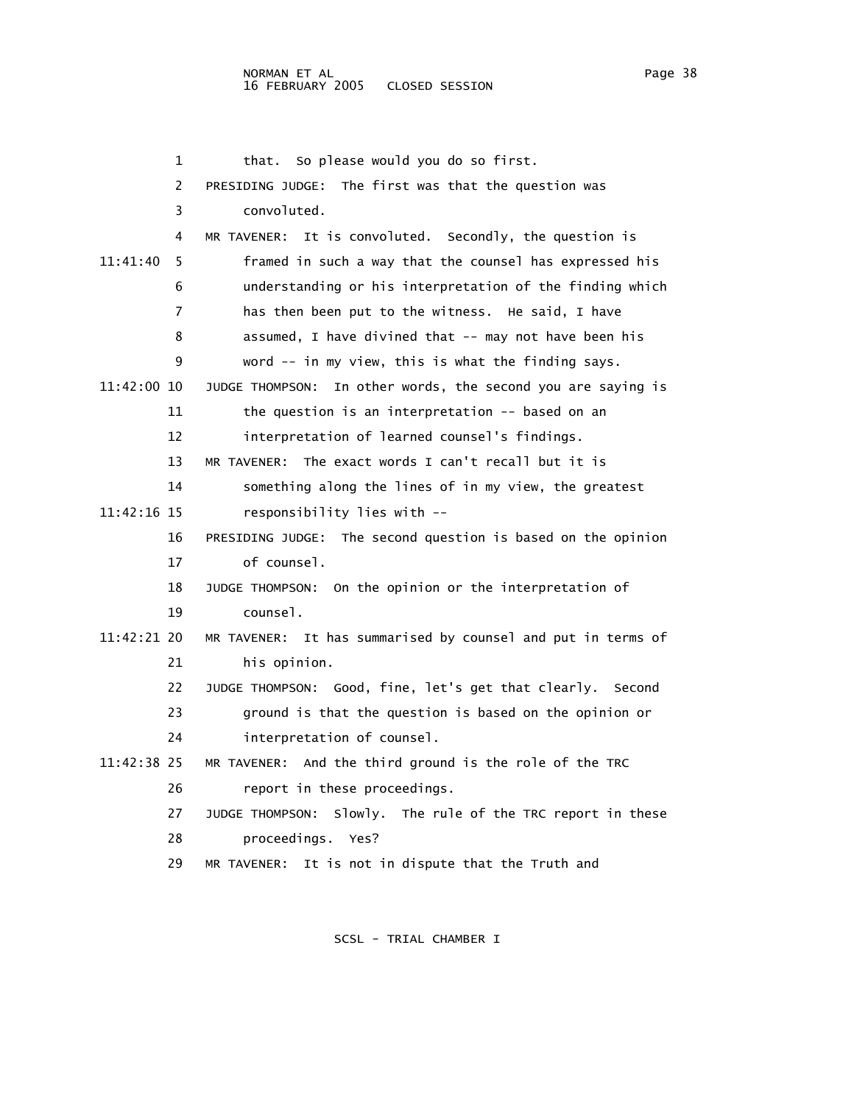1 that. So please would you do so first. 2 PRESIDING JUDGE: The first was that the question was 3 convoluted. 4 MR TAVENER: It is convoluted. Secondly, the question is 11:41:40 5 framed in such a way that the counsel has expressed his 6 understanding or his interpretation of the finding which 7 has then been put to the witness. He said, I have 8 assumed, I have divined that -- may not have been his 9 word -- in my view, this is what the finding says. 11:42:00 10 JUDGE THOMPSON: In other words, the second you are saying is 11 the question is an interpretation -- based on an 12 interpretation of learned counsel's findings. 13 MR TAVENER: The exact words I can't recall but it is 14 something along the lines of in my view, the greatest 11:42:16 15 responsibility lies with -- 16 PRESIDING JUDGE: The second question is based on the opinion 17 of counsel. 18 JUDGE THOMPSON: On the opinion or the interpretation of 19 counsel. 11:42:21 20 MR TAVENER: It has summarised by counsel and put in terms of 21 his opinion. 22 JUDGE THOMPSON: Good, fine, let's get that clearly. Second 23 ground is that the question is based on the opinion or 24 interpretation of counsel. 11:42:38 25 MR TAVENER: And the third ground is the role of the TRC 26 report in these proceedings. 27 JUDGE THOMPSON: Slowly. The rule of the TRC report in these 28 proceedings. Yes? 29 MR TAVENER: It is not in dispute that the Truth and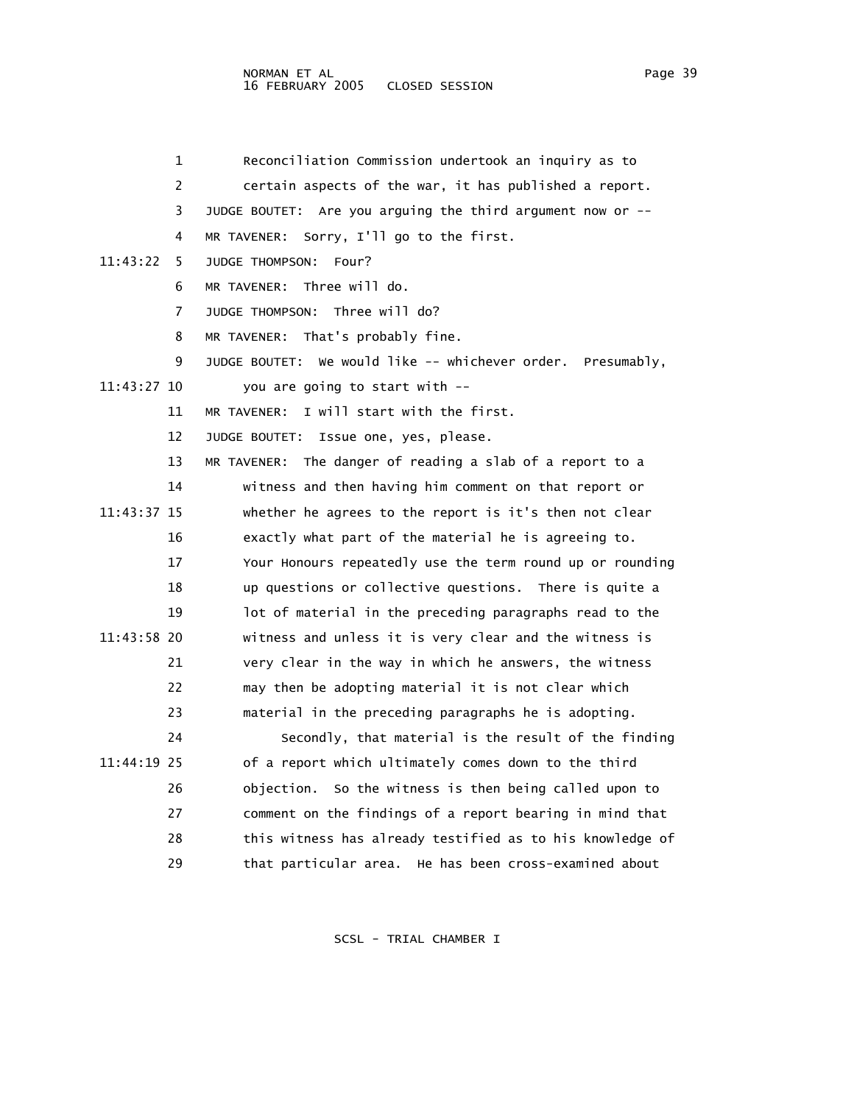|             | 1  | Reconciliation Commission undertook an inquiry as to           |
|-------------|----|----------------------------------------------------------------|
|             | 2  | certain aspects of the war, it has published a report.         |
|             | 3  | JUDGE BOUTET: Are you arguing the third argument now or --     |
|             | 4  | Sorry, I'll go to the first.<br>MR TAVENER:                    |
| 11:43:22    | 5  | JUDGE THOMPSON:<br>Four?                                       |
|             | 6  | Three will do.<br>MR TAVENER:                                  |
|             | 7  | Three will do?<br>JUDGE THOMPSON:                              |
|             | 8  | MR TAVENER: That's probably fine.                              |
|             | 9  | We would like -- whichever order. Presumably,<br>JUDGE BOUTET: |
| 11:43:27 10 |    | you are going to start with --                                 |
|             | 11 | I will start with the first.<br>MR TAVENER:                    |
|             | 12 | Issue one, yes, please.<br>JUDGE BOUTET:                       |
|             | 13 | The danger of reading a slab of a report to a<br>MR TAVENER:   |
|             | 14 | witness and then having him comment on that report or          |
| 11:43:37 15 |    | whether he agrees to the report is it's then not clear         |
|             | 16 | exactly what part of the material he is agreeing to.           |
|             | 17 | Your Honours repeatedly use the term round up or rounding      |
|             | 18 | up questions or collective questions. There is quite a         |
|             | 19 | lot of material in the preceding paragraphs read to the        |
| 11:43:58 20 |    | witness and unless it is very clear and the witness is         |
|             | 21 | very clear in the way in which he answers, the witness         |
|             | 22 | may then be adopting material it is not clear which            |
|             | 23 | material in the preceding paragraphs he is adopting.           |
|             | 24 | Secondly, that material is the result of the finding           |
| 11:44:19 25 |    | of a report which ultimately comes down to the third           |
|             | 26 | objection. So the witness is then being called upon to         |
|             | 27 | comment on the findings of a report bearing in mind that       |
|             | 28 | this witness has already testified as to his knowledge of      |
|             | 29 | that particular area. He has been cross-examined about         |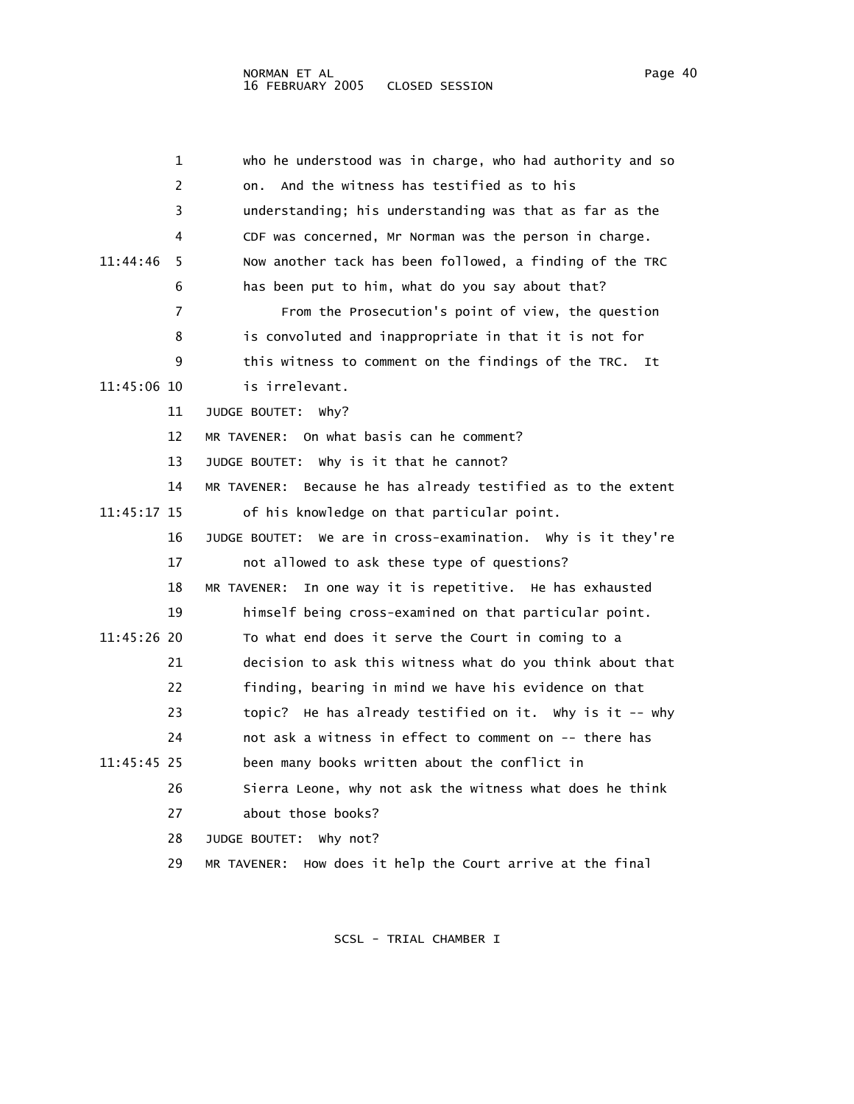| 1             | who he understood was in charge, who had authority and so        |
|---------------|------------------------------------------------------------------|
| 2             | And the witness has testified as to his<br>on.                   |
| 3             | understanding; his understanding was that as far as the          |
| 4             | CDF was concerned, Mr Norman was the person in charge.           |
| 11:44:46<br>5 | Now another tack has been followed, a finding of the TRC         |
| 6             | has been put to him, what do you say about that?                 |
| 7             | From the Prosecution's point of view, the question               |
| 8             | is convoluted and inappropriate in that it is not for            |
| 9             | this witness to comment on the findings of the TRC.<br>It        |
| 11:45:06 10   | is irrelevant.                                                   |
| 11            | JUDGE BOUTET:<br>why?                                            |
| 12            | MR TAVENER: On what basis can he comment?                        |
| 13            | JUDGE BOUTET: Why is it that he cannot?                          |
| 14            | Because he has already testified as to the extent<br>MR TAVENER: |
| 11:45:17 15   | of his knowledge on that particular point.                       |
| 16            | JUDGE BOUTET: We are in cross-examination. Why is it they're     |
| 17            | not allowed to ask these type of questions?                      |
| 18            | In one way it is repetitive. He has exhausted<br>MR TAVENER:     |
| 19            | himself being cross-examined on that particular point.           |
| $11:45:26$ 20 | To what end does it serve the Court in coming to a               |
| 21            | decision to ask this witness what do you think about that        |
| 22            | finding, bearing in mind we have his evidence on that            |
| 23            | topic? He has already testified on it. Why is it -- why          |
| 24            | not ask a witness in effect to comment on -- there has           |
| 11:45:45 25   | been many books written about the conflict in                    |
| 26            | Sierra Leone, why not ask the witness what does he think         |
| 27            | about those books?                                               |
| 28            | JUDGE BOUTET: Why not?                                           |
| 29            | MR TAVENER: How does it help the Court arrive at the final       |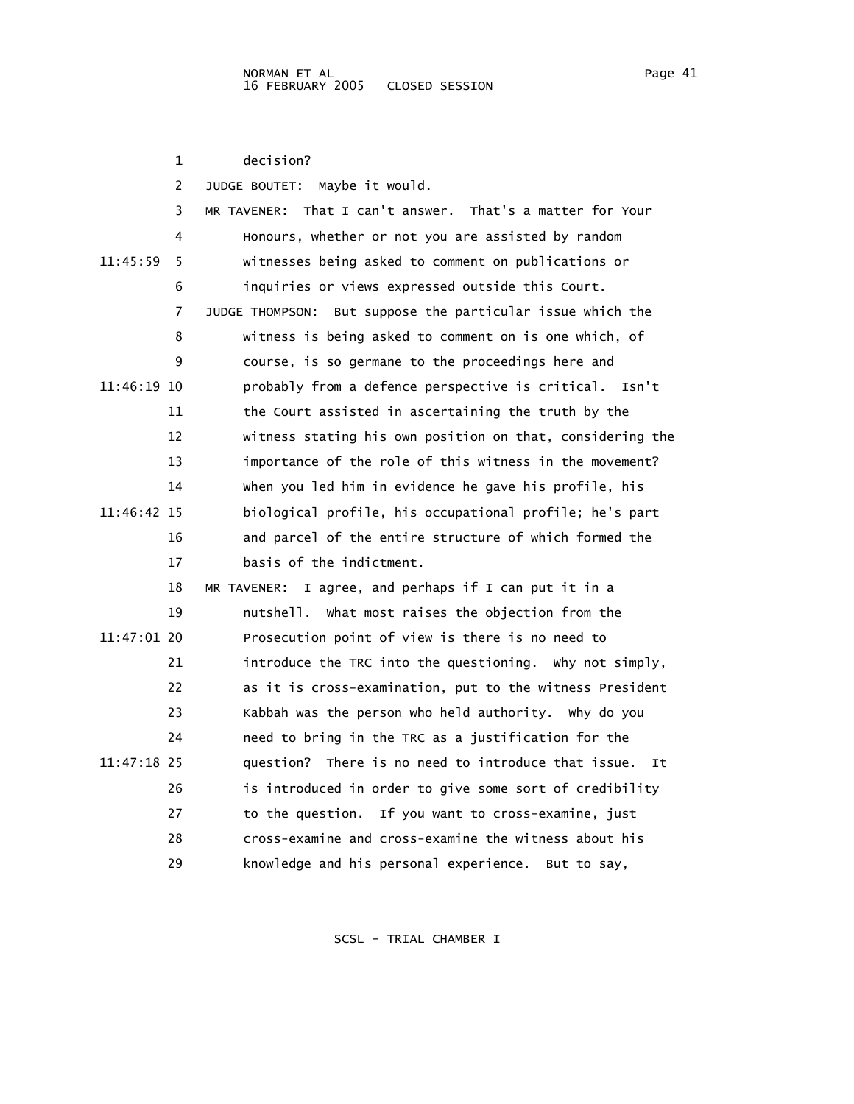|             | 1  | decision?                                                    |
|-------------|----|--------------------------------------------------------------|
|             | 2  | Maybe it would.<br>JUDGE BOUTET:                             |
|             | 3  | That I can't answer. That's a matter for Your<br>MR TAVENER: |
|             | 4  | Honours, whether or not you are assisted by random           |
| 11:45:59    | 5  | witnesses being asked to comment on publications or          |
|             | 6  | inquiries or views expressed outside this Court.             |
|             | 7  | JUDGE THOMPSON: But suppose the particular issue which the   |
|             | 8  | witness is being asked to comment on is one which, of        |
|             | 9  | course, is so germane to the proceedings here and            |
| 11:46:19 10 |    | probably from a defence perspective is critical. Isn't       |
|             | 11 | the Court assisted in ascertaining the truth by the          |
|             | 12 | witness stating his own position on that, considering the    |
|             | 13 | importance of the role of this witness in the movement?      |
|             | 14 | when you led him in evidence he gave his profile, his        |
| 11:46:42 15 |    | biological profile, his occupational profile; he's part      |
|             | 16 | and parcel of the entire structure of which formed the       |
|             | 17 | basis of the indictment.                                     |
|             | 18 | I agree, and perhaps if I can put it in a<br>MR TAVENER:     |
|             | 19 | nutshell. What most raises the objection from the            |
| 11:47:01 20 |    | Prosecution point of view is there is no need to             |
|             | 21 | introduce the TRC into the questioning. Why not simply,      |
|             | 22 | as it is cross-examination, put to the witness President     |
|             | 23 | Kabbah was the person who held authority. Why do you         |
|             | 24 | need to bring in the TRC as a justification for the          |
| 11:47:18 25 |    | question? There is no need to introduce that issue.<br>It    |
|             | 26 | is introduced in order to give some sort of credibility      |
|             | 27 | to the question. If you want to cross-examine, just          |
|             | 28 | cross-examine and cross-examine the witness about his        |
|             | 29 | knowledge and his personal experience.<br>But to say,        |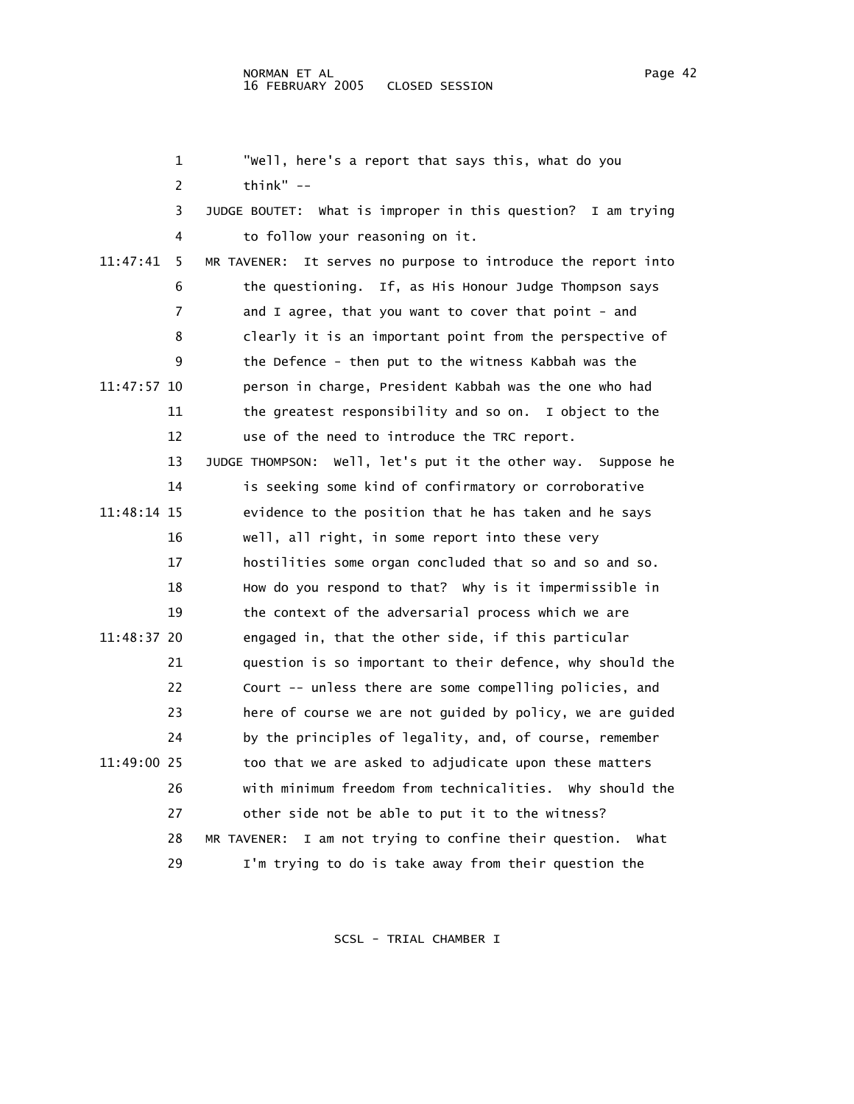1 "Well, here's a report that says this, what do you 2 think" -- 3 JUDGE BOUTET: What is improper in this question? I am trying 4 to follow your reasoning on it. 11:47:41 5 MR TAVENER: It serves no purpose to introduce the report into 6 the questioning. If, as His Honour Judge Thompson says 7 and I agree, that you want to cover that point - and 8 clearly it is an important point from the perspective of 9 the Defence - then put to the witness Kabbah was the 11:47:57 10 person in charge, President Kabbah was the one who had 11 the greatest responsibility and so on. I object to the 12 use of the need to introduce the TRC report. 13 JUDGE THOMPSON: Well, let's put it the other way. Suppose he 14 is seeking some kind of confirmatory or corroborative 11:48:14 15 evidence to the position that he has taken and he says 16 well, all right, in some report into these very 17 hostilities some organ concluded that so and so and so. 18 How do you respond to that? Why is it impermissible in 19 the context of the adversarial process which we are 11:48:37 20 engaged in, that the other side, if this particular 21 question is so important to their defence, why should the 22 Court -- unless there are some compelling policies, and 23 here of course we are not guided by policy, we are guided 24 by the principles of legality, and, of course, remember 11:49:00 25 too that we are asked to adjudicate upon these matters 26 with minimum freedom from technicalities. Why should the 27 other side not be able to put it to the witness? 28 MR TAVENER: I am not trying to confine their question. What 29 I'm trying to do is take away from their question the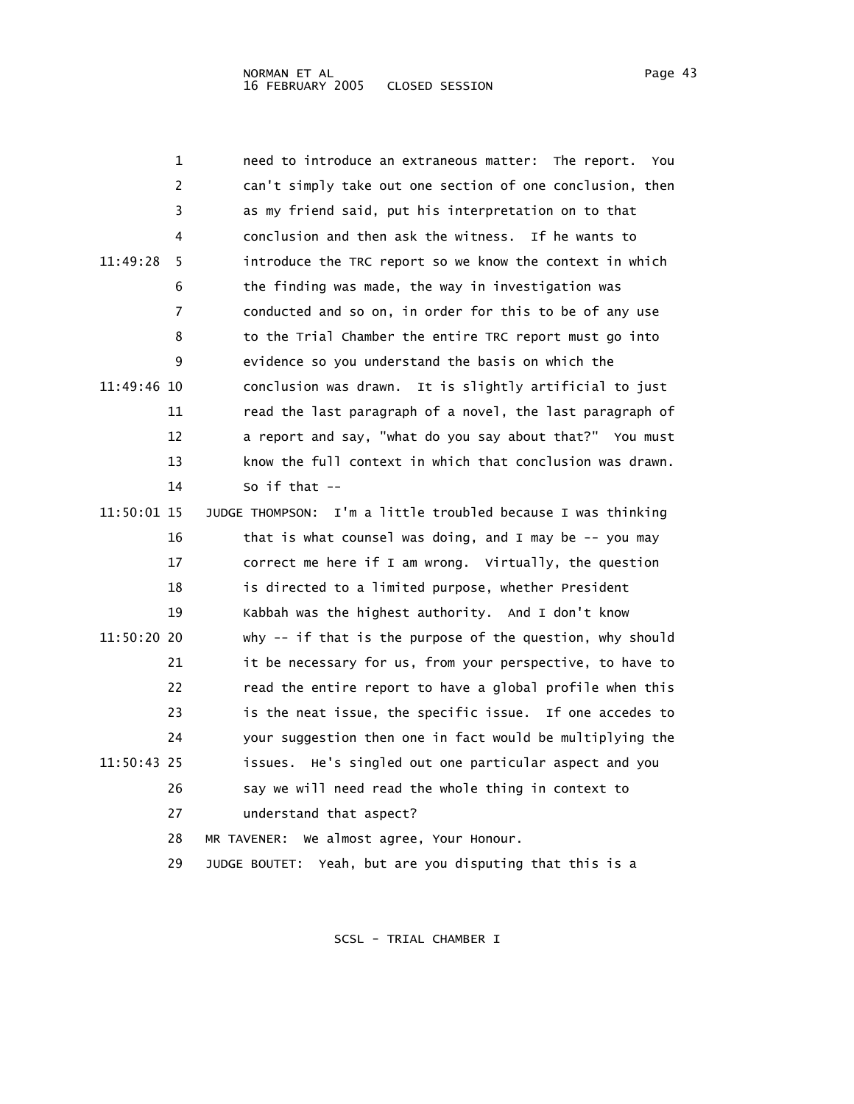| 1             | need to introduce an extraneous matter: The report.<br>You   |
|---------------|--------------------------------------------------------------|
| 2             | can't simply take out one section of one conclusion, then    |
| 3             | as my friend said, put his interpretation on to that         |
| 4             | conclusion and then ask the witness. If he wants to          |
| 11:49:28<br>5 | introduce the TRC report so we know the context in which     |
| 6             | the finding was made, the way in investigation was           |
| 7             | conducted and so on, in order for this to be of any use      |
| 8             | to the Trial Chamber the entire TRC report must go into      |
| 9             | evidence so you understand the basis on which the            |
| 11:49:46 10   | conclusion was drawn. It is slightly artificial to just      |
| 11            | read the last paragraph of a novel, the last paragraph of    |
| 12            | a report and say, "what do you say about that?" You must     |
| 13            | know the full context in which that conclusion was drawn.    |
| 14            | So if that $-$                                               |
| 11:50:01 15   | JUDGE THOMPSON: I'm a little troubled because I was thinking |
| 16            | that is what counsel was doing, and I may be -- you may      |
| 17            | correct me here if I am wrong. Virtually, the question       |
| 18            | is directed to a limited purpose, whether President          |
| 19            | Kabbah was the highest authority. And I don't know           |
| 11:50:20 20   | why -- if that is the purpose of the question, why should    |
| 21            | it be necessary for us, from your perspective, to have to    |
| 22            | read the entire report to have a global profile when this    |
| 23            | is the neat issue, the specific issue. If one accedes to     |
| 24            | your suggestion then one in fact would be multiplying the    |
| 11:50:43 25   | issues. He's singled out one particular aspect and you       |
| 26            | say we will need read the whole thing in context to          |
| 27            | understand that aspect?                                      |
| 28            | We almost agree, Your Honour.<br>MR TAVENER:                 |
| 29            | Yeah, but are you disputing that this is a<br>JUDGE BOUTET:  |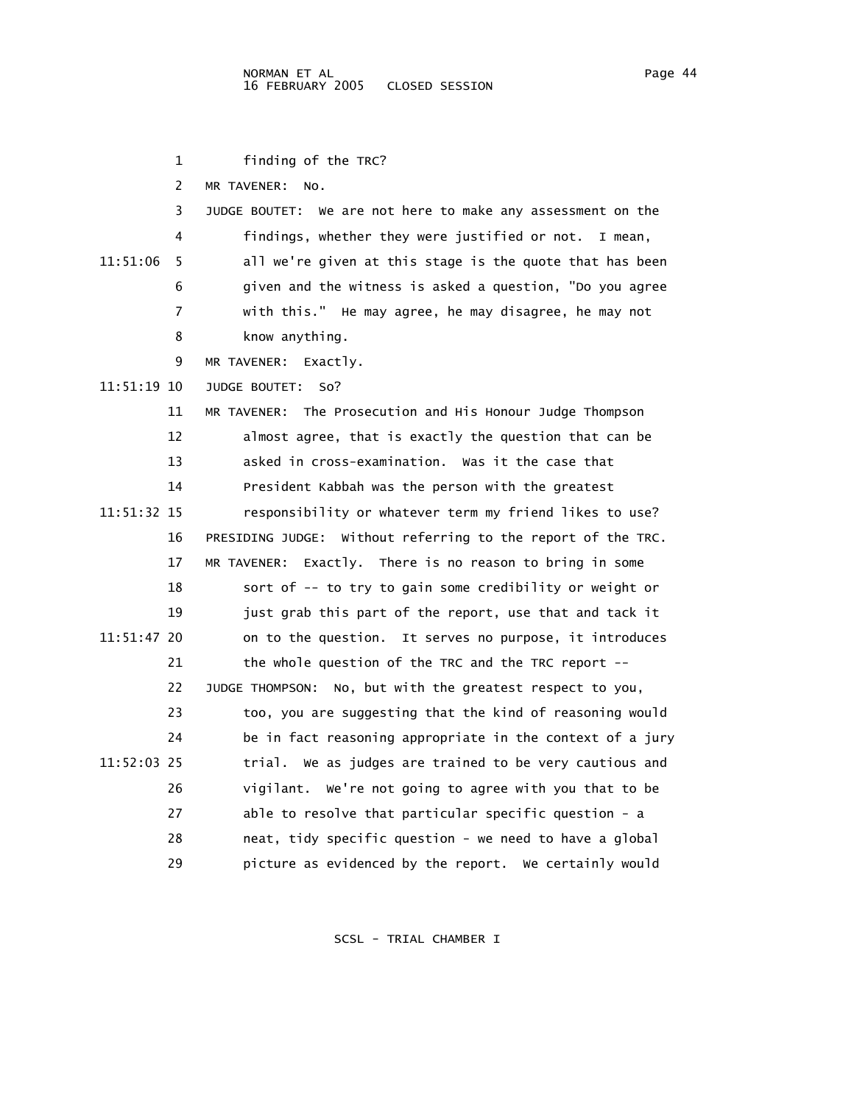1 finding of the TRC? 2 MR TAVENER: No. 3 JUDGE BOUTET: We are not here to make any assessment on the 4 findings, whether they were justified or not. I mean, 11:51:06 5 all we're given at this stage is the quote that has been 6 given and the witness is asked a question, "Do you agree 7 with this." He may agree, he may disagree, he may not 8 know anything. 9 MR TAVENER: Exactly. 11:51:19 10 JUDGE BOUTET: So? 11 MR TAVENER: The Prosecution and His Honour Judge Thompson 12 almost agree, that is exactly the question that can be 13 asked in cross-examination. Was it the case that 14 President Kabbah was the person with the greatest 11:51:32 15 responsibility or whatever term my friend likes to use? 16 PRESIDING JUDGE: Without referring to the report of the TRC. 17 MR TAVENER: Exactly. There is no reason to bring in some 18 sort of -- to try to gain some credibility or weight or 19 just grab this part of the report, use that and tack it 11:51:47 20 on to the question. It serves no purpose, it introduces 21 the whole question of the TRC and the TRC report -- 22 JUDGE THOMPSON: No, but with the greatest respect to you, 23 too, you are suggesting that the kind of reasoning would 24 be in fact reasoning appropriate in the context of a jury 11:52:03 25 trial. We as judges are trained to be very cautious and 26 vigilant. We're not going to agree with you that to be 27 able to resolve that particular specific question - a 28 neat, tidy specific question - we need to have a global 29 picture as evidenced by the report. We certainly would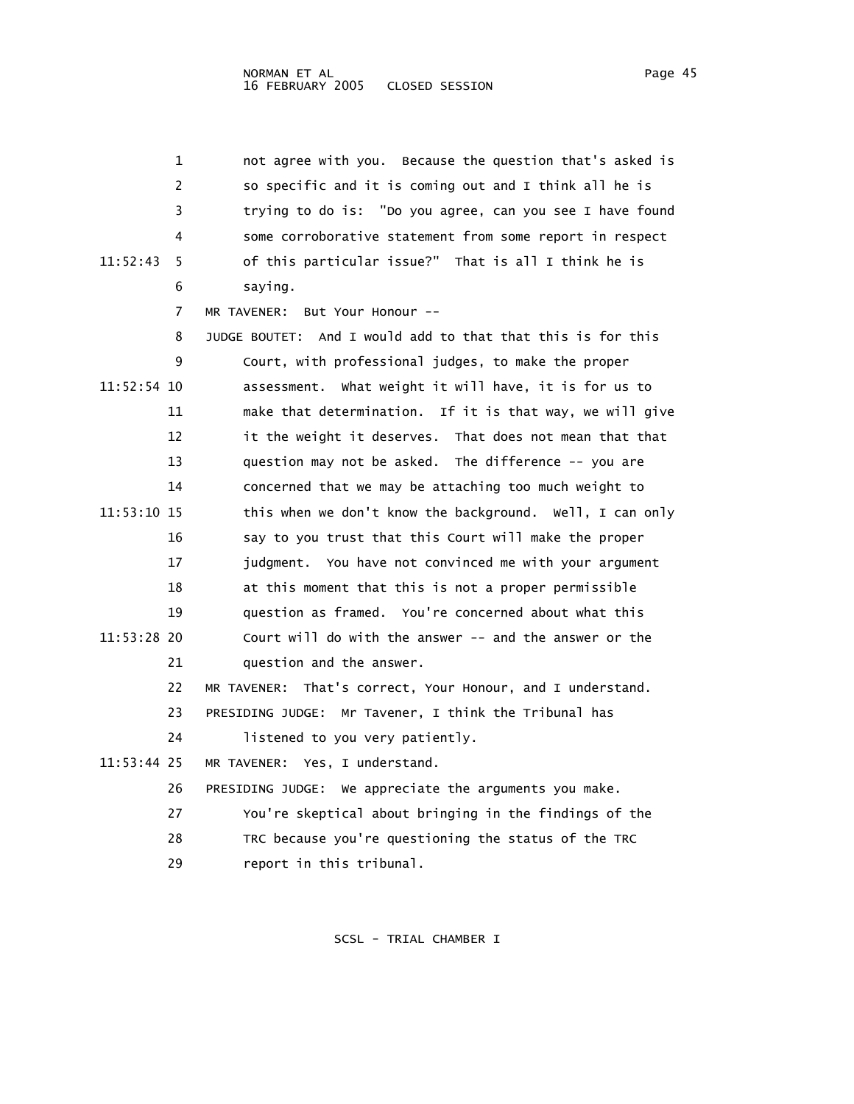|             | 1  | not agree with you. Because the question that's asked is    |
|-------------|----|-------------------------------------------------------------|
|             | 2  | so specific and it is coming out and I think all he is      |
|             | 3  | trying to do is: "Do you agree, can you see I have found    |
|             | 4  | some corroborative statement from some report in respect    |
| 11:52:43    | 5  | of this particular issue?" That is all I think he is        |
|             | 6  | saying.                                                     |
|             | 7  | But Your Honour --<br>MR TAVENER:                           |
|             | 8  | JUDGE BOUTET: And I would add to that that this is for this |
|             | 9  | Court, with professional judges, to make the proper         |
| 11:52:54 10 |    | assessment. What weight it will have, it is for us to       |
|             | 11 | make that determination. If it is that way, we will give    |
|             | 12 | it the weight it deserves. That does not mean that that     |
|             | 13 | question may not be asked. The difference -- you are        |
|             | 14 | concerned that we may be attaching too much weight to       |
| 11:53:10 15 |    | this when we don't know the background. Well, I can only    |
|             | 16 | say to you trust that this Court will make the proper       |
|             | 17 | judgment. You have not convinced me with your argument      |
|             | 18 | at this moment that this is not a proper permissible        |
|             | 19 | question as framed. You're concerned about what this        |
| 11:53:28 20 |    | Court will do with the answer -- and the answer or the      |
|             | 21 | question and the answer.                                    |
|             | 22 | MR TAVENER: That's correct, Your Honour, and I understand.  |
|             | 23 | PRESIDING JUDGE: Mr Tavener, I think the Tribunal has       |
|             | 24 | listened to you very patiently.                             |
| 11:53:44 25 |    | MR TAVENER: Yes, I understand.                              |
|             | 26 | PRESIDING JUDGE: We appreciate the arguments you make.      |
|             | 27 | You're skeptical about bringing in the findings of the      |
|             | 28 | TRC because you're questioning the status of the TRC        |

29 report in this tribunal.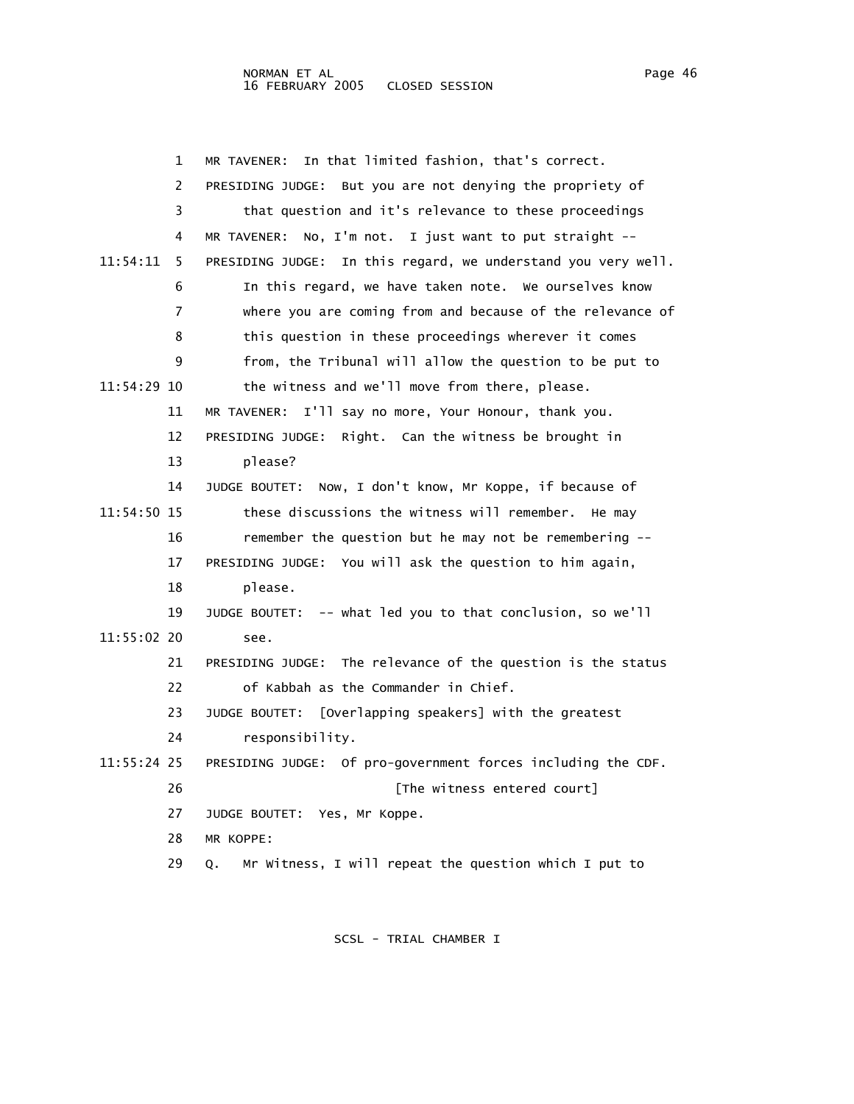## NORMAN ET AL Page 46 16 FEBRUARY 2005 CLOSED SESSION

 1 MR TAVENER: In that limited fashion, that's correct. 2 PRESIDING JUDGE: But you are not denying the propriety of 3 that question and it's relevance to these proceedings 4 MR TAVENER: No, I'm not. I just want to put straight -- 11:54:11 5 PRESIDING JUDGE: In this regard, we understand you very well. 6 In this regard, we have taken note. We ourselves know 7 where you are coming from and because of the relevance of 8 this question in these proceedings wherever it comes 9 from, the Tribunal will allow the question to be put to 11:54:29 10 the witness and we'll move from there, please. 11 MR TAVENER: I'll say no more, Your Honour, thank you. 12 PRESIDING JUDGE: Right. Can the witness be brought in 13 please? 14 JUDGE BOUTET: Now, I don't know, Mr Koppe, if because of 11:54:50 15 these discussions the witness will remember. He may 16 remember the question but he may not be remembering -- 17 PRESIDING JUDGE: You will ask the question to him again, 18 please. 19 JUDGE BOUTET: -- what led you to that conclusion, so we'll 11:55:02 20 see. 21 PRESIDING JUDGE: The relevance of the question is the status 22 of Kabbah as the Commander in Chief. 23 JUDGE BOUTET: [Overlapping speakers] with the greatest 24 responsibility. 11:55:24 25 PRESIDING JUDGE: Of pro-government forces including the CDF. 26 **Example 26** [The witness entered court] 27 JUDGE BOUTET: Yes, Mr Koppe. 28 MR KOPPE: 29 Q. Mr Witness, I will repeat the question which I put to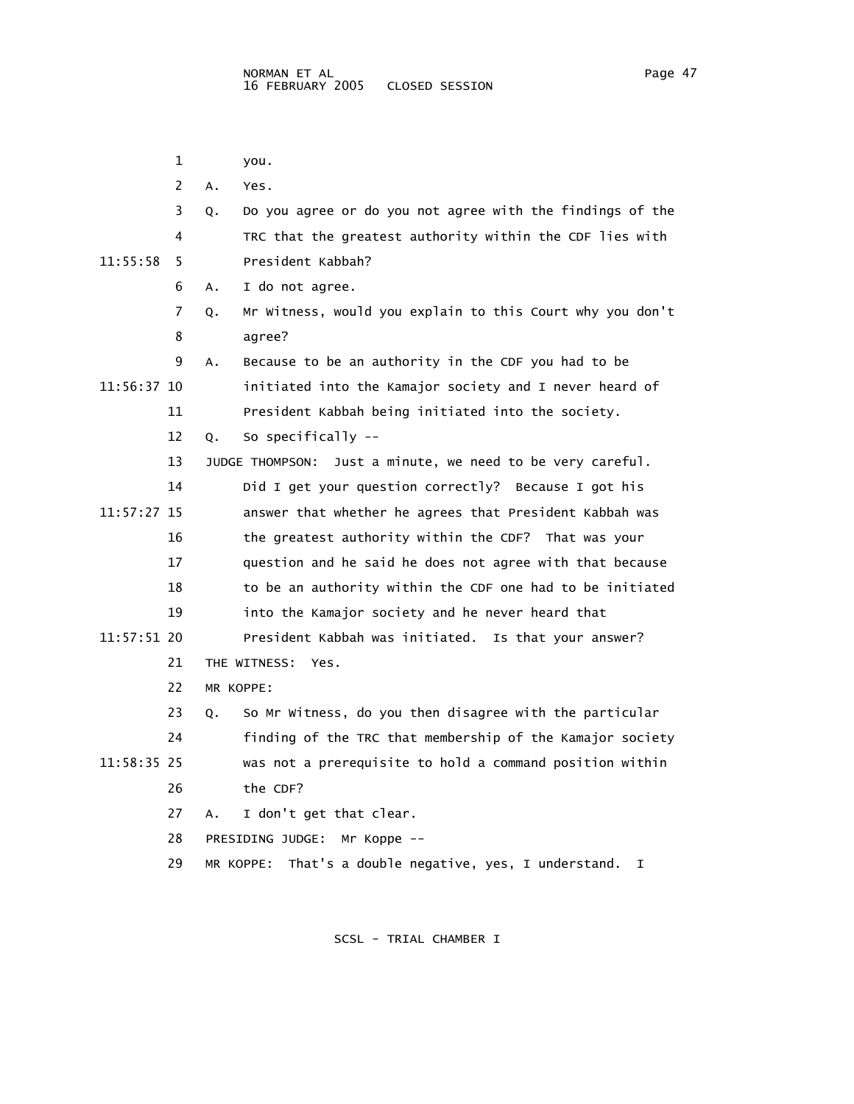1 you.

|             | 2  | Α. | Yes.                                                            |
|-------------|----|----|-----------------------------------------------------------------|
|             | 3  | Q. | Do you agree or do you not agree with the findings of the       |
|             | 4  |    | TRC that the greatest authority within the CDF lies with        |
| 11:55:58    | 5  |    | President Kabbah?                                               |
|             | 6  | А. | I do not agree.                                                 |
|             | 7  | Q. | Mr Witness, would you explain to this Court why you don't       |
|             | 8  |    | agree?                                                          |
|             | 9  | А. | Because to be an authority in the CDF you had to be             |
| 11:56:37 10 |    |    | initiated into the Kamajor society and I never heard of         |
|             | 11 |    | President Kabbah being initiated into the society.              |
|             | 12 | Q. | So specifically --                                              |
|             | 13 |    | Just a minute, we need to be very careful.<br>JUDGE THOMPSON:   |
|             | 14 |    | Did I get your question correctly? Because I got his            |
| 11:57:27 15 |    |    | answer that whether he agrees that President Kabbah was         |
|             | 16 |    | the greatest authority within the CDF? That was your            |
|             | 17 |    | question and he said he does not agree with that because        |
|             | 18 |    | to be an authority within the CDF one had to be initiated       |
|             | 19 |    | into the Kamajor society and he never heard that                |
| 11:57:51 20 |    |    | President Kabbah was initiated. Is that your answer?            |
|             | 21 |    | THE WITNESS:<br>Yes.                                            |
|             | 22 |    | MR KOPPE:                                                       |
|             | 23 | Q. | So Mr Witness, do you then disagree with the particular         |
|             | 24 |    | finding of the TRC that membership of the Kamajor society       |
| 11:58:35 25 |    |    | was not a prerequisite to hold a command position within        |
|             | 26 |    | the CDF?                                                        |
|             | 27 | Α. | I don't get that clear.                                         |
|             | 28 |    | PRESIDING JUDGE:<br>Mr Koppe --                                 |
|             | 29 |    | That's a double negative, yes, I understand.<br>MR KOPPE:<br>I. |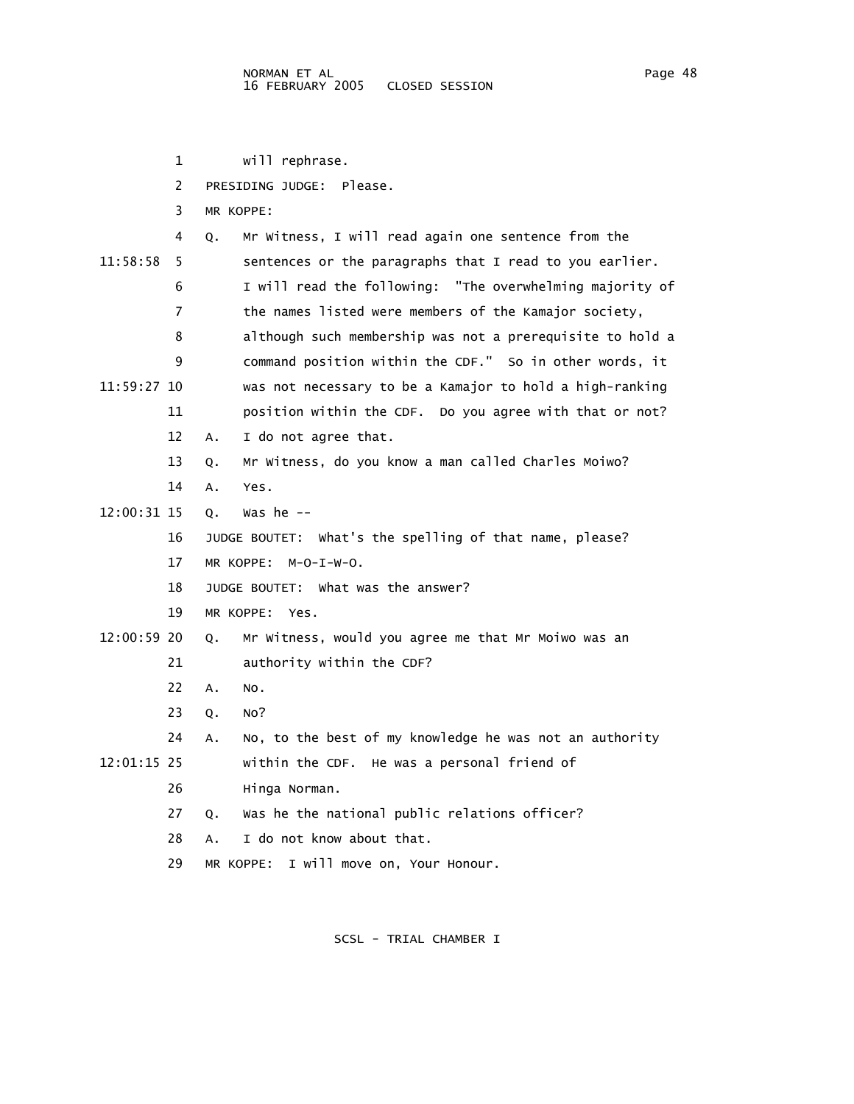1 will rephrase. 2 PRESIDING JUDGE: Please. 3 MR KOPPE: 4 Q. Mr Witness, I will read again one sentence from the 11:58:58 5 sentences or the paragraphs that I read to you earlier. 6 I will read the following: "The overwhelming majority of 7 the names listed were members of the Kamajor society, 8 although such membership was not a prerequisite to hold a 9 command position within the CDF." So in other words, it 11:59:27 10 was not necessary to be a Kamajor to hold a high-ranking 11 position within the CDF. Do you agree with that or not? 12 A. I do not agree that. 13 Q. Mr Witness, do you know a man called Charles Moiwo? 14 A. Yes. 12:00:31 15 Q. Was he -- 16 JUDGE BOUTET: What's the spelling of that name, please? 17 MR KOPPE: M-O-I-W-O. 18 JUDGE BOUTET: What was the answer? 19 MR KOPPE: Yes. 12:00:59 20 Q. Mr Witness, would you agree me that Mr Moiwo was an 21 authority within the CDF? 22 A. No. 23 Q. No? 24 A. No, to the best of my knowledge he was not an authority 12:01:15 25 within the CDF. He was a personal friend of 26 Hinga Norman. 27 Q. Was he the national public relations officer? 28 A. I do not know about that.

29 MR KOPPE: I will move on, Your Honour.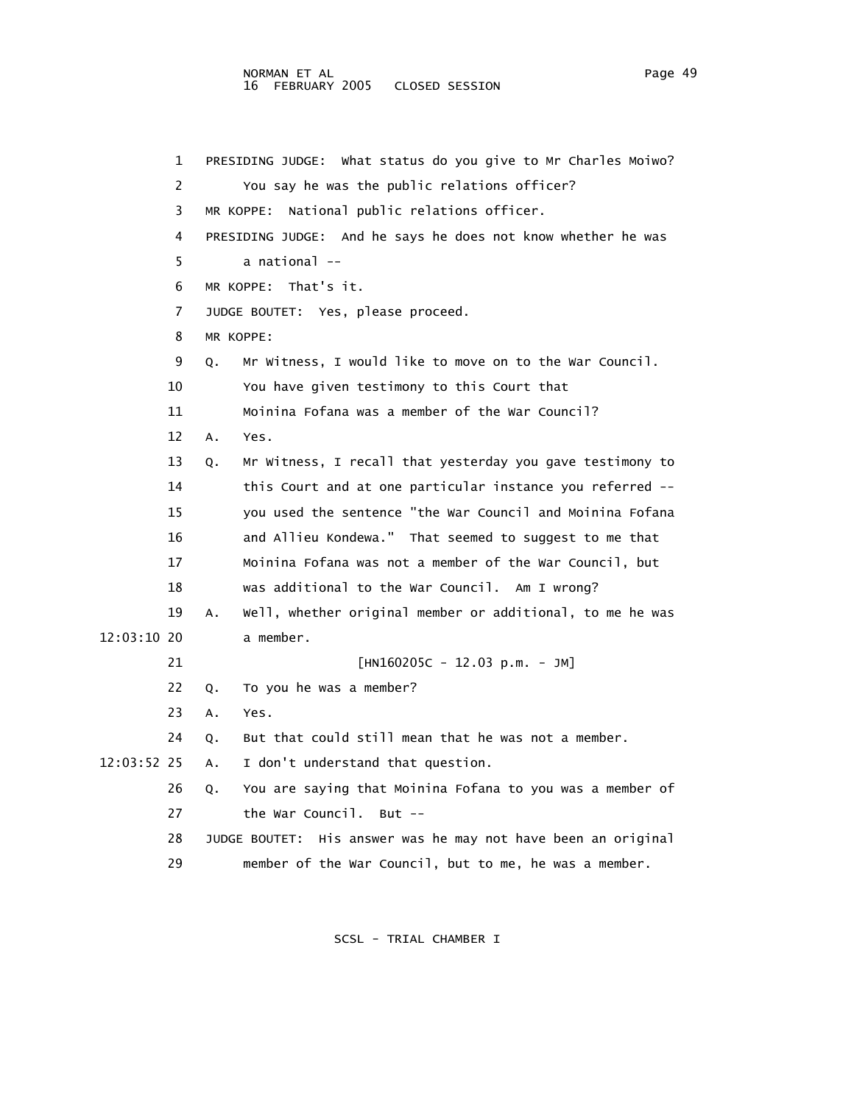## NORMAN ET AL<br>16 FEBRUARY 2005 CLOSED SESSION 16 FEBRUARY 2005

 1 PRESIDING JUDGE: What status do you give to Mr Charles Moiwo? 2 You say he was the public relations officer? 3 MR KOPPE: National public relations officer. 4 PRESIDING JUDGE: And he says he does not know whether he was 5 a national -- 6 MR KOPPE: That's it. 7 JUDGE BOUTET: Yes, please proceed. 8 MR KOPPE: 9 Q. Mr Witness, I would like to move on to the War Council. 10 You have given testimony to this Court that 11 Moinina Fofana was a member of the War Council? 12 A. Yes. 13 Q. Mr Witness, I recall that yesterday you gave testimony to 14 this Court and at one particular instance you referred -- 15 you used the sentence "the War Council and Moinina Fofana 16 and Allieu Kondewa." That seemed to suggest to me that 17 Moinina Fofana was not a member of the War Council, but 18 was additional to the War Council. Am I wrong? 19 A. Well, whether original member or additional, to me he was 12:03:10 20 a member. 21 [HN160205C - 12.03 p.m. - JM] 22 Q. To you he was a member? 23 A. Yes. 24 Q. But that could still mean that he was not a member. 12:03:52 25 A. I don't understand that question. 26 Q. You are saying that Moinina Fofana to you was a member of 27 the War Council. But -- 28 JUDGE BOUTET: His answer was he may not have been an original 29 member of the War Council, but to me, he was a member.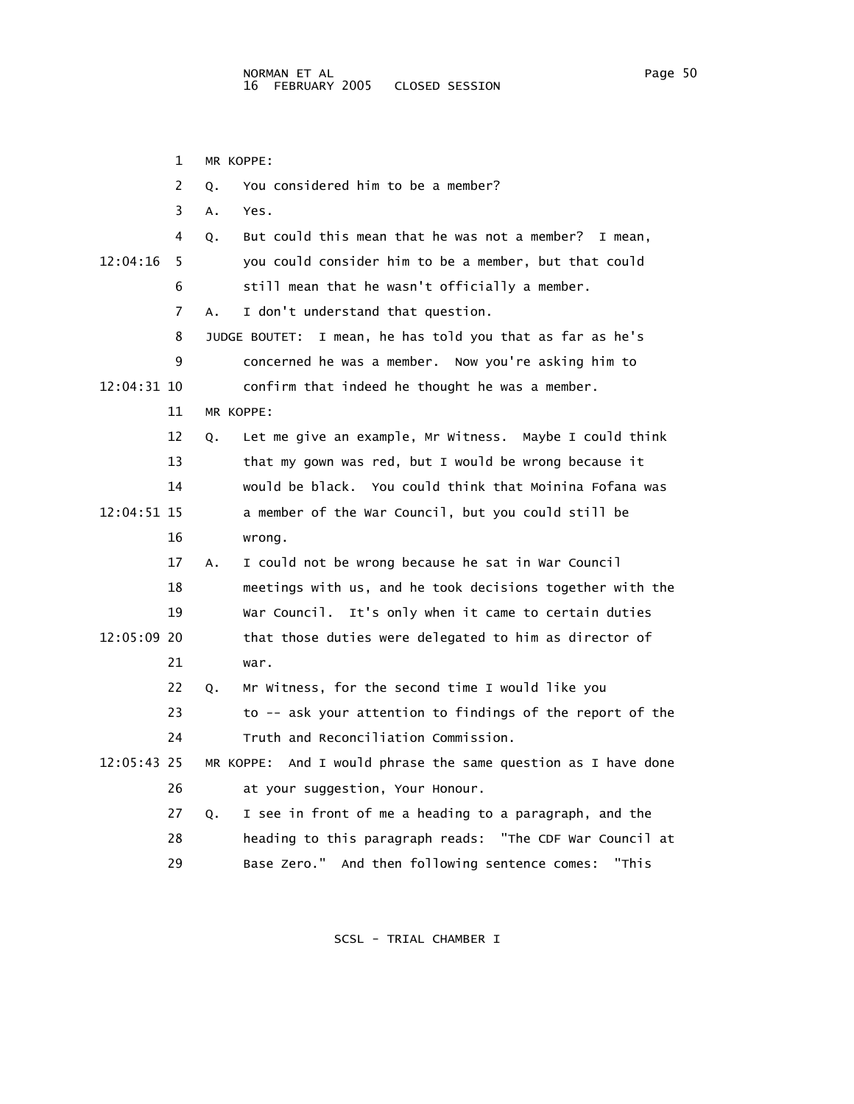1 MR KOPPE: 2 Q. You considered him to be a member? 3 A. Yes. 4 Q. But could this mean that he was not a member? I mean, 12:04:16 5 you could consider him to be a member, but that could 6 still mean that he wasn't officially a member. 7 A. I don't understand that question. 8 JUDGE BOUTET: I mean, he has told you that as far as he's 9 concerned he was a member. Now you're asking him to 12:04:31 10 confirm that indeed he thought he was a member. 11 MR KOPPE: 12 Q. Let me give an example, Mr Witness. Maybe I could think 13 that my gown was red, but I would be wrong because it 14 would be black. You could think that Moinina Fofana was 12:04:51 15 a member of the War Council, but you could still be 16 wrong. 17 A. I could not be wrong because he sat in War Council 18 meetings with us, and he took decisions together with the 19 War Council. It's only when it came to certain duties 12:05:09 20 that those duties were delegated to him as director of 21 war. 22 Q. Mr Witness, for the second time I would like you 23 to -- ask your attention to findings of the report of the 24 Truth and Reconciliation Commission. 12:05:43 25 MR KOPPE: And I would phrase the same question as I have done 26 at your suggestion, Your Honour. 27 Q. I see in front of me a heading to a paragraph, and the 28 heading to this paragraph reads: "The CDF War Council at 29 Base Zero." And then following sentence comes: "This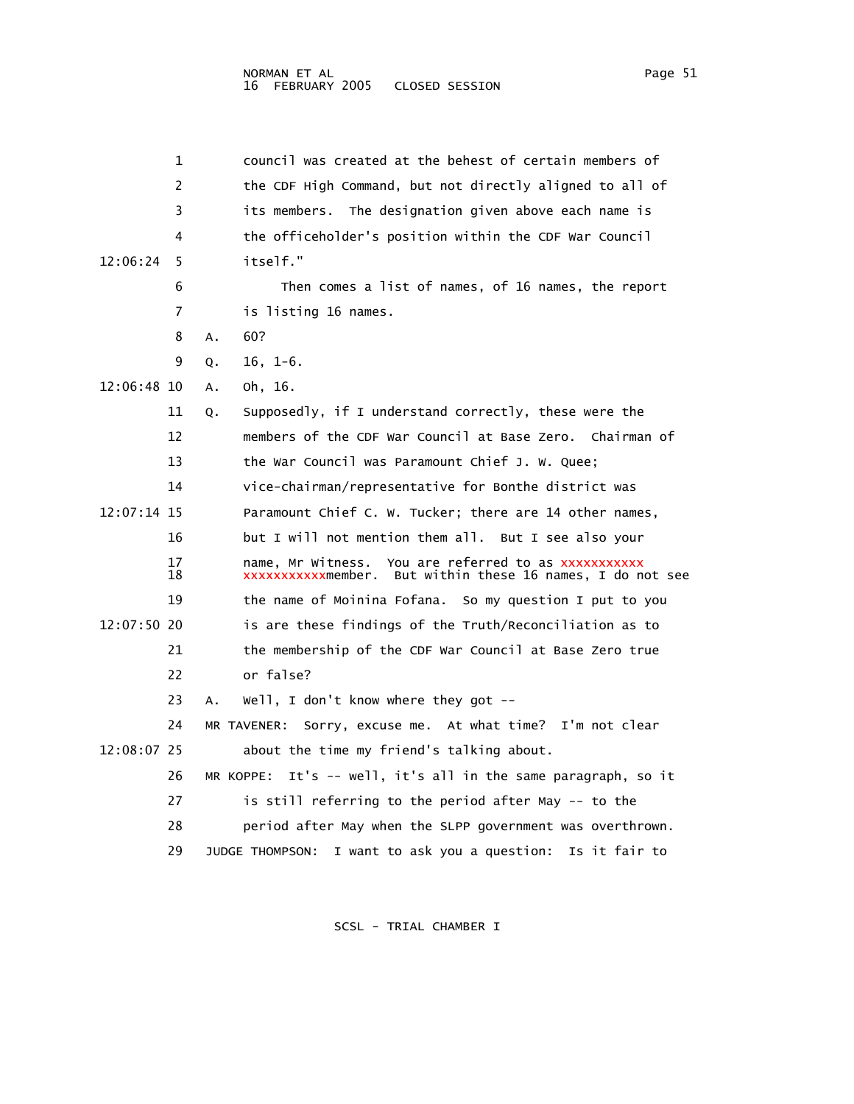| 1              | council was created at the behest of certain members of                                                               |
|----------------|-----------------------------------------------------------------------------------------------------------------------|
| 2              | the CDF High Command, but not directly aligned to all of                                                              |
| 3              | its members. The designation given above each name is                                                                 |
| 4              | the officeholder's position within the CDF War Council                                                                |
| 12:06:24<br>5. | itself."                                                                                                              |
| 6              | Then comes a list of names, of 16 names, the report                                                                   |
| 7              | is listing 16 names.                                                                                                  |
| 8              | 60?<br>А.                                                                                                             |
| 9              | $16, 1-6.$<br>Q.                                                                                                      |
| 12:06:48 10    | oh, 16.<br>А.                                                                                                         |
| 11             | Supposedly, if I understand correctly, these were the<br>Q.                                                           |
| 12             | members of the CDF War Council at Base Zero. Chairman of                                                              |
| 13             | the War Council was Paramount Chief J. W. Quee;                                                                       |
| 14             | vice-chairman/representative for Bonthe district was                                                                  |
| 12:07:14 15    | Paramount Chief C. W. Tucker; there are 14 other names,                                                               |
| 16             | but I will not mention them all.  But I see also your                                                                 |
| 17<br>18       | name, Mr Witness. You are referred to as xxxxxxxxxxx<br>xxxxxxxxxxxmember.<br>But within these 16 names, I do not see |
| 19             | the name of Moinina Fofana.<br>So my question I put to you                                                            |
| $12:07:50$ 20  | is are these findings of the Truth/Reconciliation as to                                                               |
| 21             | the membership of the CDF War Council at Base Zero true                                                               |
| 22             | or false?                                                                                                             |
| 23             | Well, I don't know where they got $-$<br>А.                                                                           |
| 24             | MR TAVENER: Sorry, excuse me. At what time? I'm not clear                                                             |
| 12:08:07 25    | about the time my friend's talking about.                                                                             |
| 26             | It's -- well, it's all in the same paragraph, so it<br>MR KOPPE:                                                      |
| 27             | is still referring to the period after May -- to the                                                                  |
| 28             | period after May when the SLPP government was overthrown.                                                             |
| 29             | I want to ask you a question:<br>JUDGE THOMPSON:<br>Is it fair to                                                     |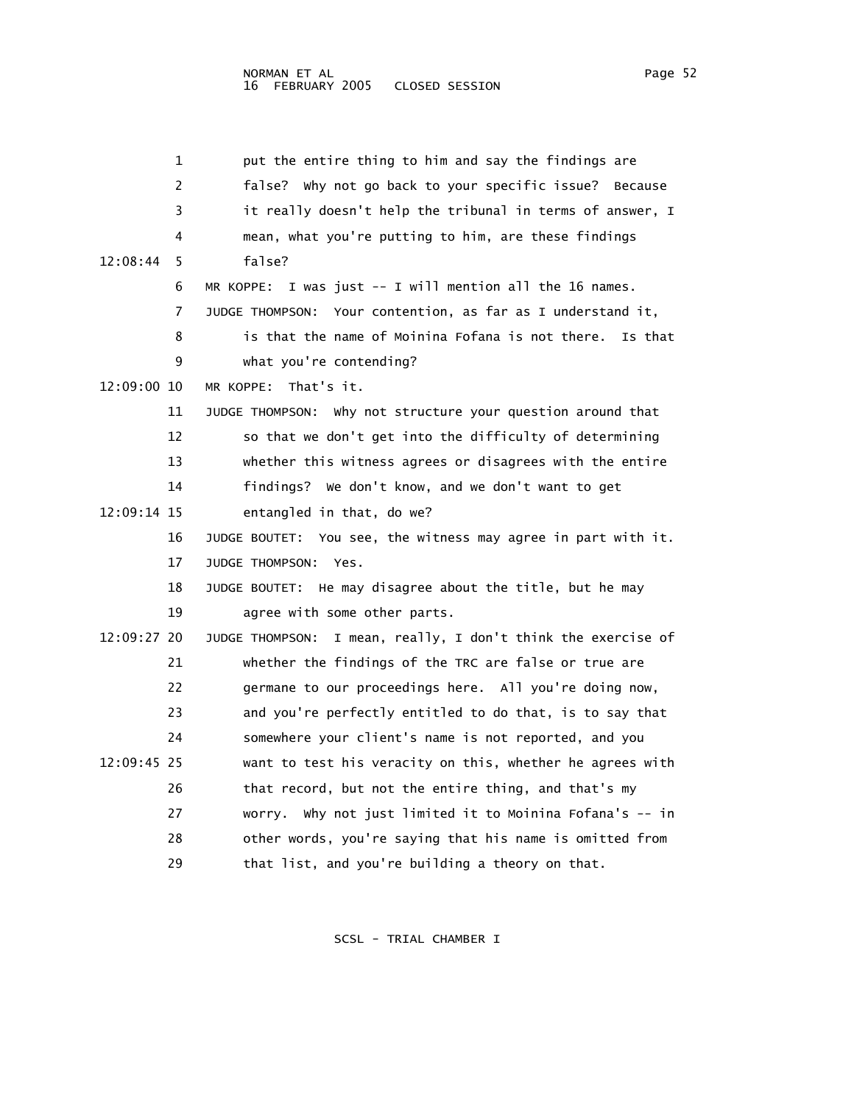| 1              | put the entire thing to him and say the findings are             |
|----------------|------------------------------------------------------------------|
| 2              | false? Why not go back to your specific issue?<br>Because        |
| 3              | it really doesn't help the tribunal in terms of answer, I        |
| 4              | mean, what you're putting to him, are these findings             |
| 12:08:44<br>5. | false?                                                           |
| 6              | MR KOPPE: I was just -- I will mention all the 16 names.         |
| 7              | JUDGE THOMPSON: Your contention, as far as I understand it,      |
| 8              | is that the name of Moinina Fofana is not there.<br>Is that      |
| 9              | what you're contending?                                          |
| 12:09:00 10    | That's it.<br>MR KOPPE:                                          |
| 11             | JUDGE THOMPSON: Why not structure your question around that      |
| 12             | so that we don't get into the difficulty of determining          |
| 13             | whether this witness agrees or disagrees with the entire         |
| 14             | findings? We don't know, and we don't want to get                |
| 12:09:14 15    | entangled in that, do we?                                        |
| 16             | JUDGE BOUTET: You see, the witness may agree in part with it.    |
| 17             | JUDGE THOMPSON: Yes.                                             |
| 18             | JUDGE BOUTET: He may disagree about the title, but he may        |
| 19             | agree with some other parts.                                     |
| 12:09:27 20    | I mean, really, I don't think the exercise of<br>JUDGE THOMPSON: |
| 21             | whether the findings of the TRC are false or true are            |
| 22             | germane to our proceedings here. All you're doing now,           |
| 23             | and you're perfectly entitled to do that, is to say that         |
| 24             | somewhere your client's name is not reported, and you            |
| 12:09:45 25    | want to test his veracity on this, whether he agrees with        |
| 26             | that record, but not the entire thing, and that's my             |
| 27             | worry. Why not just limited it to Moinina Fofana's -- in         |
| 28             | other words, you're saying that his name is omitted from         |
| 29             | that list, and you're building a theory on that.                 |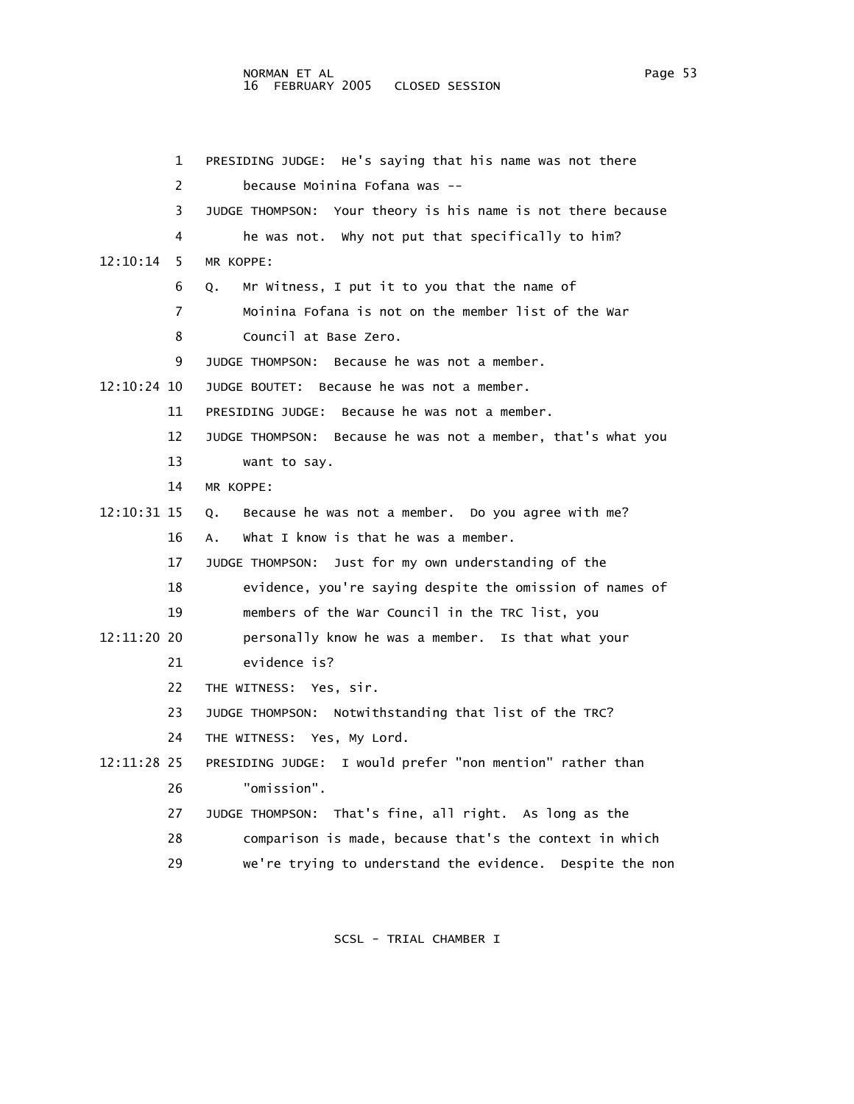## NORMAN ET AL Page 53 16 FEBRUARY 2005 CLOSED SESSION

 1 PRESIDING JUDGE: He's saying that his name was not there 2 because Moinina Fofana was -- 3 JUDGE THOMPSON: Your theory is his name is not there because 4 he was not. Why not put that specifically to him? 12:10:14 5 MR KOPPE: 6 Q. Mr Witness, I put it to you that the name of 7 Moinina Fofana is not on the member list of the War 8 Council at Base Zero. 9 JUDGE THOMPSON: Because he was not a member. 12:10:24 10 JUDGE BOUTET: Because he was not a member. 11 PRESIDING JUDGE: Because he was not a member. 12 JUDGE THOMPSON: Because he was not a member, that's what you 13 want to say. 14 MR KOPPE: 12:10:31 15 Q. Because he was not a member. Do you agree with me? 16 A. What I know is that he was a member. 17 JUDGE THOMPSON: Just for my own understanding of the 18 evidence, you're saying despite the omission of names of 19 members of the War Council in the TRC list, you 12:11:20 20 personally know he was a member. Is that what your 21 evidence is? 22 THE WITNESS: Yes, sir. 23 JUDGE THOMPSON: Notwithstanding that list of the TRC? 24 THE WITNESS: Yes, My Lord. 12:11:28 25 PRESIDING JUDGE: I would prefer "non mention" rather than 26 "omission". 27 JUDGE THOMPSON: That's fine, all right. As long as the 28 comparison is made, because that's the context in which 29 we're trying to understand the evidence. Despite the non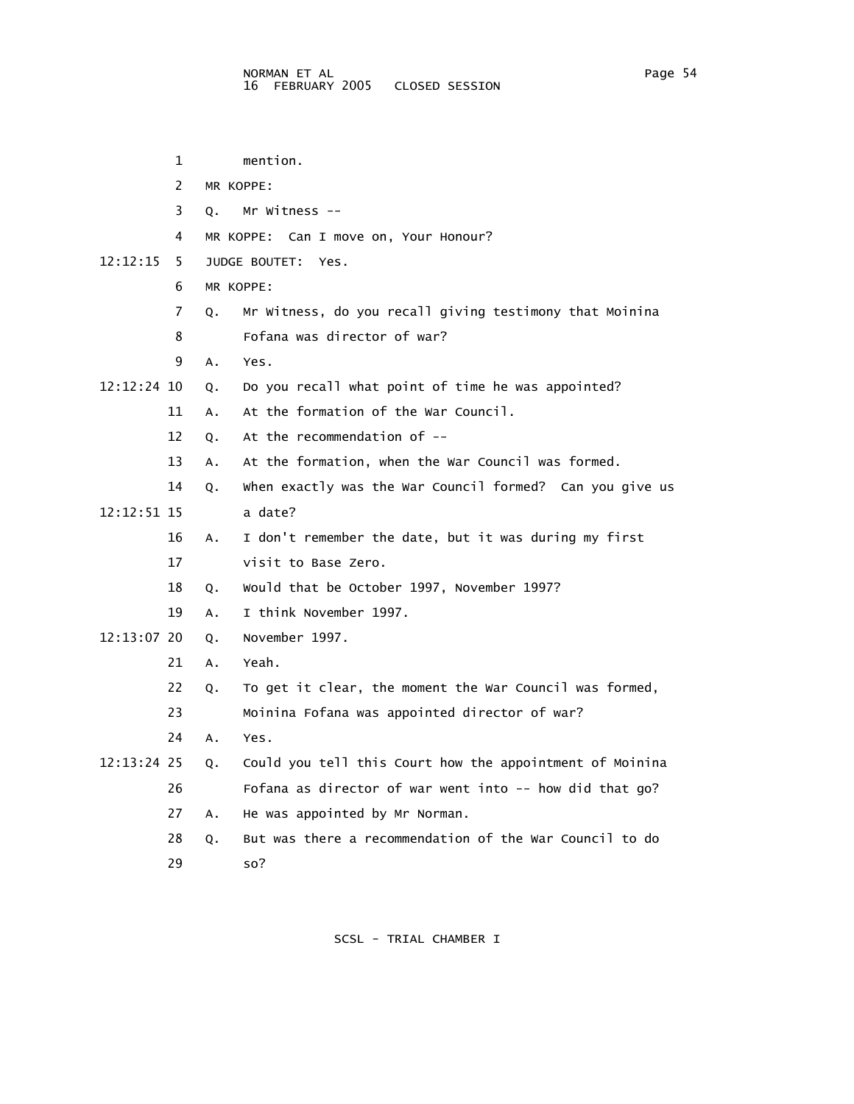1 mention. 2 MR KOPPE: 3 Q. Mr Witness -- 4 MR KOPPE: Can I move on, Your Honour? 12:12:15 5 JUDGE BOUTET: Yes. 6 MR KOPPE: 7 Q. Mr Witness, do you recall giving testimony that Moinina 8 Fofana was director of war? 9 A. Yes. 12:12:24 10 Q. Do you recall what point of time he was appointed? 11 A. At the formation of the War Council. 12 Q. At the recommendation of -- 13 A. At the formation, when the War Council was formed. 14 Q. When exactly was the War Council formed? Can you give us 12:12:51 15 a date? 16 A. I don't remember the date, but it was during my first 17 visit to Base Zero. 18 Q. Would that be October 1997, November 1997? 19 A. I think November 1997. 12:13:07 20 Q. November 1997. 21 A. Yeah. 22 Q. To get it clear, the moment the War Council was formed, 23 Moinina Fofana was appointed director of war? 24 A. Yes. 12:13:24 25 Q. Could you tell this Court how the appointment of Moinina 26 Fofana as director of war went into -- how did that go? 27 A. He was appointed by Mr Norman. 28 Q. But was there a recommendation of the War Council to do 29 so?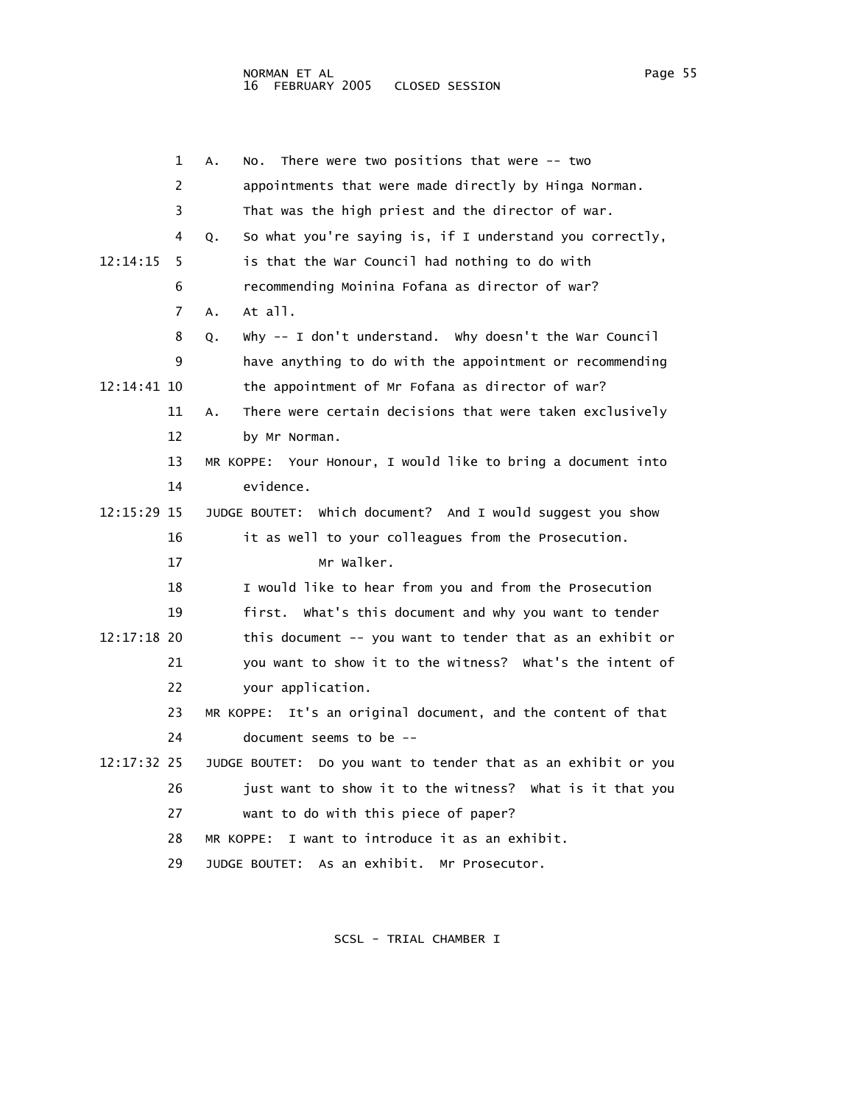|             | 1  | There were two positions that were $--$ two<br>Α.<br>NO.         |
|-------------|----|------------------------------------------------------------------|
|             | 2  | appointments that were made directly by Hinga Norman.            |
|             | 3  | That was the high priest and the director of war.                |
|             | 4  | So what you're saying is, if I understand you correctly,<br>Q.   |
| 12:14:15    | 5  | is that the War Council had nothing to do with                   |
|             | 6  | recommending Moinina Fofana as director of war?                  |
|             | 7  | $At$ $all.$<br>A.                                                |
|             | 8  | Why -- I don't understand. Why doesn't the War Council<br>Q.     |
|             | 9  | have anything to do with the appointment or recommending         |
| 12:14:41 10 |    | the appointment of Mr Fofana as director of war?                 |
|             | 11 | There were certain decisions that were taken exclusively<br>А.   |
|             | 12 | by Mr Norman.                                                    |
|             | 13 | MR KOPPE: Your Honour, I would like to bring a document into     |
|             | 14 | evidence.                                                        |
| 12:15:29 15 |    | which document? And I would suggest you show<br>JUDGE BOUTET:    |
|             | 16 | it as well to your colleagues from the Prosecution.              |
|             | 17 | Mr Walker.                                                       |
|             | 18 | I would like to hear from you and from the Prosecution           |
|             | 19 | first. What's this document and why you want to tender           |
| 12:17:18 20 |    | this document -- you want to tender that as an exhibit or        |
|             | 21 | you want to show it to the witness? What's the intent of         |
|             | 22 | your application.                                                |
|             | 23 | MR KOPPE: It's an original document, and the content of that     |
|             | 24 | document seems to be --                                          |
| 12:17:32 25 |    | Do you want to tender that as an exhibit or you<br>JUDGE BOUTET: |
|             | 26 | just want to show it to the witness? What is it that you         |
|             | 27 | want to do with this piece of paper?                             |
|             | 28 | I want to introduce it as an exhibit.<br>MR KOPPE:               |
|             | 29 | JUDGE BOUTET: As an exhibit. Mr Prosecutor.                      |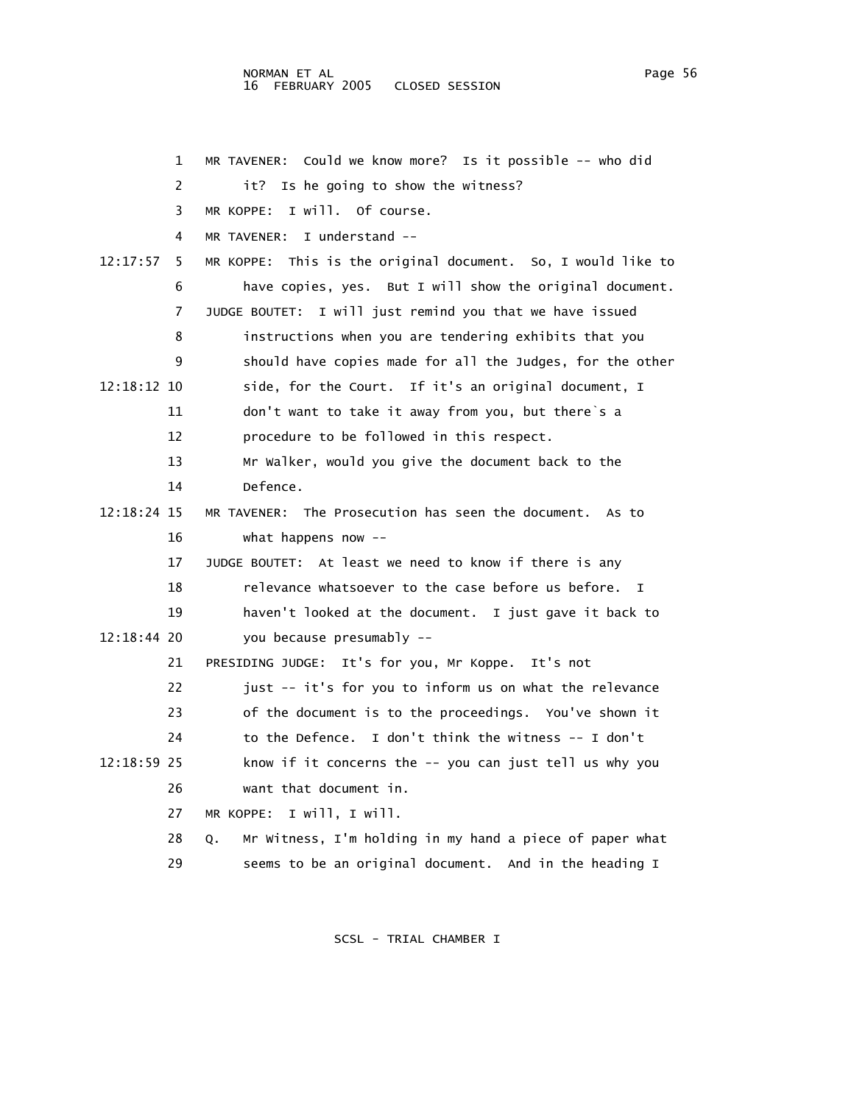|             | 1  | Could we know more? Is it possible -- who did<br>MR TAVENER:   |
|-------------|----|----------------------------------------------------------------|
|             | 2  | Is he going to show the witness?<br>it?                        |
|             | 3  | I will. Of course.<br>MR KOPPE:                                |
|             | 4  | I understand --<br>MR TAVENER:                                 |
| 12:17:57    | 5  | MR KOPPE: This is the original document. So, I would like to   |
|             | 6  | have copies, yes. But I will show the original document.       |
|             | 7  | JUDGE BOUTET: I will just remind you that we have issued       |
|             | 8  | instructions when you are tendering exhibits that you          |
|             | 9  | should have copies made for all the Judges, for the other      |
| 12:18:12 10 |    | side, for the Court. If it's an original document, I           |
|             | 11 | don't want to take it away from you, but there's a             |
|             | 12 | procedure to be followed in this respect.                      |
|             | 13 | Mr Walker, would you give the document back to the             |
|             | 14 | Defence.                                                       |
| 12:18:24 15 |    | MR TAVENER: The Prosecution has seen the document. As to       |
|             | 16 | what happens now $-$                                           |
|             | 17 | JUDGE BOUTET: At least we need to know if there is any         |
|             | 18 | relevance whatsoever to the case before us before.<br>I        |
|             | 19 | haven't looked at the document. I just gave it back to         |
| 12:18:44 20 |    | you because presumably --                                      |
|             | 21 | It's for you, Mr Koppe.<br>It's not<br>PRESIDING JUDGE:        |
|             | 22 | just -- it's for you to inform us on what the relevance        |
|             | 23 | of the document is to the proceedings. You've shown it         |
|             | 24 | to the Defence. I don't think the witness $-$ I don't          |
| 12:18:59 25 |    | know if it concerns the -- you can just tell us why you        |
|             | 26 | want that document in.                                         |
|             | 27 | I will, I will.<br>MR KOPPE:                                   |
|             | 28 | Mr Witness, I'm holding in my hand a piece of paper what<br>Q. |
|             | 29 | seems to be an original document. And in the heading I         |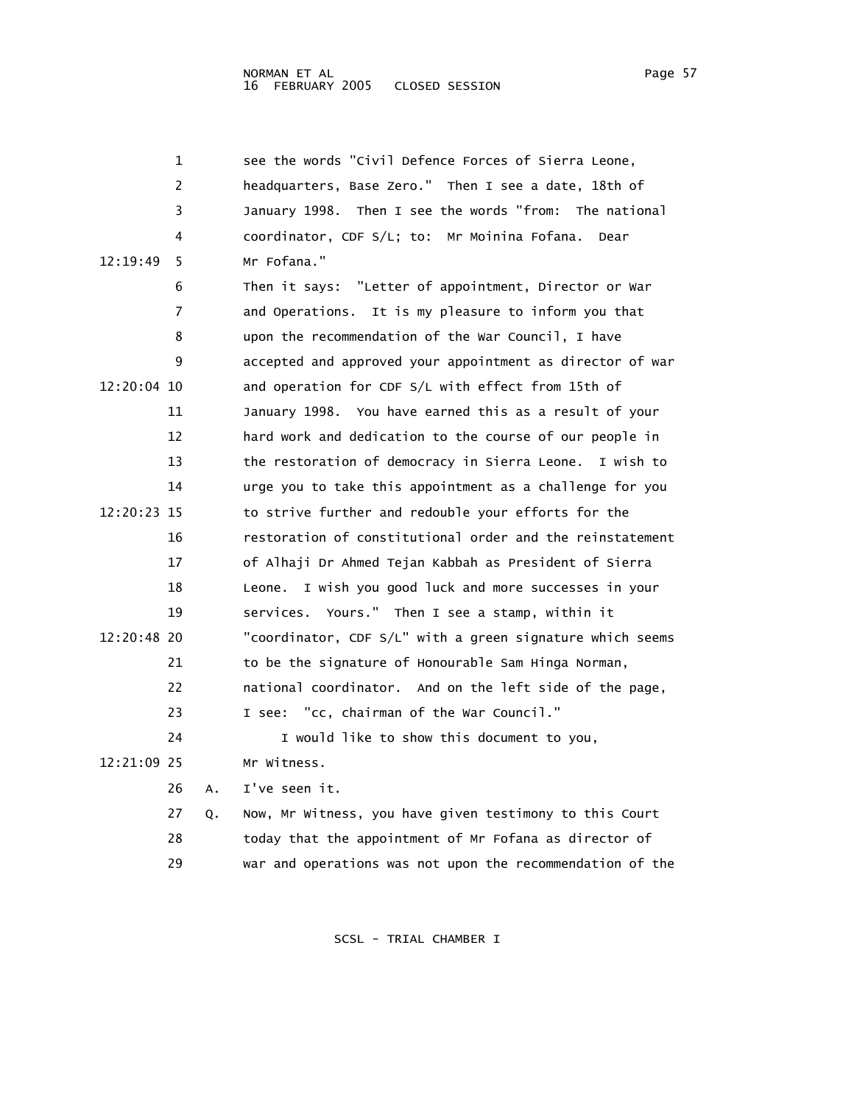NORMAN ET AL Page 57 16 FEBRUARY 2005

 1 see the words "Civil Defence Forces of Sierra Leone, 2 headquarters, Base Zero." Then I see a date, 18th of 3 January 1998. Then I see the words "from: The national 4 coordinator, CDF S/L; to: Mr Moinina Fofana. Dear 12:19:49 5 Mr Fofana." 6 Then it says: "Letter of appointment, Director or War 7 and Operations. It is my pleasure to inform you that 8 upon the recommendation of the War Council, I have 9 accepted and approved your appointment as director of war 12:20:04 10 and operation for CDF S/L with effect from 15th of 11 January 1998. You have earned this as a result of your 12 hard work and dedication to the course of our people in 13 the restoration of democracy in Sierra Leone. I wish to 14 urge you to take this appointment as a challenge for you 12:20:23 15 to strive further and redouble your efforts for the 16 restoration of constitutional order and the reinstatement 17 of Alhaji Dr Ahmed Tejan Kabbah as President of Sierra 18 Leone. I wish you good luck and more successes in your 19 services. Yours." Then I see a stamp, within it 12:20:48 20 "coordinator, CDF S/L" with a green signature which seems 21 to be the signature of Honourable Sam Hinga Norman, 22 national coordinator. And on the left side of the page, 23 I see: "cc, chairman of the War Council." 24 I would like to show this document to you, 12:21:09 25 Mr Witness. 26 A. I've seen it. 27 Q. Now, Mr Witness, you have given testimony to this Court 28 today that the appointment of Mr Fofana as director of 29 war and operations was not upon the recommendation of the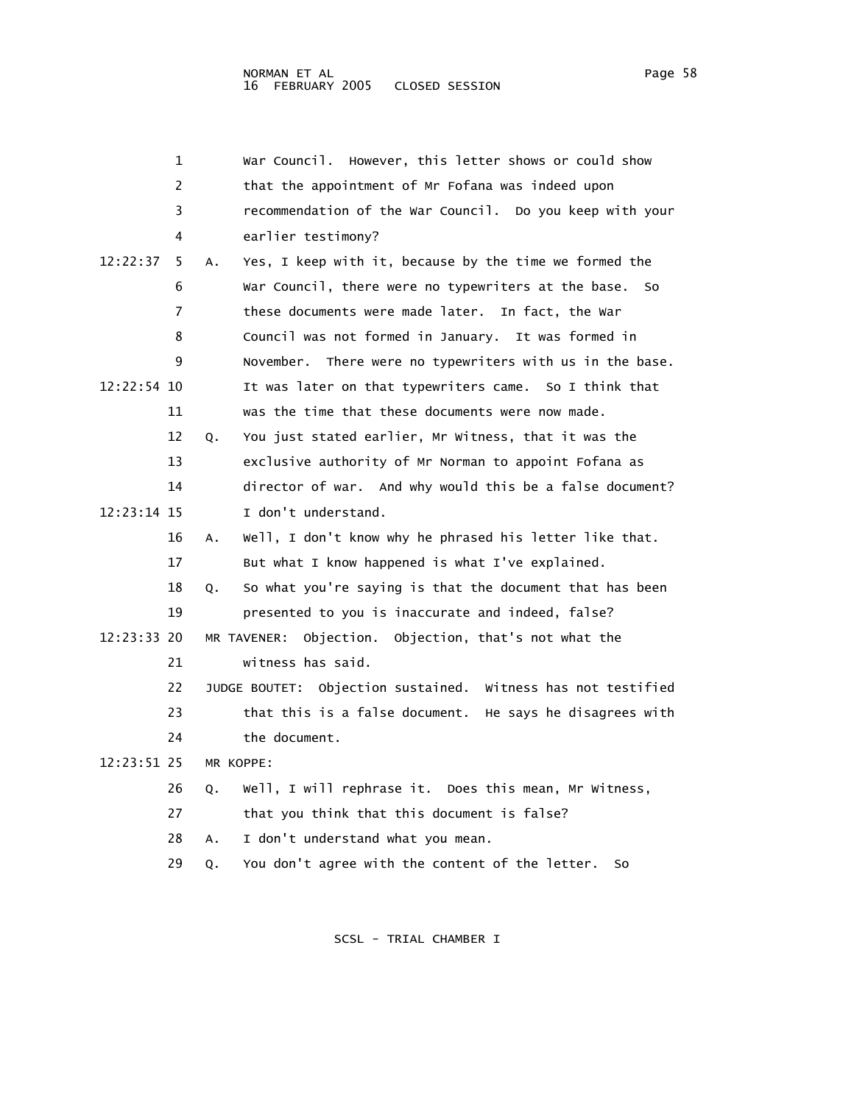|               | 1  |           | War Council. However, this letter shows or could show        |
|---------------|----|-----------|--------------------------------------------------------------|
|               | 2  |           | that the appointment of Mr Fofana was indeed upon            |
|               | 3  |           | recommendation of the War Council. Do you keep with your     |
|               | 4  |           | earlier testimony?                                           |
| 12:22:37      | 5. | Α.        | Yes, I keep with it, because by the time we formed the       |
|               | 6  |           | War Council, there were no typewriters at the base.<br>So    |
|               | 7  |           | these documents were made later. In fact, the war            |
|               | 8  |           | Council was not formed in January. It was formed in          |
|               | 9  |           | November. There were no typewriters with us in the base.     |
| $12:22:54$ 10 |    |           | It was later on that typewriters came. So I think that       |
|               | 11 |           | was the time that these documents were now made.             |
|               | 12 | Q.        | You just stated earlier, Mr Witness, that it was the         |
|               | 13 |           | exclusive authority of Mr Norman to appoint Fofana as        |
|               | 14 |           | director of war. And why would this be a false document?     |
| 12:23:14 15   |    |           | I don't understand.                                          |
|               | 16 | Α.        | Well, I don't know why he phrased his letter like that.      |
|               | 17 |           | But what I know happened is what I've explained.             |
|               | 18 | Q.        | So what you're saying is that the document that has been     |
|               | 19 |           | presented to you is inaccurate and indeed, false?            |
| 12:23:33 20   |    |           | Objection. Objection, that's not what the<br>MR TAVENER:     |
|               | 21 |           | witness has said.                                            |
|               | 22 |           | JUDGE BOUTET: Objection sustained. Witness has not testified |
|               | 23 |           | that this is a false document. He says he disagrees with     |
|               | 24 |           | the document.                                                |
| 12:23:51 25   |    | MR KOPPE: |                                                              |
|               | 26 | Q.        | Well, I will rephrase it. Does this mean, Mr Witness,        |
|               | 27 |           | that you think that this document is false?                  |
|               | 28 | Α.        | I don't understand what you mean.                            |
|               | 29 | Q.        | You don't agree with the content of the letter.<br>So        |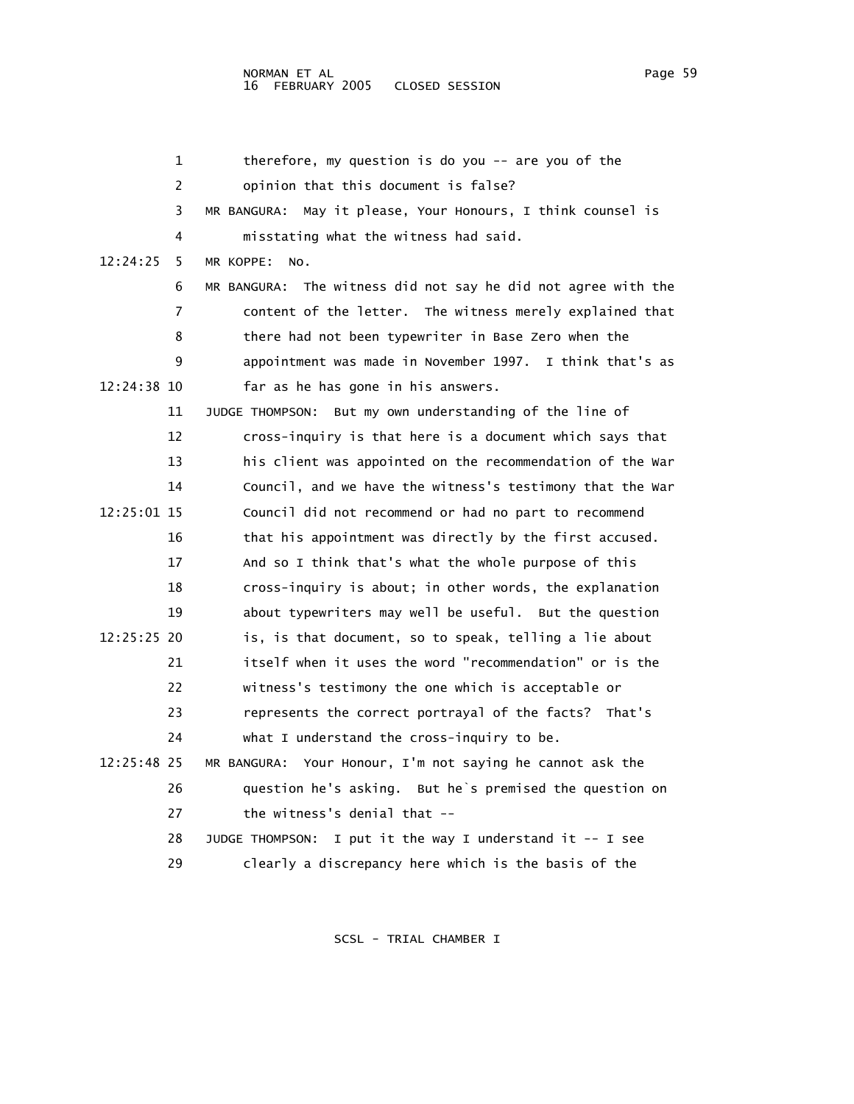|             | 1  | therefore, my question is do you $-$ are you of the           |
|-------------|----|---------------------------------------------------------------|
|             | 2  | opinion that this document is false?                          |
|             | 3  | MR BANGURA: May it please, Your Honours, I think counsel is   |
|             | 4  | misstating what the witness had said.                         |
| 12:24:25    | 5  | MR KOPPE:<br>NO.                                              |
|             | 6  | MR BANGURA: The witness did not say he did not agree with the |
|             | 7  | content of the letter. The witness merely explained that      |
|             | 8  | there had not been typewriter in Base Zero when the           |
|             | 9  | appointment was made in November 1997. I think that's as      |
| 12:24:38 10 |    | far as he has gone in his answers.                            |
|             | 11 | JUDGE THOMPSON: But my own understanding of the line of       |
|             | 12 | cross-inquiry is that here is a document which says that      |
|             | 13 | his client was appointed on the recommendation of the War     |
|             | 14 | Council, and we have the witness's testimony that the War     |
| 12:25:01 15 |    | Council did not recommend or had no part to recommend         |
|             | 16 | that his appointment was directly by the first accused.       |
|             | 17 | And so I think that's what the whole purpose of this          |
|             | 18 | cross-inquiry is about; in other words, the explanation       |
|             | 19 | about typewriters may well be useful. But the question        |
| 12:25:25 20 |    | is, is that document, so to speak, telling a lie about        |
|             | 21 | itself when it uses the word "recommendation" or is the       |
|             | 22 | witness's testimony the one which is acceptable or            |
|             | 23 | represents the correct portrayal of the facts? That's         |
|             | 24 | what I understand the cross-inquiry to be.                    |
| 12:25:48 25 |    | MR BANGURA: Your Honour, I'm not saying he cannot ask the     |
|             | 26 | question he's asking. But he's premised the question on       |
|             | 27 | the witness's denial that --                                  |
|             | 28 | JUDGE THOMPSON: I put it the way I understand it -- I see     |
|             | 29 | clearly a discrepancy here which is the basis of the          |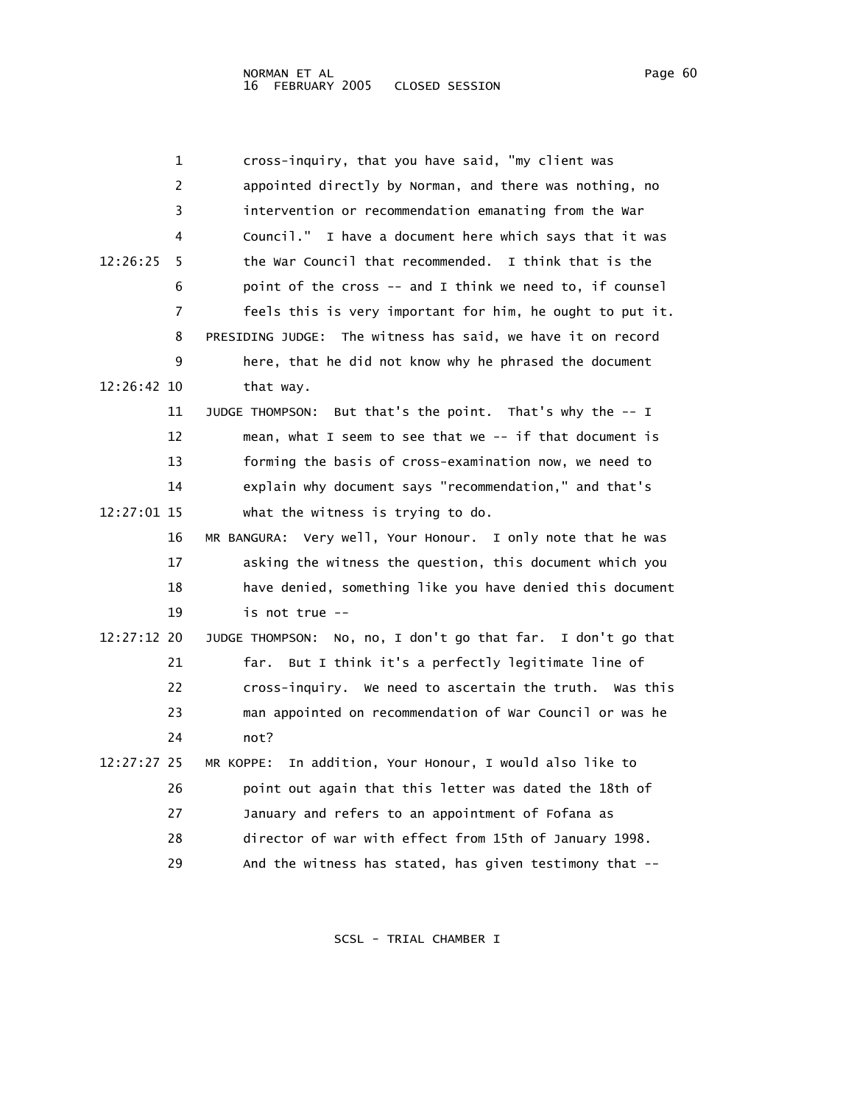| 1             | cross-inquiry, that you have said, "my client was            |
|---------------|--------------------------------------------------------------|
| 2             | appointed directly by Norman, and there was nothing, no      |
| 3             | intervention or recommendation emanating from the War        |
| 4             | Council." I have a document here which says that it was      |
| 12:26:25<br>5 | the War Council that recommended. I think that is the        |
| 6             | point of the cross -- and I think we need to, if counsel     |
| 7             | feels this is very important for him, he ought to put it.    |
| 8             | PRESIDING JUDGE: The witness has said, we have it on record  |
| 9             | here, that he did not know why he phrased the document       |
| 12:26:42 10   | that way.                                                    |
| 11            | But that's the point. That's why the -- I<br>JUDGE THOMPSON: |
| 12            | mean, what I seem to see that we -- if that document is      |
| 13            | forming the basis of cross-examination now, we need to       |
| 14            | explain why document says "recommendation," and that's       |
| 12:27:01 15   | what the witness is trying to do.                            |
| 16            | MR BANGURA: Very well, Your Honour. I only note that he was  |
| 17            | asking the witness the question, this document which you     |
| 18            | have denied, something like you have denied this document    |
| 19            | is not true --                                               |
| 12:27:12 20   | JUDGE THOMPSON: No, no, I don't go that far. I don't go that |
| 21            | But I think it's a perfectly legitimate line of<br>far.      |
| 22            | cross-inquiry. We need to ascertain the truth. Was this      |
| 23            | man appointed on recommendation of War Council or was he     |
| 24            | not?                                                         |
| 12:27:27 25   | In addition, Your Honour, I would also like to<br>MR KOPPE:  |
| 26            | point out again that this letter was dated the 18th of       |
| 27            | January and refers to an appointment of Fofana as            |
| 28            | director of war with effect from 15th of January 1998.       |
| 29            | And the witness has stated, has given testimony that --      |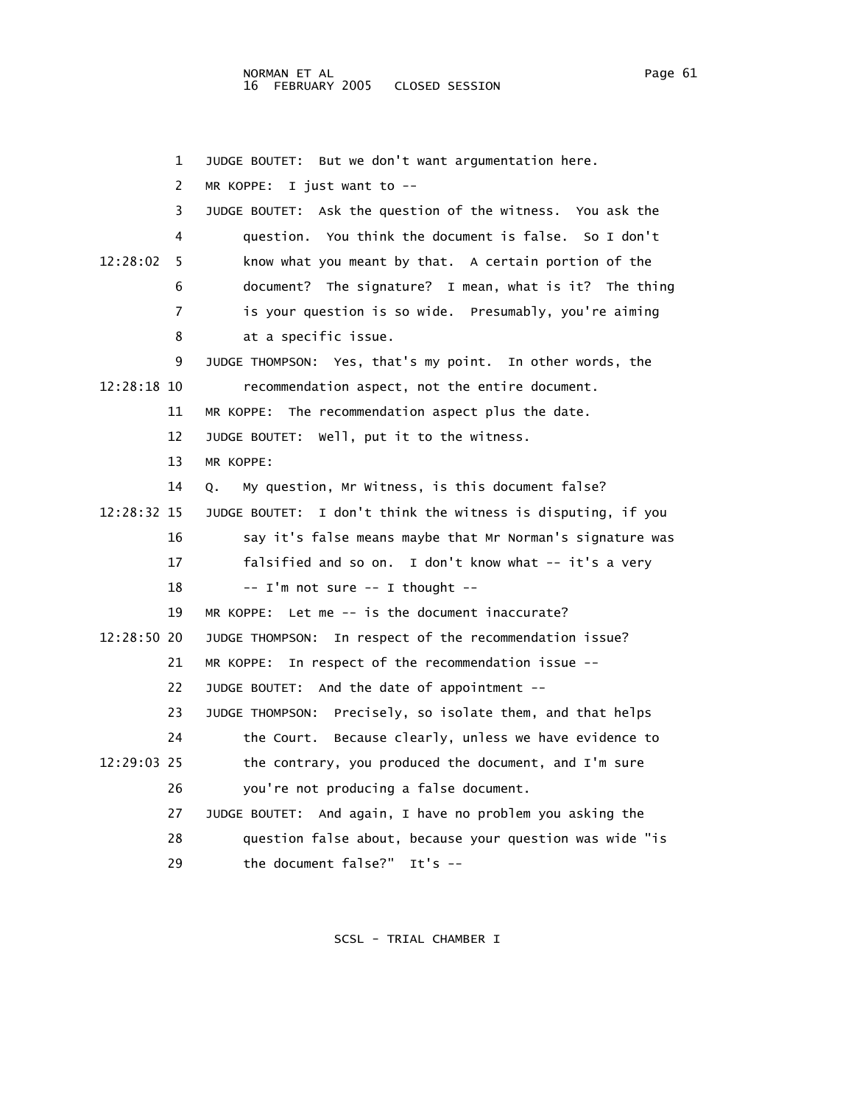1 JUDGE BOUTET: But we don't want argumentation here. 2 MR KOPPE: I just want to -- 3 JUDGE BOUTET: Ask the question of the witness. You ask the 4 question. You think the document is false. So I don't 12:28:02 5 know what you meant by that. A certain portion of the 6 document? The signature? I mean, what is it? The thing 7 is your question is so wide. Presumably, you're aiming 8 at a specific issue. 9 JUDGE THOMPSON: Yes, that's my point. In other words, the 12:28:18 10 recommendation aspect, not the entire document. 11 MR KOPPE: The recommendation aspect plus the date. 12 JUDGE BOUTET: Well, put it to the witness. 13 MR KOPPE: 14 Q. My question, Mr Witness, is this document false? 12:28:32 15 JUDGE BOUTET: I don't think the witness is disputing, if you 16 say it's false means maybe that Mr Norman's signature was 17 falsified and so on. I don't know what -- it's a very 18  $\frac{1}{m}$  not sure  $\frac{1}{m}$  thought  $-$  19 MR KOPPE: Let me -- is the document inaccurate? 12:28:50 20 JUDGE THOMPSON: In respect of the recommendation issue? 21 MR KOPPE: In respect of the recommendation issue -- 22 JUDGE BOUTET: And the date of appointment -- 23 JUDGE THOMPSON: Precisely, so isolate them, and that helps 24 the Court. Because clearly, unless we have evidence to 12:29:03 25 the contrary, you produced the document, and I'm sure 26 you're not producing a false document. 27 JUDGE BOUTET: And again, I have no problem you asking the 28 question false about, because your question was wide "is 29 the document false?" It's --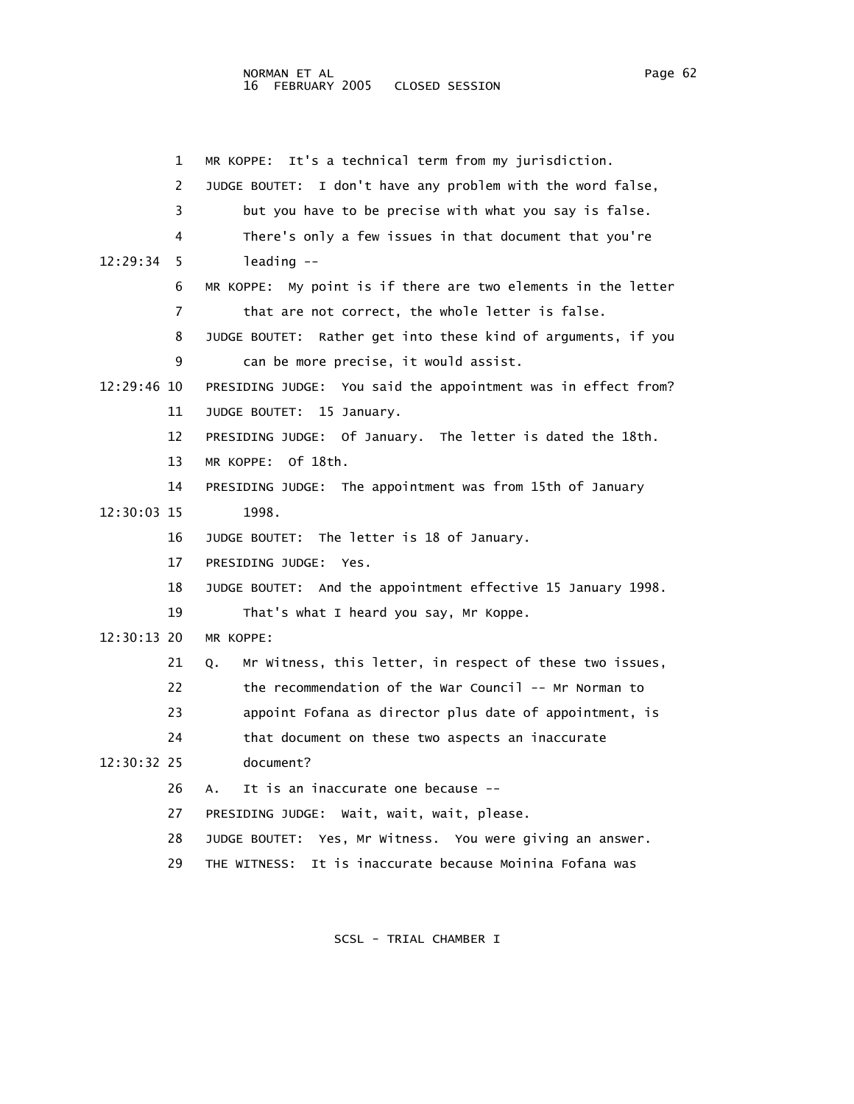1 MR KOPPE: It's a technical term from my jurisdiction. 2 JUDGE BOUTET: I don't have any problem with the word false, 3 but you have to be precise with what you say is false. 4 There's only a few issues in that document that you're 12:29:34 5 leading -- 6 MR KOPPE: My point is if there are two elements in the letter 7 that are not correct, the whole letter is false. 8 JUDGE BOUTET: Rather get into these kind of arguments, if you 9 can be more precise, it would assist. 12:29:46 10 PRESIDING JUDGE: You said the appointment was in effect from? 11 JUDGE BOUTET: 15 January. 12 PRESIDING JUDGE: Of January. The letter is dated the 18th. 13 MR KOPPE: Of 18th. 14 PRESIDING JUDGE: The appointment was from 15th of January 12:30:03 15 1998. 16 JUDGE BOUTET: The letter is 18 of January. 17 PRESIDING JUDGE: Yes. 18 JUDGE BOUTET: And the appointment effective 15 January 1998. 19 That's what I heard you say, Mr Koppe. 12:30:13 20 MR KOPPE: 21 Q. Mr Witness, this letter, in respect of these two issues, 22 the recommendation of the War Council -- Mr Norman to 23 appoint Fofana as director plus date of appointment, is 24 that document on these two aspects an inaccurate 12:30:32 25 document? 26 A. It is an inaccurate one because -- 27 PRESIDING JUDGE: Wait, wait, wait, please. 28 JUDGE BOUTET: Yes, Mr Witness. You were giving an answer. 29 THE WITNESS: It is inaccurate because Moinina Fofana was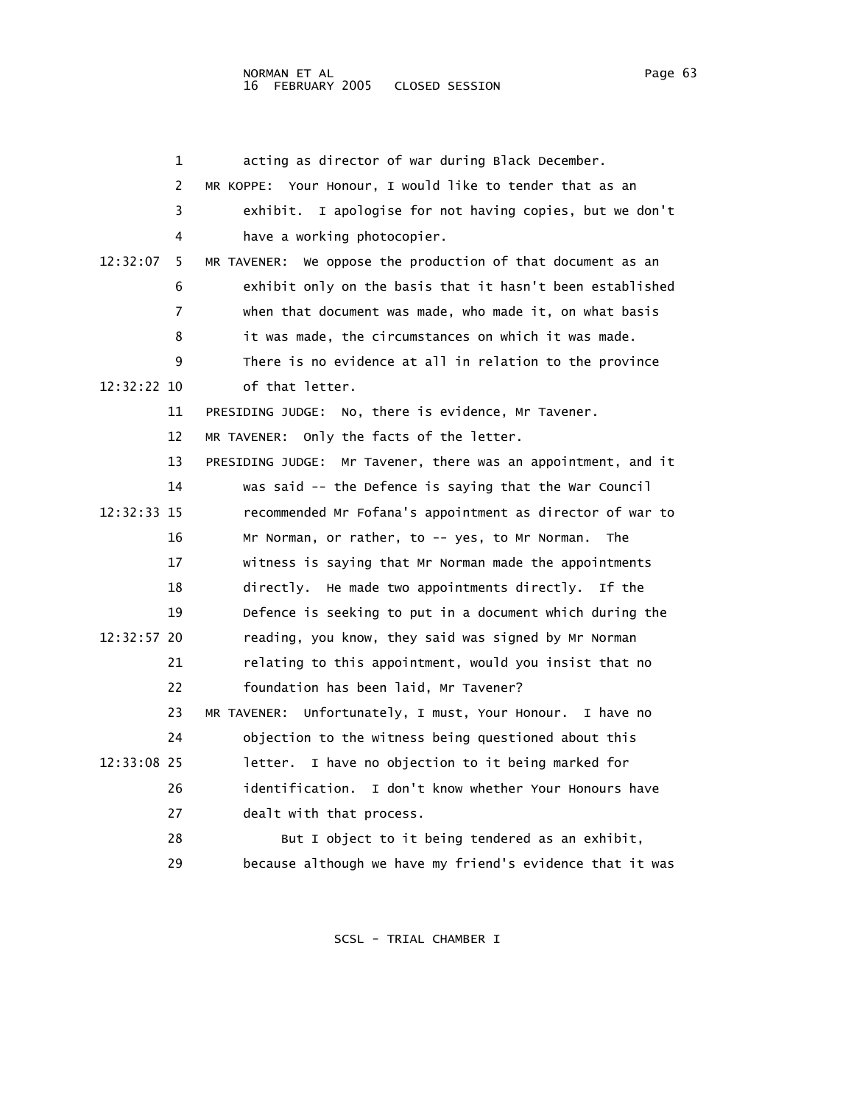|             | 1  | acting as director of war during Black December.               |
|-------------|----|----------------------------------------------------------------|
|             | 2  | MR KOPPE: Your Honour, I would like to tender that as an       |
|             | 3  | exhibit. I apologise for not having copies, but we don't       |
|             | 4  | have a working photocopier.                                    |
| 12:32:07    | 5  | We oppose the production of that document as an<br>MR TAVENER: |
|             | 6  | exhibit only on the basis that it hasn't been established      |
|             | 7  | when that document was made, who made it, on what basis        |
|             | 8  | it was made, the circumstances on which it was made.           |
|             | 9  | There is no evidence at all in relation to the province        |
| 12:32:22 10 |    | of that letter.                                                |
|             | 11 | PRESIDING JUDGE: No, there is evidence, Mr Tavener.            |
|             | 12 | MR TAVENER: Only the facts of the letter.                      |
|             | 13 | PRESIDING JUDGE: Mr Tavener, there was an appointment, and it  |
|             | 14 | was said -- the Defence is saying that the War Council         |
| 12:32:33 15 |    | recommended Mr Fofana's appointment as director of war to      |
|             | 16 | Mr Norman, or rather, to -- yes, to Mr Norman.<br>The          |
|             | 17 | witness is saying that Mr Norman made the appointments         |
|             | 18 | directly. He made two appointments directly. If the            |
|             | 19 | Defence is seeking to put in a document which during the       |
| 12:32:57 20 |    | reading, you know, they said was signed by Mr Norman           |
|             | 21 | relating to this appointment, would you insist that no         |
|             | 22 | foundation has been laid, Mr Tavener?                          |
|             | 23 | MR TAVENER:<br>Unfortunately, I must, Your Honour. I have no   |
|             | 24 | objection to the witness being questioned about this           |
| 12:33:08 25 |    | letter. I have no objection to it being marked for             |
|             | 26 | identification. I don't know whether Your Honours have         |
|             | 27 | dealt with that process.                                       |
|             | 28 | But I object to it being tendered as an exhibit,               |
|             | 29 | because although we have my friend's evidence that it was      |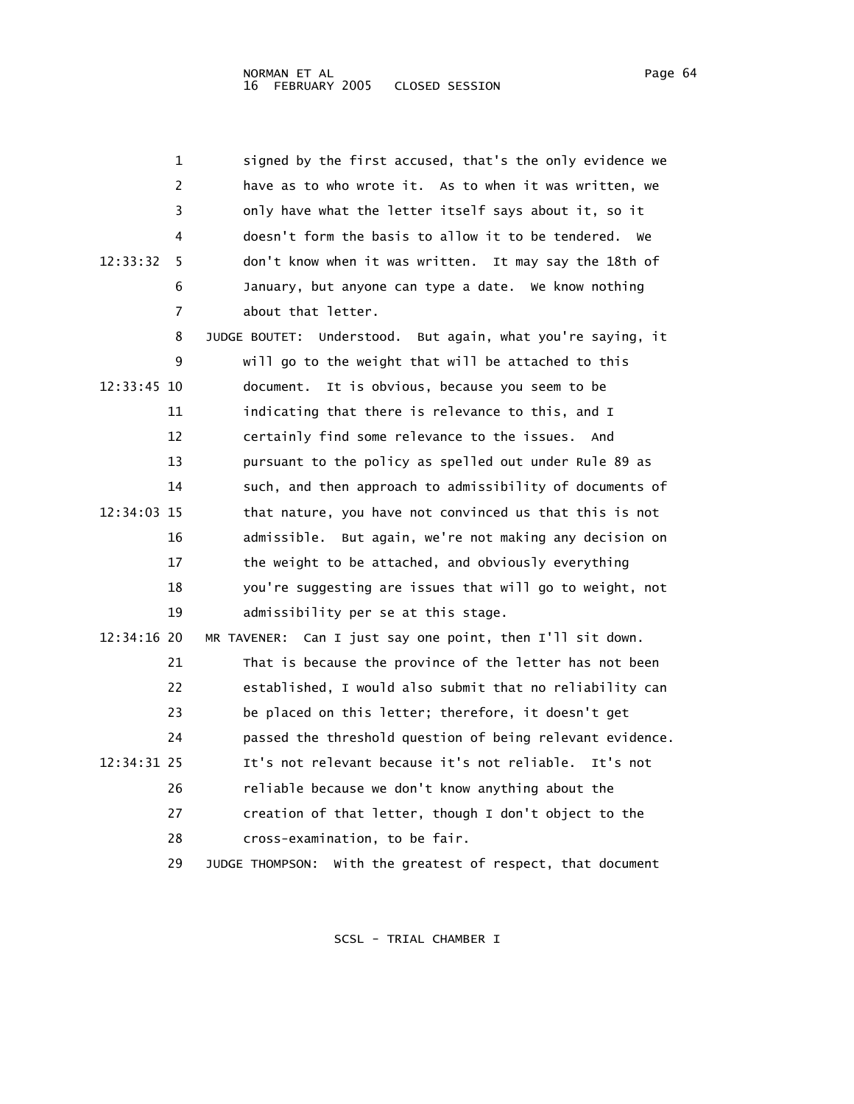| 1             | signed by the first accused, that's the only evidence we       |
|---------------|----------------------------------------------------------------|
| 2             | have as to who wrote it. As to when it was written, we         |
| 3             | only have what the letter itself says about it, so it          |
| 4             | doesn't form the basis to allow it to be tendered.<br>we       |
| 12:33:32<br>5 | don't know when it was written. It may say the 18th of         |
| 6             | January, but anyone can type a date. We know nothing           |
| 7             | about that letter.                                             |
| 8             | JUDGE BOUTET: Understood. But again, what you're saying, it    |
| 9             | will go to the weight that will be attached to this            |
| 12:33:45 10   | document.<br>It is obvious, because you seem to be             |
| 11            | indicating that there is relevance to this, and I              |
| 12            | certainly find some relevance to the issues. And               |
| 13            | pursuant to the policy as spelled out under Rule 89 as         |
| 14            | such, and then approach to admissibility of documents of       |
| 12:34:03 15   | that nature, you have not convinced us that this is not        |
| 16            | admissible. But again, we're not making any decision on        |
| 17            | the weight to be attached, and obviously everything            |
| 18            | you're suggesting are issues that will go to weight, not       |
| 19            | admissibility per se at this stage.                            |
| 12:34:16 20   | MR TAVENER: Can I just say one point, then I'll sit down.      |
| 21            | That is because the province of the letter has not been        |
| 22            | established, I would also submit that no reliability can       |
| 23            | be placed on this letter; therefore, it doesn't get            |
| 24            | passed the threshold question of being relevant evidence.      |
| 12:34:31 25   | It's not relevant because it's not reliable.<br>It's not       |
| 26            | reliable because we don't know anything about the              |
| 27            | creation of that letter, though I don't object to the          |
| 28            | cross-examination, to be fair.                                 |
| 29            | With the greatest of respect, that document<br>JUDGE THOMPSON: |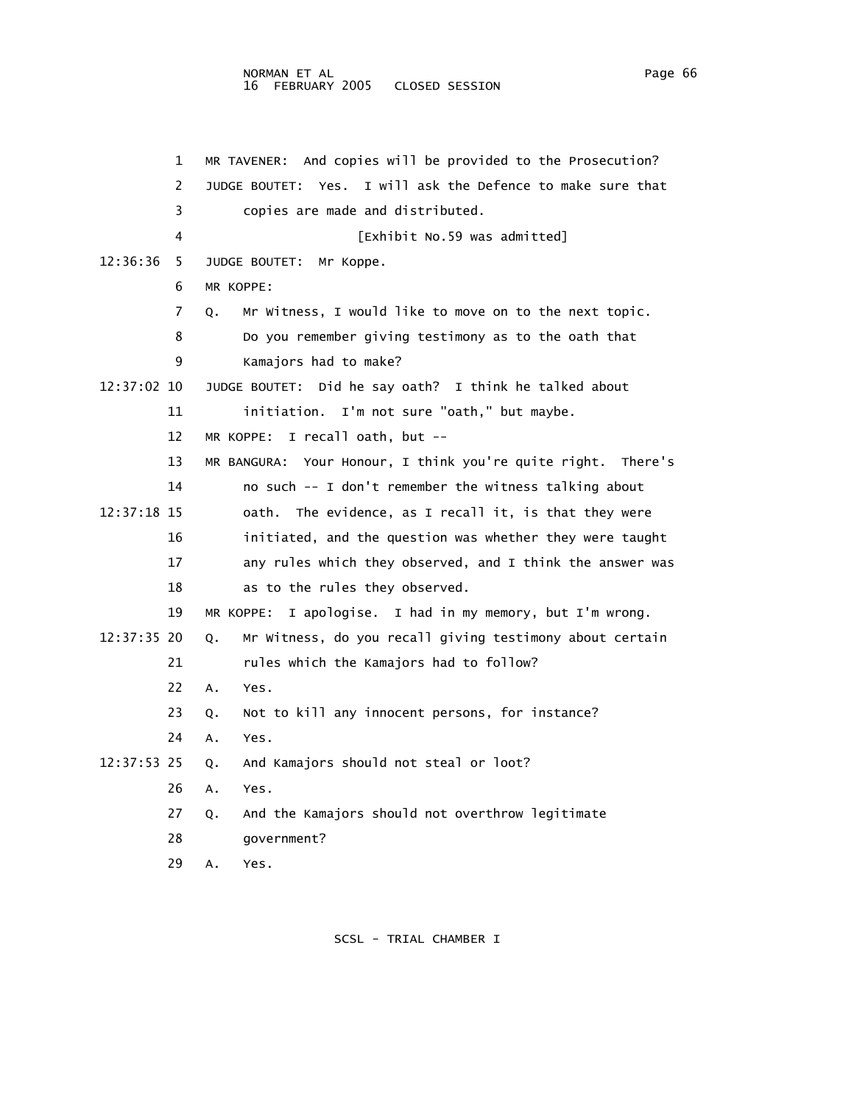## NORMAN ET AL Page 66 and the state of the state of the state of the state of the state of the state of the state of the state of the state of the state of the state of the state of the state of the state of the state of th 16 FEBRUARY 2005 CLOSED SESSION

|             | 1  | MR TAVENER: And copies will be provided to the Prosecution?    |
|-------------|----|----------------------------------------------------------------|
|             | 2  | Yes. I will ask the Defence to make sure that<br>JUDGE BOUTET: |
|             | 3  | copies are made and distributed.                               |
|             | 4  | [Exhibit No.59 was admitted]                                   |
| 12:36:36    | 5  | JUDGE BOUTET:<br>Mr Koppe.                                     |
|             | 6  | MR KOPPE:                                                      |
|             | 7  | Mr Witness, I would like to move on to the next topic.<br>Q.   |
|             | 8  | Do you remember giving testimony as to the oath that           |
|             | 9  | Kamajors had to make?                                          |
| 12:37:02 10 |    | JUDGE BOUTET: Did he say oath? I think he talked about         |
|             | 11 | initiation. I'm not sure "oath," but maybe.                    |
|             | 12 | MR KOPPE: I recall oath, but $-$                               |
|             | 13 | MR BANGURA: Your Honour, I think you're quite right. There's   |
|             | 14 | no such -- I don't remember the witness talking about          |
| 12:37:18 15 |    | The evidence, as I recall it, is that they were<br>oath.       |
|             | 16 | initiated, and the question was whether they were taught       |
|             | 17 | any rules which they observed, and I think the answer was      |
|             | 18 | as to the rules they observed.                                 |
|             | 19 | I apologise. I had in my memory, but I'm wrong.<br>MR KOPPE:   |
| 12:37:35 20 |    | Mr Witness, do you recall giving testimony about certain<br>Q. |
|             | 21 | rules which the Kamajors had to follow?                        |
|             | 22 | Α.<br>Yes.                                                     |
|             | 23 | Not to kill any innocent persons, for instance?<br>Q.          |
|             | 24 | Yes.<br>Α.                                                     |
| 12:37:53 25 |    | And Kamajors should not steal or loot?<br>Q.                   |
|             | 26 | Yes.<br>Α.                                                     |
|             | 27 | And the Kamajors should not overthrow legitimate<br>Q.         |
|             | 28 | government?                                                    |
|             | 29 | Yes.<br>Α.                                                     |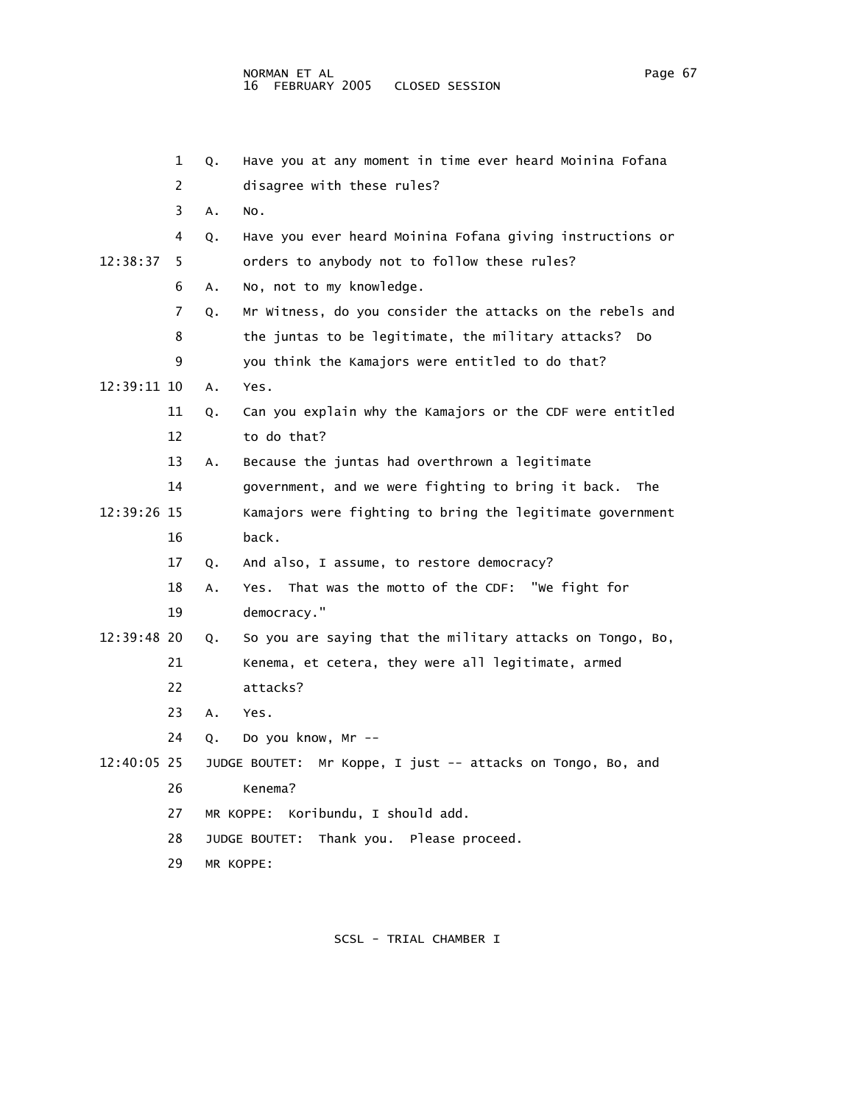|             | 1  | Q. | Have you at any moment in time ever heard Moinina Fofana       |
|-------------|----|----|----------------------------------------------------------------|
|             | 2  |    | disagree with these rules?                                     |
|             | 3  | Α. | NO.                                                            |
|             | 4  | Q. | Have you ever heard Moinina Fofana giving instructions or      |
| 12:38:37    | 5  |    | orders to anybody not to follow these rules?                   |
|             | 6  | Α. | No, not to my knowledge.                                       |
|             | 7  | Q. | Mr Witness, do you consider the attacks on the rebels and      |
|             | 8  |    | the juntas to be legitimate, the military attacks?<br>Do       |
|             | 9  |    | you think the Kamajors were entitled to do that?               |
| 12:39:11 10 |    | Α. | Yes.                                                           |
|             | 11 | Q. | Can you explain why the Kamajors or the CDF were entitled      |
|             | 12 |    | to do that?                                                    |
|             | 13 | Α. | Because the juntas had overthrown a legitimate                 |
|             | 14 |    | government, and we were fighting to bring it back.<br>The      |
| 12:39:26 15 |    |    | Kamajors were fighting to bring the legitimate government      |
|             | 16 |    | back.                                                          |
|             | 17 | Q. | And also, I assume, to restore democracy?                      |
|             | 18 | A. | That was the motto of the CDF: "We fight for<br>Yes.           |
|             | 19 |    | democracy."                                                    |
| 12:39:48 20 |    | Q. | So you are saying that the military attacks on Tongo, Bo,      |
|             | 21 |    | Kenema, et cetera, they were all legitimate, armed             |
|             | 22 |    | attacks?                                                       |
|             | 23 | Α. | Yes.                                                           |
|             | 24 | Q. | Do you know, Mr --                                             |
| 12:40:05 25 |    |    | Mr Koppe, I just -- attacks on Tongo, Bo, and<br>JUDGE BOUTET: |
|             | 26 |    | Kenema?                                                        |
|             | 27 |    | Koribundu, I should add.<br>MR KOPPE:                          |
|             | 28 |    | Thank you. Please proceed.<br>JUDGE BOUTET:                    |
|             | 29 |    | MR KOPPE:                                                      |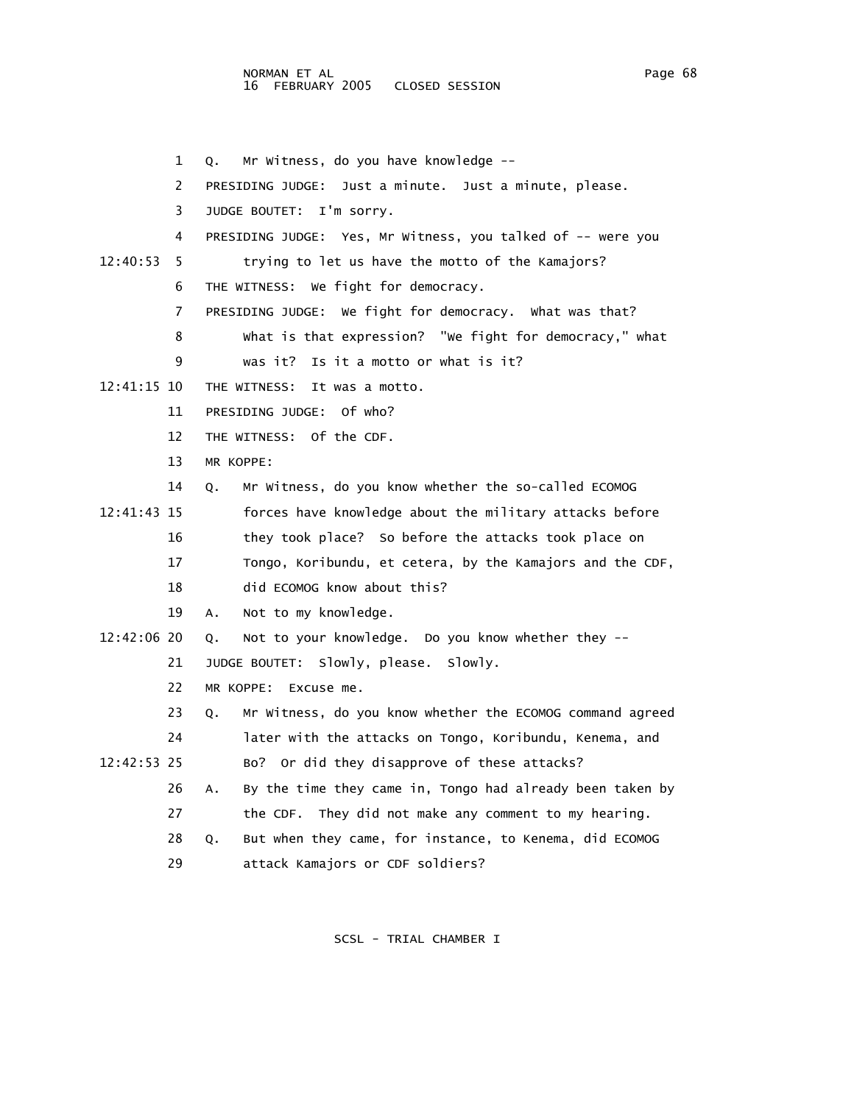NORMAN ET AL Page 68 and the state of the state of the state of the state of the state of the state of the state of the state of the state of the state of the state of the state of the state of the state of the state of th 16 FEBRUARY 2005 CLOSED SESSION

1 Q. Mr Witness, do you have knowledge --

|             | 2  | PRESIDING JUDGE: Just a minute. Just a minute, please.          |
|-------------|----|-----------------------------------------------------------------|
|             | 3  | I'm sorry.<br>JUDGE BOUTET:                                     |
|             | 4  | PRESIDING JUDGE: Yes, Mr Witness, you talked of -- were you     |
| 12:40:53    | 5. | trying to let us have the motto of the Kamajors?                |
|             | 6  | THE WITNESS: We fight for democracy.                            |
|             | 7  | PRESIDING JUDGE: We fight for democracy. What was that?         |
|             | 8  | what is that expression? "We fight for democracy," what         |
|             | 9  | Is it a motto or what is it?<br>was it?                         |
| 12:41:15 10 |    | THE WITNESS:<br>It was a motto.                                 |
|             | 11 | PRESIDING JUDGE: Of who?                                        |
|             | 12 | THE WITNESS: Of the CDF.                                        |
|             | 13 | MR KOPPE:                                                       |
|             | 14 | Mr Witness, do you know whether the so-called ECOMOG<br>Q.      |
| 12:41:43 15 |    | forces have knowledge about the military attacks before         |
|             | 16 | they took place? So before the attacks took place on            |
|             | 17 | Tongo, Koribundu, et cetera, by the Kamajors and the CDF,       |
|             | 18 | did ECOMOG know about this?                                     |
|             | 19 | Not to my knowledge.<br>А.                                      |
| 12:42:06 20 |    | Not to your knowledge. Do you know whether they --<br>Q.        |
|             | 21 | JUDGE BOUTET: Slowly, please.<br>Slowly.                        |
|             | 22 | MR KOPPE:<br>Excuse me.                                         |
|             | 23 | Mr Witness, do you know whether the ECOMOG command agreed<br>Q. |
|             | 24 | later with the attacks on Tongo, Koribundu, Kenema, and         |
| 12:42:53 25 |    | Bo? Or did they disapprove of these attacks?                    |
|             | 26 | By the time they came in, Tongo had already been taken by<br>Α. |
|             | 27 | the CDF. They did not make any comment to my hearing.           |
|             | 28 | But when they came, for instance, to Kenema, did ECOMOG<br>Q.   |
|             | 29 | attack Kamajors or CDF soldiers?                                |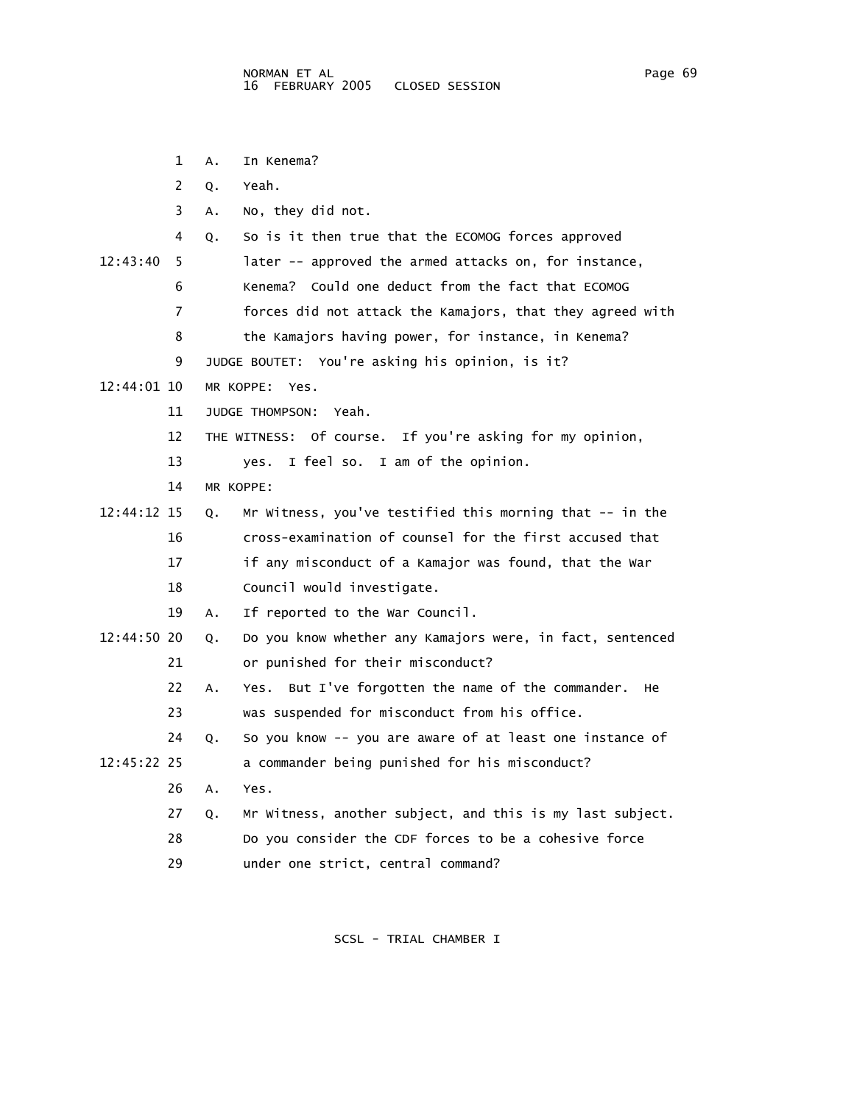|             | 1  | In Kenema?<br>Α.                                                  |
|-------------|----|-------------------------------------------------------------------|
|             | 2  | Yeah.<br>Q.                                                       |
|             | 3  | No, they did not.<br>Α.                                           |
|             | 4  | So is it then true that the ECOMOG forces approved<br>Q.          |
| 12:43:40    | 5  | later -- approved the armed attacks on, for instance,             |
|             | 6  | Kenema? Could one deduct from the fact that ECOMOG                |
|             | 7  | forces did not attack the Kamajors, that they agreed with         |
|             | 8  | the Kamajors having power, for instance, in Kenema?               |
|             | 9  | JUDGE BOUTET: You're asking his opinion, is it?                   |
| 12:44:01 10 |    | MR KOPPE:<br>Yes.                                                 |
|             | 11 | Yeah.<br><b>JUDGE THOMPSON:</b>                                   |
|             | 12 | THE WITNESS: Of course.<br>If you're asking for my opinion,       |
|             | 13 | I feel so. I am of the opinion.<br>ves.                           |
|             | 14 | MR KOPPE:                                                         |
| 12:44:12 15 |    | Mr Witness, you've testified this morning that -- in the<br>Q.    |
|             | 16 | cross-examination of counsel for the first accused that           |
|             | 17 | if any misconduct of a Kamajor was found, that the War            |
|             | 18 | Council would investigate.                                        |
|             | 19 | If reported to the War Council.<br>Α.                             |
| 12:44:50 20 |    | Do you know whether any Kamajors were, in fact, sentenced<br>Q.   |
|             | 21 | or punished for their misconduct?                                 |
|             | 22 | But I've forgotten the name of the commander.<br>He<br>Α.<br>Yes. |
|             | 23 | was suspended for misconduct from his office.                     |
|             | 24 | So you know -- you are aware of at least one instance of<br>Q.    |
| 12:45:22 25 |    | a commander being punished for his misconduct?                    |
|             | 26 | Α.<br>Yes.                                                        |
|             | 27 | Mr Witness, another subject, and this is my last subject.<br>Q.   |
|             | 28 | Do you consider the CDF forces to be a cohesive force             |
|             | 29 | under one strict, central command?                                |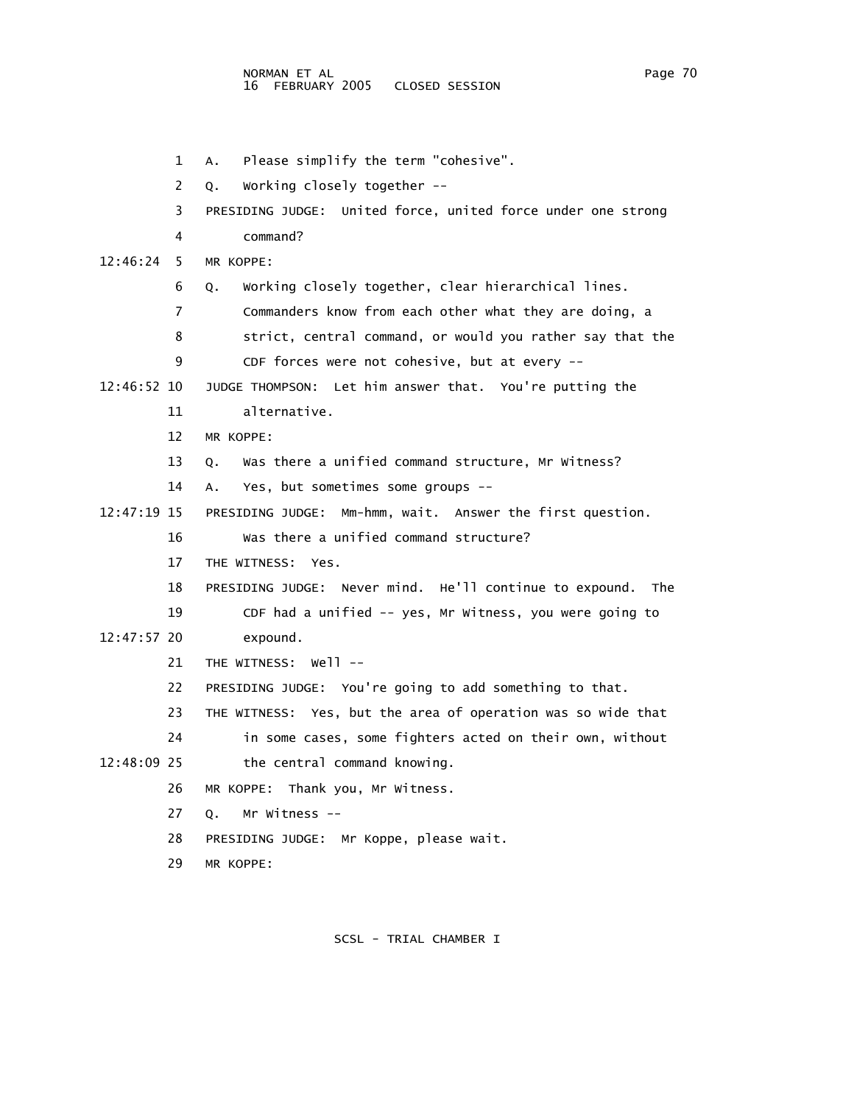1 A. Please simplify the term "cohesive". 2 Q. Working closely together -- 3 PRESIDING JUDGE: United force, united force under one strong 4 command? 12:46:24 5 MR KOPPE: 6 Q. Working closely together, clear hierarchical lines. 7 Commanders know from each other what they are doing, a 8 strict, central command, or would you rather say that the 9 CDF forces were not cohesive, but at every -- 12:46:52 10 JUDGE THOMPSON: Let him answer that. You're putting the 11 alternative. 12 MR KOPPE: 13 Q. Was there a unified command structure, Mr Witness? 14 A. Yes, but sometimes some groups -- 12:47:19 15 PRESIDING JUDGE: Mm-hmm, wait. Answer the first question. 16 Was there a unified command structure? 17 THE WITNESS: Yes. 18 PRESIDING JUDGE: Never mind. He'll continue to expound. The 19 CDF had a unified -- yes, Mr Witness, you were going to 12:47:57 20 expound. 21 THE WITNESS: Well -- 22 PRESIDING JUDGE: You're going to add something to that. 23 THE WITNESS: Yes, but the area of operation was so wide that 24 in some cases, some fighters acted on their own, without 12:48:09 25 the central command knowing. 26 MR KOPPE: Thank you, Mr Witness. 27 Q. Mr Witness -- 28 PRESIDING JUDGE: Mr Koppe, please wait. 29 MR KOPPE: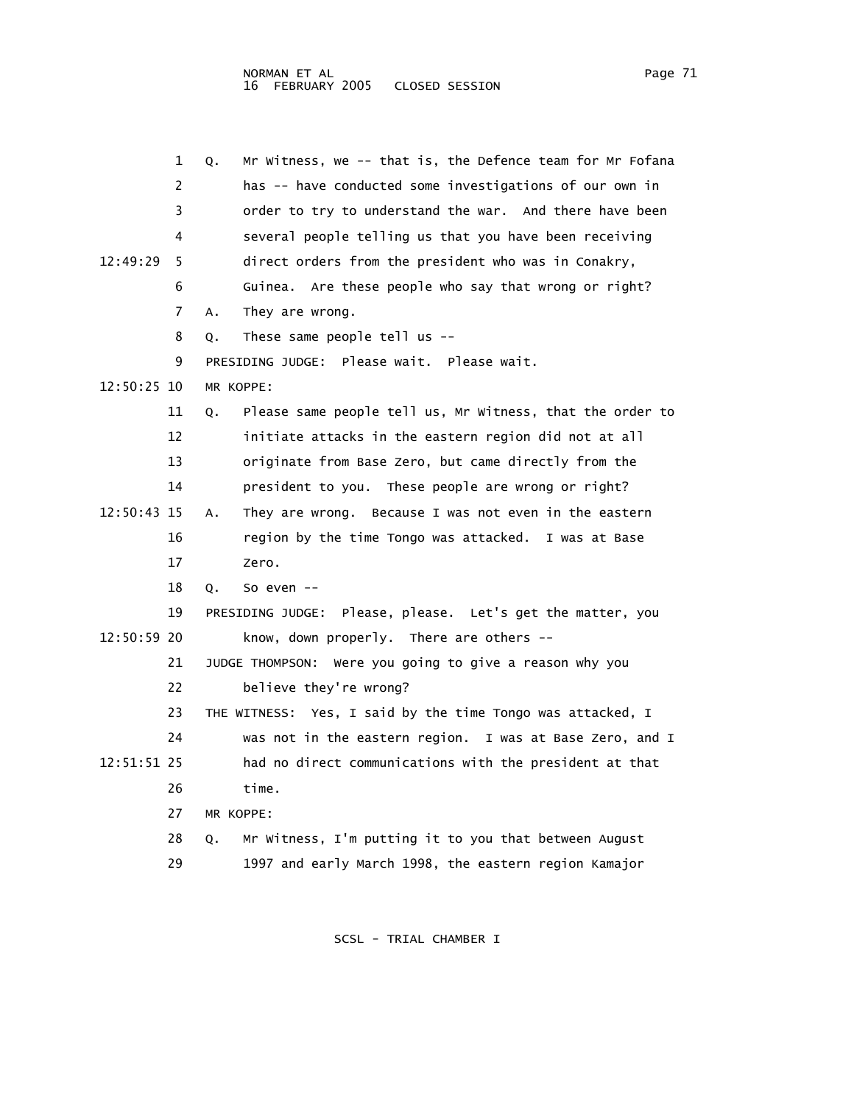|             | 1  | Mr Witness, we -- that is, the Defence team for Mr Fofana<br>Q. |
|-------------|----|-----------------------------------------------------------------|
|             | 2  | has -- have conducted some investigations of our own in         |
|             | 3  | order to try to understand the war. And there have been         |
|             | 4  | several people telling us that you have been receiving          |
| 12:49:29    | 5  | direct orders from the president who was in Conakry,            |
|             | 6  | Guinea. Are these people who say that wrong or right?           |
|             | 7  | They are wrong.<br>Α.                                           |
|             | 8  | These same people tell us $-$ -<br>Q.                           |
|             | 9  | PRESIDING JUDGE: Please wait. Please wait.                      |
| 12:50:25 10 |    | MR KOPPE:                                                       |
|             | 11 | Please same people tell us, Mr Witness, that the order to<br>Q. |
|             | 12 | initiate attacks in the eastern region did not at all           |
|             | 13 | originate from Base Zero, but came directly from the            |
|             | 14 | president to you. These people are wrong or right?              |
| 12:50:43 15 |    | They are wrong. Because I was not even in the eastern<br>А.     |
|             | 16 | region by the time Tongo was attacked.<br>I was at Base         |
|             | 17 | Zero.                                                           |
|             | 18 | So even $--$<br>Q.                                              |
|             | 19 | Please, please. Let's get the matter, you<br>PRESIDING JUDGE:   |
| 12:50:59 20 |    | know, down properly. There are others $-$                       |
|             | 21 | JUDGE THOMPSON: Were you going to give a reason why you         |
|             | 22 | believe they're wrong?                                          |
|             | 23 | THE WITNESS: Yes, I said by the time Tongo was attacked, I      |
|             | 24 | was not in the eastern region.<br>I was at Base Zero, and I     |
| 12:51:51 25 |    | had no direct communications with the president at that         |
|             | 26 | time.                                                           |
|             | 27 | MR KOPPE:                                                       |
|             | 28 | Mr Witness, I'm putting it to you that between August<br>Q.     |
|             | 29 | 1997 and early March 1998, the eastern region Kamajor           |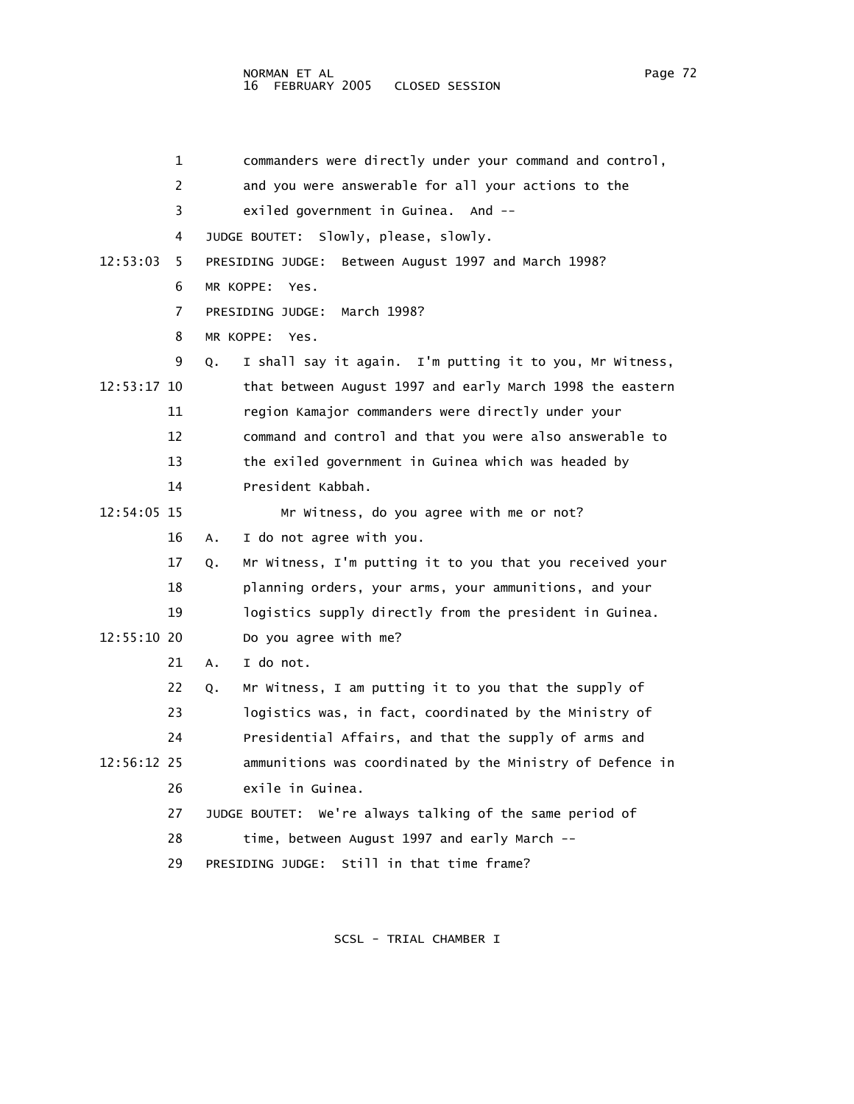NORMAN ET AL Page 72 16 FEBRUARY 2005

 1 commanders were directly under your command and control, 2 and you were answerable for all your actions to the 3 exiled government in Guinea. And -- 4 JUDGE BOUTET: Slowly, please, slowly. 12:53:03 5 PRESIDING JUDGE: Between August 1997 and March 1998? 6 MR KOPPE: Yes. 7 PRESIDING JUDGE: March 1998? 8 MR KOPPE: Yes. 9 Q. I shall say it again. I'm putting it to you, Mr Witness, 12:53:17 10 that between August 1997 and early March 1998 the eastern 11 region Kamajor commanders were directly under your 12 command and control and that you were also answerable to 13 the exiled government in Guinea which was headed by 14 President Kabbah. 12:54:05 15 Mr Witness, do you agree with me or not? 16 A. I do not agree with you. 17 Q. Mr Witness, I'm putting it to you that you received your 18 planning orders, your arms, your ammunitions, and your 19 logistics supply directly from the president in Guinea. 12:55:10 20 Do you agree with me? 21 A. I do not. 22 Q. Mr Witness, I am putting it to you that the supply of 23 logistics was, in fact, coordinated by the Ministry of 24 Presidential Affairs, and that the supply of arms and 12:56:12 25 ammunitions was coordinated by the Ministry of Defence in 26 exile in Guinea. 27 JUDGE BOUTET: We're always talking of the same period of 28 time, between August 1997 and early March -- 29 PRESIDING JUDGE: Still in that time frame?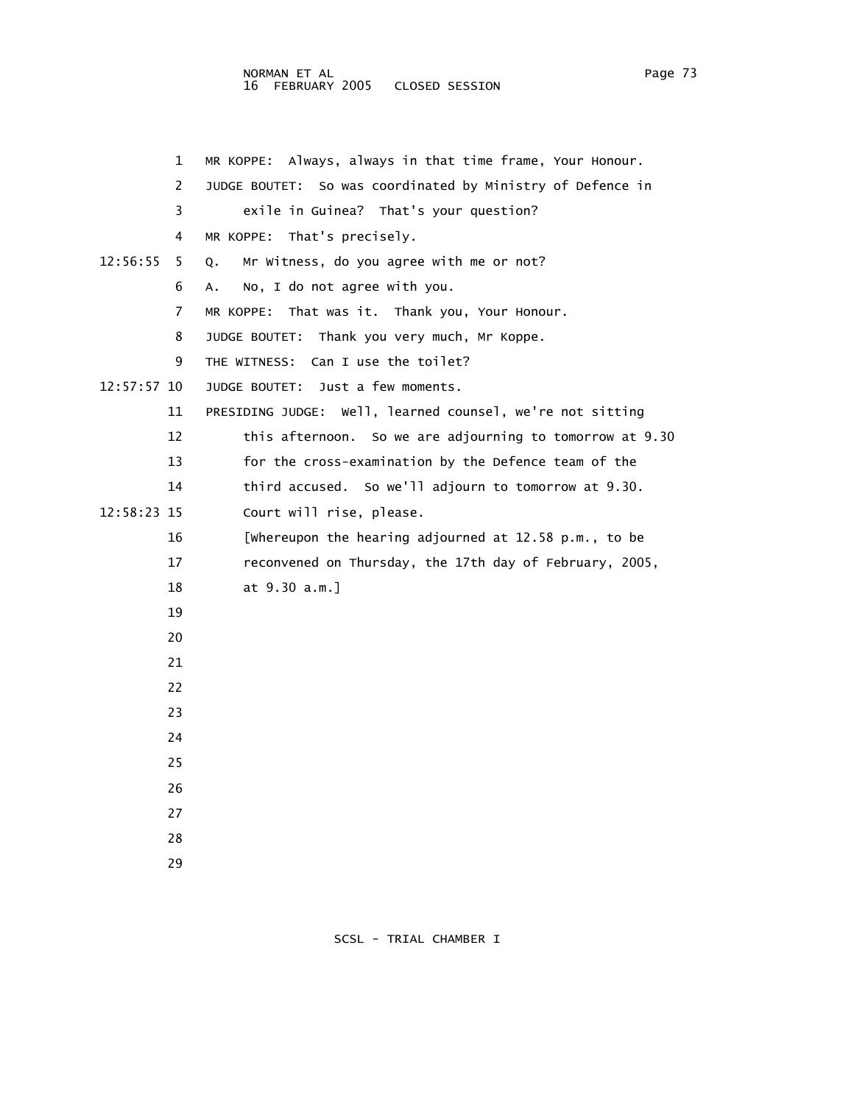## NORMAN ET AL Page 73 Page 73 16 FEBRUARY 2005 CLOSED SESSION

| 1             | Always, always in that time frame, Your Honour.<br>MR KOPPE:  |
|---------------|---------------------------------------------------------------|
| 2             | So was coordinated by Ministry of Defence in<br>JUDGE BOUTET: |
| 3             | exile in Guinea? That's your question?                        |
| 4             | MR KOPPE: That's precisely.                                   |
| 12:56:55<br>5 | Mr Witness, do you agree with me or not?<br>Q.                |
| 6             | No, I do not agree with you.<br>Α.                            |
| 7             | That was it. Thank you, Your Honour.<br>MR KOPPE:             |
| 8             | Thank you very much, Mr Koppe.<br>JUDGE BOUTET:               |
| 9             | THE WITNESS: Can I use the toilet?                            |
| 12:57:57 10   | JUDGE BOUTET:<br>Just a few moments.                          |
| 11            | PRESIDING JUDGE: Well, learned counsel, we're not sitting     |
| 12            | this afternoon. So we are adjourning to tomorrow at 9.30      |
| 13            | for the cross-examination by the Defence team of the          |
| 14            | third accused. So we'll adjourn to tomorrow at 9.30.          |
| 12:58:23 15   | Court will rise, please.                                      |
| 16            | [whereupon the hearing adjourned at 12.58 p.m., to be         |
| 17            | reconvened on Thursday, the 17th day of February, 2005,       |
| 18            | at 9.30 a.m.]                                                 |
| 19            |                                                               |
| 20            |                                                               |
| 21            |                                                               |
| 22            |                                                               |
| 23            |                                                               |
| 24            |                                                               |
| 25            |                                                               |
| 26            |                                                               |
| 27            |                                                               |
| 28            |                                                               |
| 29            |                                                               |

SCSL - TRIAL CHAMBER I